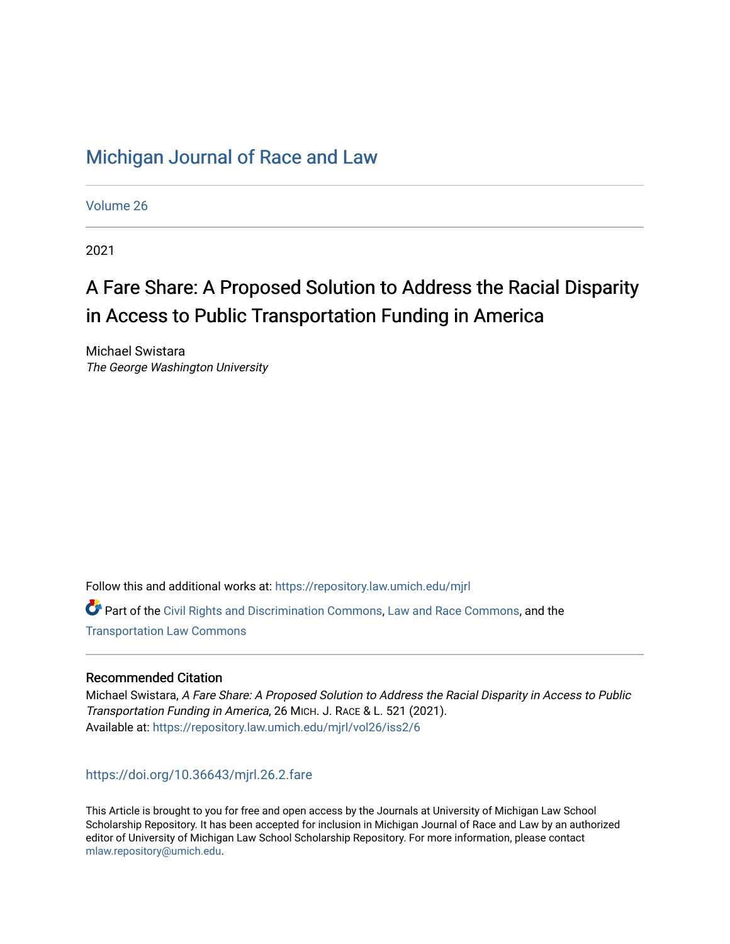# [Michigan Journal of Race and Law](https://repository.law.umich.edu/mjrl)

[Volume 26](https://repository.law.umich.edu/mjrl/vol26)

2021

# A Fare Share: A Proposed Solution to Address the Racial Disparity in Access to Public Transportation Funding in America

Michael Swistara The George Washington University

Follow this and additional works at: [https://repository.law.umich.edu/mjrl](https://repository.law.umich.edu/mjrl?utm_source=repository.law.umich.edu%2Fmjrl%2Fvol26%2Fiss2%2F6&utm_medium=PDF&utm_campaign=PDFCoverPages) 

 $\bullet$  Part of the [Civil Rights and Discrimination Commons,](http://network.bepress.com/hgg/discipline/585?utm_source=repository.law.umich.edu%2Fmjrl%2Fvol26%2Fiss2%2F6&utm_medium=PDF&utm_campaign=PDFCoverPages) [Law and Race Commons,](http://network.bepress.com/hgg/discipline/1300?utm_source=repository.law.umich.edu%2Fmjrl%2Fvol26%2Fiss2%2F6&utm_medium=PDF&utm_campaign=PDFCoverPages) and the [Transportation Law Commons](http://network.bepress.com/hgg/discipline/885?utm_source=repository.law.umich.edu%2Fmjrl%2Fvol26%2Fiss2%2F6&utm_medium=PDF&utm_campaign=PDFCoverPages) 

# Recommended Citation

Michael Swistara, A Fare Share: A Proposed Solution to Address the Racial Disparity in Access to Public Transportation Funding in America, 26 MICH. J. RACE & L. 521 (2021). Available at: [https://repository.law.umich.edu/mjrl/vol26/iss2/6](https://repository.law.umich.edu/mjrl/vol26/iss2/6?utm_source=repository.law.umich.edu%2Fmjrl%2Fvol26%2Fiss2%2F6&utm_medium=PDF&utm_campaign=PDFCoverPages) 

# <https://doi.org/10.36643/mjrl.26.2.fare>

This Article is brought to you for free and open access by the Journals at University of Michigan Law School Scholarship Repository. It has been accepted for inclusion in Michigan Journal of Race and Law by an authorized editor of University of Michigan Law School Scholarship Repository. For more information, please contact [mlaw.repository@umich.edu.](mailto:mlaw.repository@umich.edu)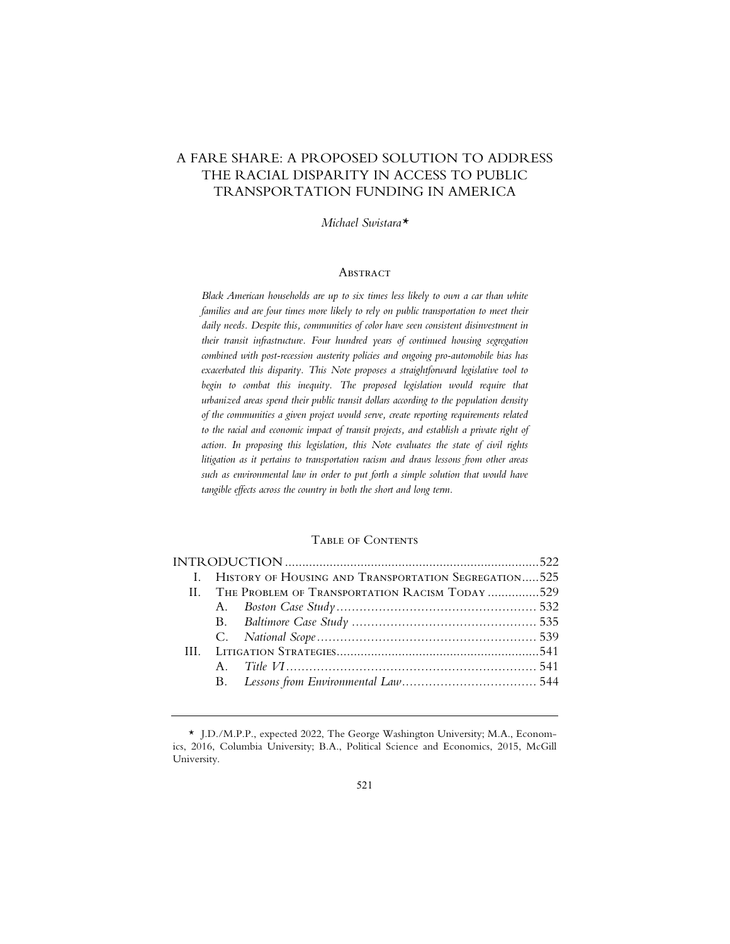# A FARE SHARE: A PROPOSED SOLUTION TO ADDRESS THE RACIAL DISPARITY IN ACCESS TO PUBLIC TRANSPORTATION FUNDING IN AMERICA

*Michael Swistara\** 

# **ABSTRACT**

*Black American households are up to six times less likely to own a car than white families and are four times more likely to rely on public transportation to meet their daily needs. Despite this, communities of color have seen consistent disinvestment in their transit infrastructure. Four hundred years of continued housing segregation combined with post-recession austerity policies and ongoing pro-automobile bias has exacerbated this disparity. This Note proposes a straightforward legislative tool to*  begin to combat this inequity. The proposed legislation would require that *urbanized areas spend their public transit dollars according to the population density of the communities a given project would serve, create reporting requirements related to the racial and economic impact of transit projects, and establish a private right of action. In proposing this legislation, this Note evaluates the state of civil rights litigation as it pertains to transportation racism and draws lessons from other areas such as environmental law in order to put forth a simple solution that would have tangible effects across the country in both the short and long term.* 

# Table of Contents

|  | I. HISTORY OF HOUSING AND TRANSPORTATION SEGREGATION525 |                                                    |  |  |
|--|---------------------------------------------------------|----------------------------------------------------|--|--|
|  |                                                         | II. THE PROBLEM OF TRANSPORTATION RACISM TODAY 529 |  |  |
|  |                                                         |                                                    |  |  |
|  |                                                         |                                                    |  |  |
|  |                                                         |                                                    |  |  |
|  |                                                         |                                                    |  |  |
|  |                                                         |                                                    |  |  |
|  |                                                         |                                                    |  |  |
|  |                                                         |                                                    |  |  |

 <sup>\*</sup> J.D./M.P.P., expected 2022, The George Washington University; M.A., Economics, 2016, Columbia University; B.A., Political Science and Economics, 2015, McGill University.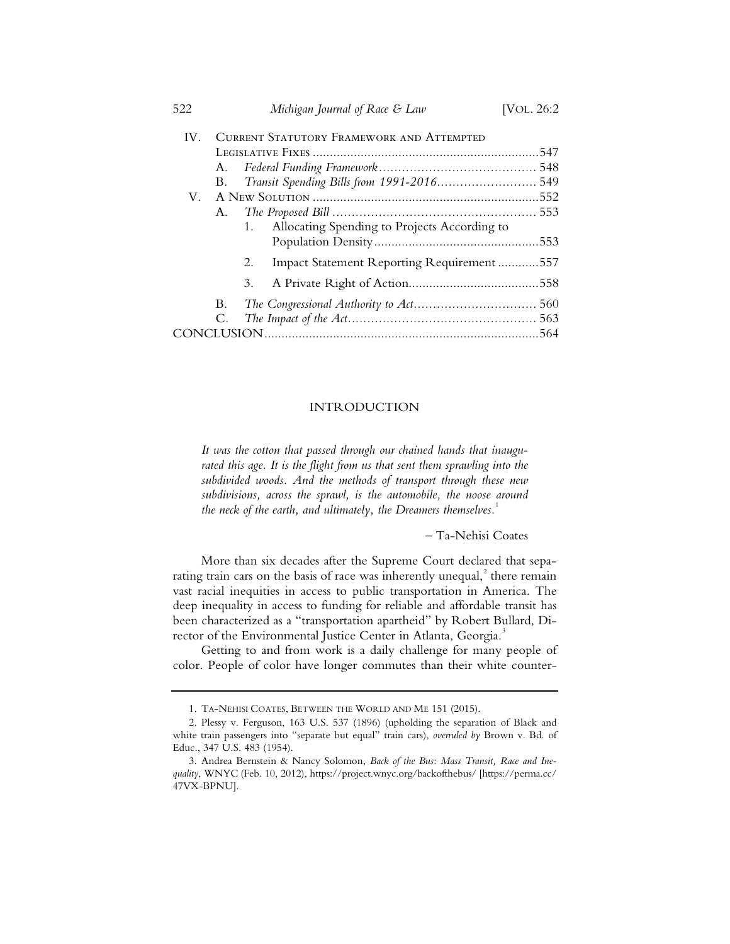| 522      |    | Michigan Journal of Race & Law                     | [VOL. 26:2 |  |  |
|----------|----|----------------------------------------------------|------------|--|--|
| $IV_{-}$ |    | <b>CURRENT STATUTORY FRAMEWORK AND ATTEMPTED</b>   |            |  |  |
|          |    |                                                    |            |  |  |
|          | A. |                                                    |            |  |  |
|          | В. |                                                    |            |  |  |
| V.       |    |                                                    |            |  |  |
|          | А. |                                                    |            |  |  |
|          |    | Allocating Spending to Projects According to<br>1. |            |  |  |
|          |    |                                                    |            |  |  |
|          |    | Impact Statement Reporting Requirement557<br>2.    |            |  |  |
|          |    | 3.                                                 |            |  |  |
|          | B. |                                                    |            |  |  |
|          | C. |                                                    |            |  |  |
|          |    |                                                    |            |  |  |

# INTRODUCTION

*It was the cotton that passed through our chained hands that inaugu*rated this age. It is the flight from us that sent them sprawling into the *subdivided woods. And the methods of transport through these new subdivisions, across the sprawl, is the automobile, the noose around the neck of the earth, and ultimately, the Dreamers themselves.*<sup>1</sup>

*–* Ta-Nehisi Coates

More than six decades after the Supreme Court declared that separating train cars on the basis of race was inherently unequal, $^2$  there remain vast racial inequities in access to public transportation in America. The deep inequality in access to funding for reliable and affordable transit has been characterized as a "transportation apartheid" by Robert Bullard, Director of the Environmental Justice Center in Atlanta, Georgia.<sup>3</sup>

Getting to and from work is a daily challenge for many people of color. People of color have longer commutes than their white counter-

 <sup>1.</sup> TA-NEHISI COATES, BETWEEN THE WORLD AND ME 151 (2015).

 <sup>2.</sup> Plessy v. Ferguson, 163 U.S. 537 (1896) (upholding the separation of Black and white train passengers into "separate but equal" train cars), *overruled by* Brown v. Bd. of Educ., 347 U.S. 483 (1954).

 <sup>3.</sup> Andrea Bernstein & Nancy Solomon, *Back of the Bus: Mass Transit, Race and Inequality*, WNYC (Feb. 10, 2012), https://project.wnyc.org/backofthebus/ [https://perma.cc/ 47VX-BPNU].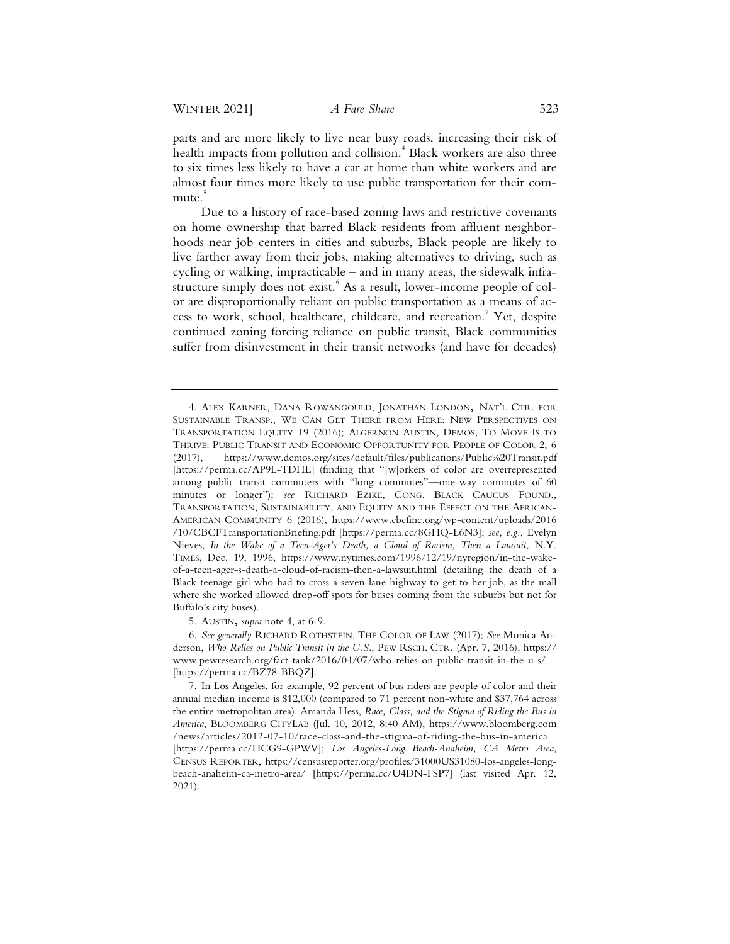parts and are more likely to live near busy roads, increasing their risk of health impacts from pollution and collision.<sup>4</sup> Black workers are also three to six times less likely to have a car at home than white workers and are almost four times more likely to use public transportation for their commute.<sup>5</sup>

Due to a history of race-based zoning laws and restrictive covenants on home ownership that barred Black residents from affluent neighborhoods near job centers in cities and suburbs, Black people are likely to live farther away from their jobs, making alternatives to driving, such as cycling or walking, impracticable – and in many areas, the sidewalk infrastructure simply does not exist. <sup>6</sup> As a result, lower-income people of color are disproportionally reliant on public transportation as a means of access to work, school, healthcare, childcare, and recreation.<sup>7</sup> Yet, despite continued zoning forcing reliance on public transit, Black communities suffer from disinvestment in their transit networks (and have for decades)

5. AUSTIN**,** *supra* note 4, at 6-9.

 6. *See generally* RICHARD ROTHSTEIN, THE COLOR OF LAW (2017); *See* Monica Anderson, *Who Relies on Public Transit in the U.S.*, PEW RSCH. CTR. (Apr. 7, 2016), https:// www.pewresearch.org/fact-tank/2016/04/07/who-relies-on-public-transit-in-the-u-s/ [https://perma.cc/BZ78-BBQZ].

 <sup>4.</sup> ALEX KARNER, DANA ROWANGOULD, JONATHAN LONDON**,** NAT'L CTR. FOR SUSTAINABLE TRANSP., WE CAN GET THERE FROM HERE: NEW PERSPECTIVES ON TRANSPORTATION EQUITY 19 (2016); ALGERNON AUSTIN, DEMOS, TO MOVE IS TO THRIVE: PUBLIC TRANSIT AND ECONOMIC OPPORTUNITY FOR PEOPLE OF COLOR 2, 6 (2017), https://www.demos.org/sites/default/files/publications/Public%20Transit.pdf [https://perma.cc/AP9L-TDHE] (finding that "[w]orkers of color are overrepresented among public transit commuters with "long commutes"—one-way commutes of 60 minutes or longer"); *see* RICHARD EZIKE, CONG. BLACK CAUCUS FOUND., TRANSPORTATION, SUSTAINABILITY, AND EQUITY AND THE EFFECT ON THE AFRICAN-AMERICAN COMMUNITY 6 (2016), https://www.cbcfinc.org/wp-content/uploads/2016 /10/CBCFTransportationBriefing.pdf [https://perma.cc/8GHQ-L6N3]; *see, e.g.*, Evelyn Nieves, *In the Wake of a Teen-Ager's Death, a Cloud of Racism, Then a Lawsuit*, N.Y. TIMES, Dec. 19, 1996, https://www.nytimes.com/1996/12/19/nyregion/in-the-wakeof-a-teen-ager-s-death-a-cloud-of-racism-then-a-lawsuit.html (detailing the death of a Black teenage girl who had to cross a seven-lane highway to get to her job, as the mall where she worked allowed drop-off spots for buses coming from the suburbs but not for Buffalo's city buses).

 <sup>7.</sup> In Los Angeles, for example, 92 percent of bus riders are people of color and their annual median income is \$12,000 (compared to 71 percent non-white and \$37,764 across the entire metropolitan area). Amanda Hess, *Race, Class, and the Stigma of Riding the Bus in America*, BLOOMBERG CITYLAB (Jul. 10, 2012, 8:40 AM), https://www.bloomberg.com /news/articles/2012-07-10/race-class-and-the-stigma-of-riding-the-bus-in-america [https://perma.cc/HCG9-GPWV]; *Los Angeles-Long Beach-Anaheim, CA Metro Area*, CENSUS REPORTER, https://censusreporter.org/profiles/31000US31080-los-angeles-longbeach-anaheim-ca-metro-area/ [https://perma.cc/U4DN-FSP7] (last visited Apr. 12, 2021).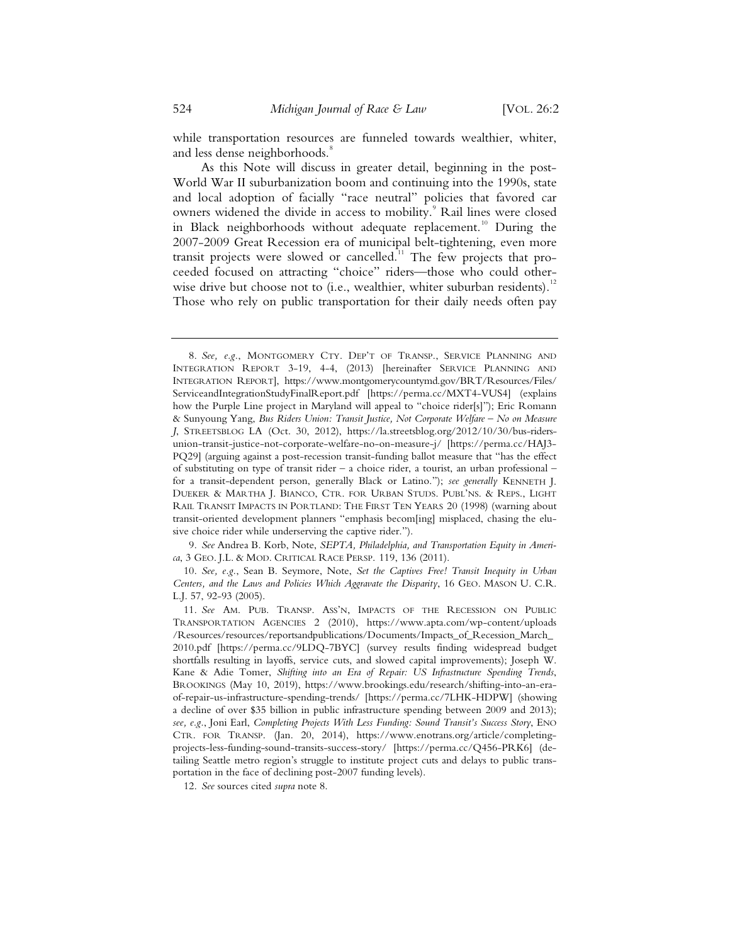while transportation resources are funneled towards wealthier, whiter, and less dense neighborhoods.<sup>8</sup>

As this Note will discuss in greater detail, beginning in the post-World War II suburbanization boom and continuing into the 1990s, state and local adoption of facially "race neutral" policies that favored car owners widened the divide in access to mobility.<sup>9</sup> Rail lines were closed in Black neighborhoods without adequate replacement.<sup>10</sup> During the 2007-2009 Great Recession era of municipal belt-tightening, even more transit projects were slowed or cancelled.<sup>11</sup> The few projects that proceeded focused on attracting "choice" riders—those who could otherwise drive but choose not to (i.e., wealthier, whiter suburban residents).<sup>12</sup> Those who rely on public transportation for their daily needs often pay

 9. *See* Andrea B. Korb, Note, *SEPTA, Philadelphia, and Transportation Equity in America*, 3 GEO. J.L. & MOD. CRITICAL RACE PERSP. 119, 136 (2011).

 10. *See, e.g.*, Sean B. Seymore, Note, *Set the Captives Free! Transit Inequity in Urban Centers, and the Laws and Policies Which Aggravate the Disparity*, 16 GEO. MASON U. C.R. L.J. 57, 92-93 (2005).

 <sup>8.</sup> *See, e.g.*, MONTGOMERY CTY. DEP'T OF TRANSP., SERVICE PLANNING AND INTEGRATION REPORT 3-19, 4-4, (2013) [hereinafter SERVICE PLANNING AND INTEGRATION REPORT], https://www.montgomerycountymd.gov/BRT/Resources/Files/ ServiceandIntegrationStudyFinalReport.pdf [https://perma.cc/MXT4-VUS4] (explains how the Purple Line project in Maryland will appeal to "choice rider[s]"); Eric Romann & Sunyoung Yang, *Bus Riders Union: Transit Justice, Not Corporate Welfare – No on Measure J*, STREETSBLOG LA (Oct. 30, 2012), https://la.streetsblog.org/2012/10/30/bus-ridersunion-transit-justice-not-corporate-welfare-no-on-measure-j/ [https://perma.cc/HAJ3- PQ29] (arguing against a post-recession transit-funding ballot measure that "has the effect of substituting on type of transit rider – a choice rider, a tourist, an urban professional – for a transit-dependent person, generally Black or Latino."); *see generally* KENNETH J. DUEKER & MARTHA J. BIANCO, CTR. FOR URBAN STUDS. PUBL'NS. & REPS., LIGHT RAIL TRANSIT IMPACTS IN PORTLAND: THE FIRST TEN YEARS 20 (1998) (warning about transit-oriented development planners "emphasis becom[ing] misplaced, chasing the elusive choice rider while underserving the captive rider.").

 <sup>11.</sup> *See* AM. PUB. TRANSP. ASS'N, IMPACTS OF THE RECESSION ON PUBLIC TRANSPORTATION AGENCIES 2 (2010), https://www.apta.com/wp-content/uploads /Resources/resources/reportsandpublications/Documents/Impacts\_of\_Recession\_March\_ 2010.pdf [https://perma.cc/9LDQ-7BYC] (survey results finding widespread budget shortfalls resulting in layoffs, service cuts, and slowed capital improvements); Joseph W. Kane & Adie Tomer, *Shifting into an Era of Repair: US Infrastructure Spending Trends*, BROOKINGS (May 10, 2019), https://www.brookings.edu/research/shifting-into-an-eraof-repair-us-infrastructure-spending-trends/ [https://perma.cc/7LHK-HDPW] (showing a decline of over \$35 billion in public infrastructure spending between 2009 and 2013); *see, e.g.*, Joni Earl, *Completing Projects With Less Funding: Sound Transit's Success Story*, ENO CTR. FOR TRANSP. (Jan. 20, 2014), https://www.enotrans.org/article/completingprojects-less-funding-sound-transits-success-story/ [https://perma.cc/Q456-PRK6] (detailing Seattle metro region's struggle to institute project cuts and delays to public transportation in the face of declining post-2007 funding levels).

 <sup>12.</sup> *See* sources cited *supra* note 8.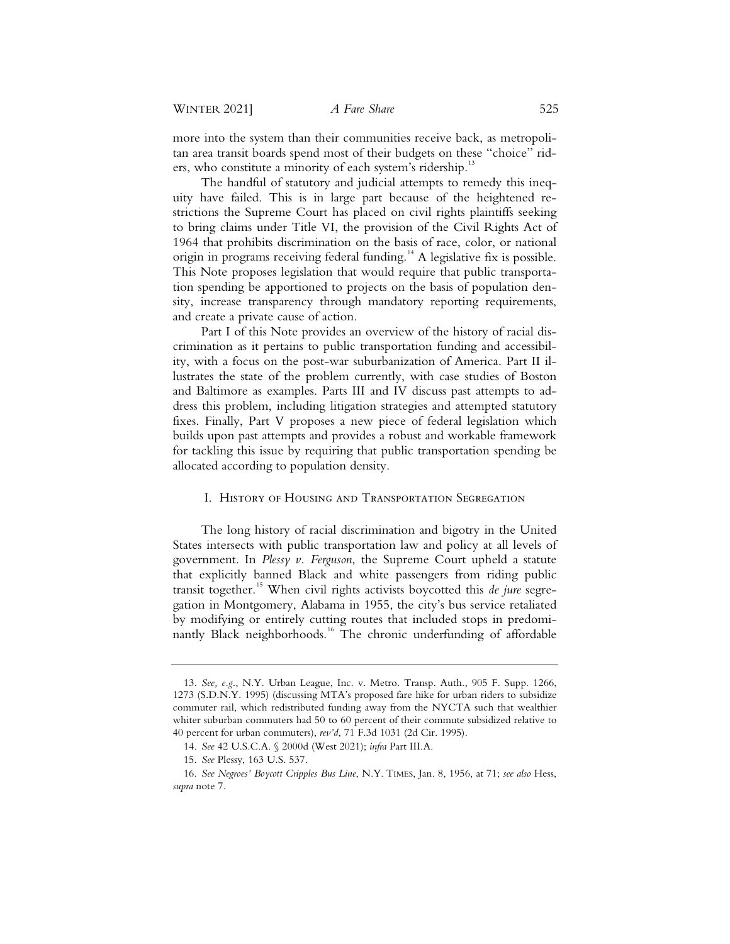more into the system than their communities receive back, as metropolitan area transit boards spend most of their budgets on these "choice" riders, who constitute a minority of each system's ridership.<sup>13</sup>

The handful of statutory and judicial attempts to remedy this inequity have failed. This is in large part because of the heightened restrictions the Supreme Court has placed on civil rights plaintiffs seeking to bring claims under Title VI, the provision of the Civil Rights Act of 1964 that prohibits discrimination on the basis of race, color, or national origin in programs receiving federal funding.<sup>14</sup> A legislative fix is possible. This Note proposes legislation that would require that public transportation spending be apportioned to projects on the basis of population density, increase transparency through mandatory reporting requirements, and create a private cause of action.

Part I of this Note provides an overview of the history of racial discrimination as it pertains to public transportation funding and accessibility, with a focus on the post-war suburbanization of America. Part II illustrates the state of the problem currently, with case studies of Boston and Baltimore as examples. Parts III and IV discuss past attempts to address this problem, including litigation strategies and attempted statutory fixes. Finally, Part V proposes a new piece of federal legislation which builds upon past attempts and provides a robust and workable framework for tackling this issue by requiring that public transportation spending be allocated according to population density.

# I. History of Housing and Transportation Segregation

The long history of racial discrimination and bigotry in the United States intersects with public transportation law and policy at all levels of government. In *Plessy v. Ferguson*, the Supreme Court upheld a statute that explicitly banned Black and white passengers from riding public transit together.<sup>15</sup> When civil rights activists boycotted this *de jure* segregation in Montgomery, Alabama in 1955, the city's bus service retaliated by modifying or entirely cutting routes that included stops in predominantly Black neighborhoods.<sup>16</sup> The chronic underfunding of affordable

<sup>13.</sup> *See, e.g*., N.Y. Urban League, Inc. v. Metro. Transp. Auth., 905 F. Supp. 1266, 1273 (S.D.N.Y. 1995) (discussing MTA's proposed fare hike for urban riders to subsidize commuter rail, which redistributed funding away from the NYCTA such that wealthier whiter suburban commuters had 50 to 60 percent of their commute subsidized relative to 40 percent for urban commuters), *rev'd*, 71 F.3d 1031 (2d Cir. 1995).

<sup>14.</sup> *See* 42 U.S.C.A. § 2000d (West 2021); *infra* Part III.A.

<sup>15.</sup> *See* Plessy, 163 U.S. 537.

<sup>16.</sup> *See Negroes' Boycott Cripples Bus Line*, N.Y. TIMES, Jan. 8, 1956, at 71; *see also* Hess, *supra* note 7.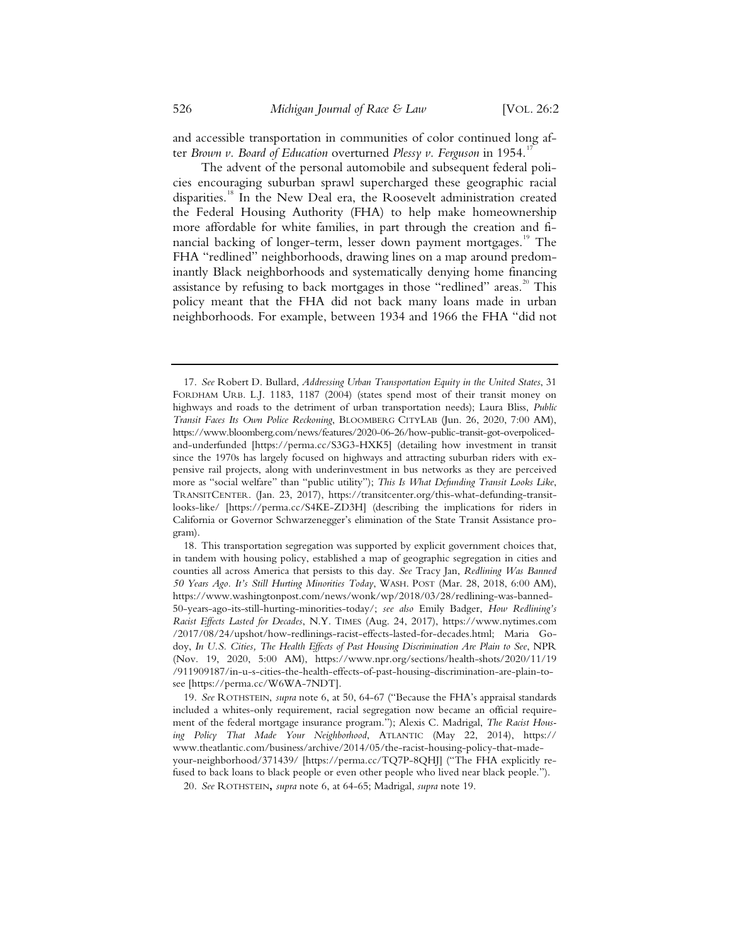and accessible transportation in communities of color continued long after *Brown v. Board of Education* overturned *Plessy v. Ferguson* in 1954.<sup>1</sup>

The advent of the personal automobile and subsequent federal policies encouraging suburban sprawl supercharged these geographic racial disparities.18 In the New Deal era, the Roosevelt administration created the Federal Housing Authority (FHA) to help make homeownership more affordable for white families, in part through the creation and financial backing of longer-term, lesser down payment mortgages.<sup>19</sup> The FHA "redlined" neighborhoods, drawing lines on a map around predominantly Black neighborhoods and systematically denying home financing assistance by refusing to back mortgages in those "redlined" areas.<sup>20</sup> This policy meant that the FHA did not back many loans made in urban neighborhoods. For example, between 1934 and 1966 the FHA "did not

 <sup>17.</sup> *See* Robert D. Bullard, *Addressing Urban Transportation Equity in the United States*, 31 FORDHAM URB. L.J. 1183, 1187 (2004) (states spend most of their transit money on highways and roads to the detriment of urban transportation needs); Laura Bliss, *Public Transit Faces Its Own Police Reckoning*, BLOOMBERG CITYLAB (Jun. 26, 2020, 7:00 AM), https://www.bloomberg.com/news/features/2020-06-26/how-public-transit-got-overpolicedand-underfunded [https://perma.cc/S3G3-HXK5] (detailing how investment in transit since the 1970s has largely focused on highways and attracting suburban riders with expensive rail projects, along with underinvestment in bus networks as they are perceived more as "social welfare" than "public utility"); *This Is What Defunding Transit Looks Like*, TRANSITCENTER. (Jan. 23, 2017), https://transitcenter.org/this-what-defunding-transitlooks-like/ [https://perma.cc/S4KE-ZD3H] (describing the implications for riders in California or Governor Schwarzenegger's elimination of the State Transit Assistance program).

 <sup>18.</sup> This transportation segregation was supported by explicit government choices that, in tandem with housing policy, established a map of geographic segregation in cities and counties all across America that persists to this day. *See* Tracy Jan, *Redlining Was Banned 50 Years Ago. It's Still Hurting Minorities Today*, WASH. POST (Mar. 28, 2018, 6:00 AM), https://www.washingtonpost.com/news/wonk/wp/2018/03/28/redlining-was-banned-50-years-ago-its-still-hurting-minorities-today/; *see also* Emily Badger, *How Redlining's Racist Effects Lasted for Decades*, N.Y. TIMES (Aug. 24, 2017), https://www.nytimes.com /2017/08/24/upshot/how-redlinings-racist-effects-lasted-for-decades.html; Maria Godoy, *In U.S. Cities, The Health Effects of Past Housing Discrimination Are Plain to See*, NPR (Nov. 19, 2020, 5:00 AM), https://www.npr.org/sections/health-shots/2020/11/19 /911909187/in-u-s-cities-the-health-effects-of-past-housing-discrimination-are-plain-tosee [https://perma.cc/W6WA-7NDT].

 <sup>19.</sup> *See* ROTHSTEIN, *supra* note 6, at 50, 64-67 ("Because the FHA's appraisal standards included a whites-only requirement, racial segregation now became an official requirement of the federal mortgage insurance program."); Alexis C. Madrigal, *The Racist Housing Policy That Made Your Neighborhood*, ATLANTIC (May 22, 2014), https:// www.theatlantic.com/business/archive/2014/05/the-racist-housing-policy-that-madeyour-neighborhood/371439/ [https://perma.cc/TQ7P-8QHJ] ("The FHA explicitly refused to back loans to black people or even other people who lived near black people.").

 <sup>20.</sup> *See* ROTHSTEIN**,** *supra* note 6, at 64-65; Madrigal, *supra* note 19.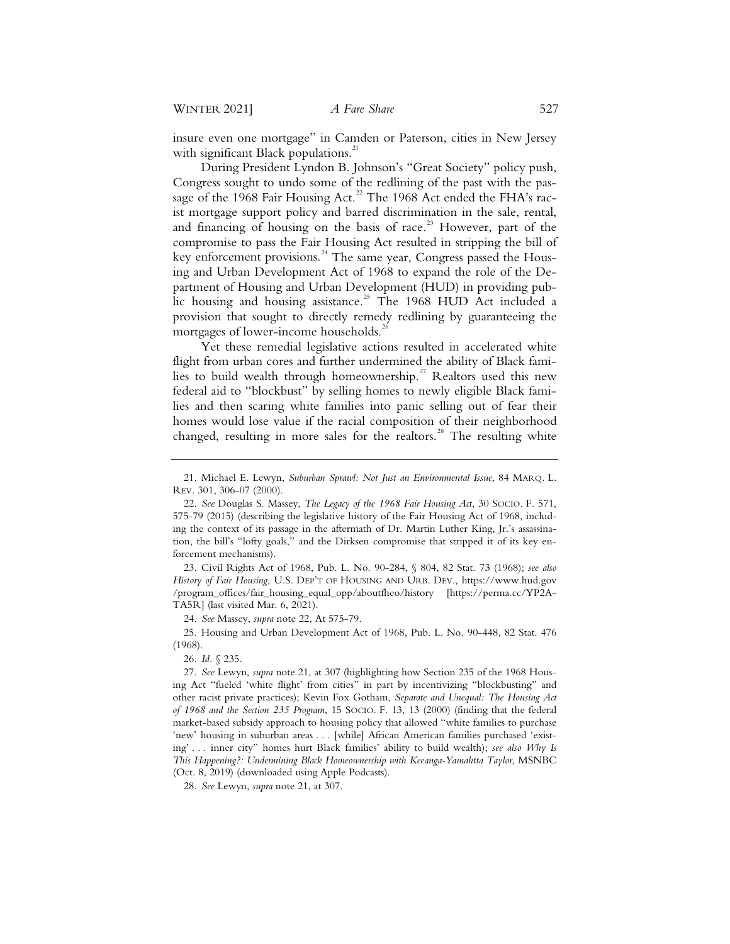insure even one mortgage" in Camden or Paterson, cities in New Jersey with significant Black populations. $^{21}$ 

During President Lyndon B. Johnson's "Great Society" policy push, Congress sought to undo some of the redlining of the past with the passage of the 1968 Fair Housing Act.<sup>22</sup> The 1968 Act ended the FHA's racist mortgage support policy and barred discrimination in the sale, rental, and financing of housing on the basis of race.<sup>23</sup> However, part of the compromise to pass the Fair Housing Act resulted in stripping the bill of key enforcement provisions.<sup>24</sup> The same year, Congress passed the Housing and Urban Development Act of 1968 to expand the role of the Department of Housing and Urban Development (HUD) in providing public housing and housing assistance.<sup>25</sup> The 1968 HUD Act included a provision that sought to directly remedy redlining by guaranteeing the mortgages of lower-income households.<sup>26</sup>

Yet these remedial legislative actions resulted in accelerated white flight from urban cores and further undermined the ability of Black families to build wealth through homeownership.<sup>27</sup> Realtors used this new federal aid to "blockbust" by selling homes to newly eligible Black families and then scaring white families into panic selling out of fear their homes would lose value if the racial composition of their neighborhood changed, resulting in more sales for the realtors.<sup>28</sup> The resulting white

23. Civil Rights Act of 1968, Pub. L. No. 90-284, § 804, 82 Stat. 73 (1968); *see also History of Fair Housing*, U.S. DEP'T OF HOUSING AND URB. DEV., https://www.hud.gov /program\_offices/fair\_housing\_equal\_opp/aboutfheo/history [https://perma.cc/YP2A-TA5R] (last visited Mar. 6, 2021).

24. *See* Massey, *supra* note 22, At 575-79.

25. Housing and Urban Development Act of 1968, Pub. L. No. 90-448, 82 Stat. 476 (1968).

26. *Id.* § 235.

27. *See* Lewyn, *supra* note 21, at 307 (highlighting how Section 235 of the 1968 Housing Act "fueled 'white flight' from cities" in part by incentivizing "blockbusting" and other racist private practices); Kevin Fox Gotham, *Separate and Unequal: The Housing Act of 1968 and the Section 235 Program*, 15 SOCIO. F. 13, 13 (2000) (finding that the federal market-based subsidy approach to housing policy that allowed "white families to purchase 'new' housing in suburban areas . . . [while] African American families purchased 'existing' . . . inner city" homes hurt Black families' ability to build wealth); *see also Why Is This Happening?: Undermining Black Homeownership with Keeanga-Yamahtta Taylor*, MSNBC (Oct. 8, 2019) (downloaded using Apple Podcasts).

28. *See* Lewyn, *supra* note 21, at 307.

<sup>21.</sup> Michael E. Lewyn, *Suburban Sprawl: Not Just an Environmental Issue*, 84 MARQ. L. REV. 301, 306-07 (2000).

<sup>22.</sup> *See* Douglas S. Massey, *The Legacy of the 1968 Fair Housing Act*, 30 SOCIO. F. 571, 575-79 (2015) (describing the legislative history of the Fair Housing Act of 1968, including the context of its passage in the aftermath of Dr. Martin Luther King, Jr.'s assassination, the bill's "lofty goals," and the Dirksen compromise that stripped it of its key enforcement mechanisms).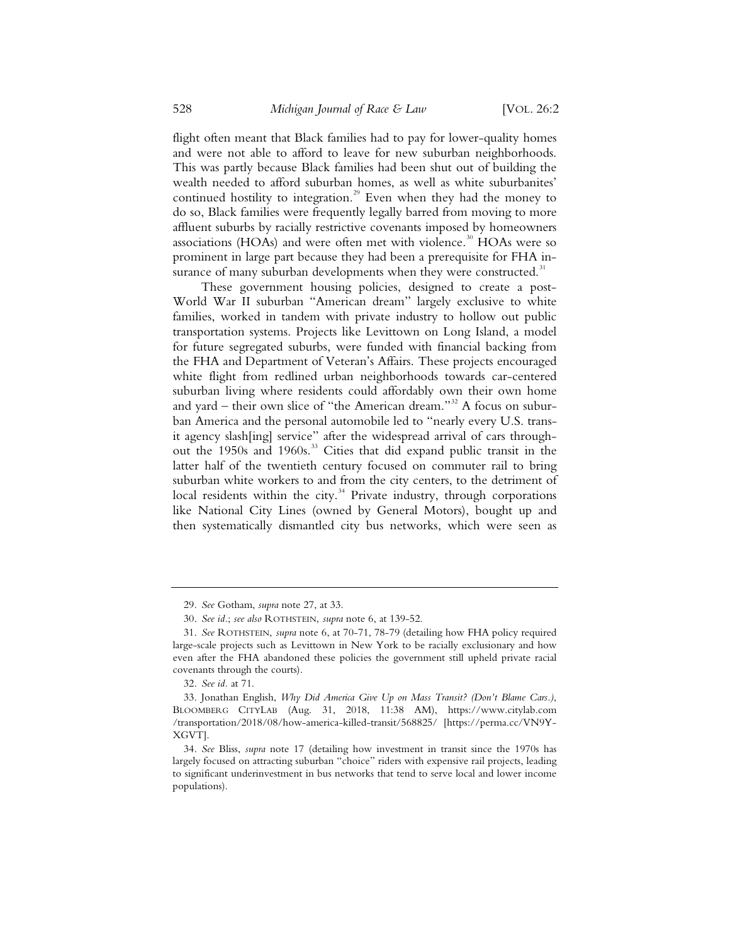flight often meant that Black families had to pay for lower-quality homes and were not able to afford to leave for new suburban neighborhoods. This was partly because Black families had been shut out of building the wealth needed to afford suburban homes, as well as white suburbanites' continued hostility to integration.<sup>29</sup> Even when they had the money to do so, Black families were frequently legally barred from moving to more affluent suburbs by racially restrictive covenants imposed by homeowners associations (HOAs) and were often met with violence. $30$  HOAs were so prominent in large part because they had been a prerequisite for FHA insurance of many suburban developments when they were constructed.<sup>31</sup>

These government housing policies, designed to create a post-World War II suburban "American dream" largely exclusive to white families, worked in tandem with private industry to hollow out public transportation systems. Projects like Levittown on Long Island, a model for future segregated suburbs, were funded with financial backing from the FHA and Department of Veteran's Affairs. These projects encouraged white flight from redlined urban neighborhoods towards car-centered suburban living where residents could affordably own their own home and yard – their own slice of "the American dream."<sup>32</sup> A focus on suburban America and the personal automobile led to "nearly every U.S. transit agency slash[ing] service" after the widespread arrival of cars throughout the 1950s and 1960s.<sup>33</sup> Cities that did expand public transit in the latter half of the twentieth century focused on commuter rail to bring suburban white workers to and from the city centers, to the detriment of local residents within the city.<sup>34</sup> Private industry, through corporations like National City Lines (owned by General Motors), bought up and then systematically dismantled city bus networks, which were seen as

<sup>29.</sup> *See* Gotham, *supra* note 27, at 33.

<sup>30.</sup> *See id.*; *see also* ROTHSTEIN, *supra* note 6, at 139-52.

<sup>31.</sup> *See* ROTHSTEIN, *supra* note 6, at 70-71, 78-79 (detailing how FHA policy required large-scale projects such as Levittown in New York to be racially exclusionary and how even after the FHA abandoned these policies the government still upheld private racial covenants through the courts).

<sup>32.</sup> *See id.* at 71.

<sup>33.</sup> Jonathan English, *Why Did America Give Up on Mass Transit? (Don't Blame Cars.)*, BLOOMBERG CITYLAB (Aug. 31, 2018, 11:38 AM), https://www.citylab.com /transportation/2018/08/how-america-killed-transit/568825/ [https://perma.cc/VN9Y-XGVT].

<sup>34.</sup> *See* Bliss, *supra* note 17 (detailing how investment in transit since the 1970s has largely focused on attracting suburban "choice" riders with expensive rail projects, leading to significant underinvestment in bus networks that tend to serve local and lower income populations).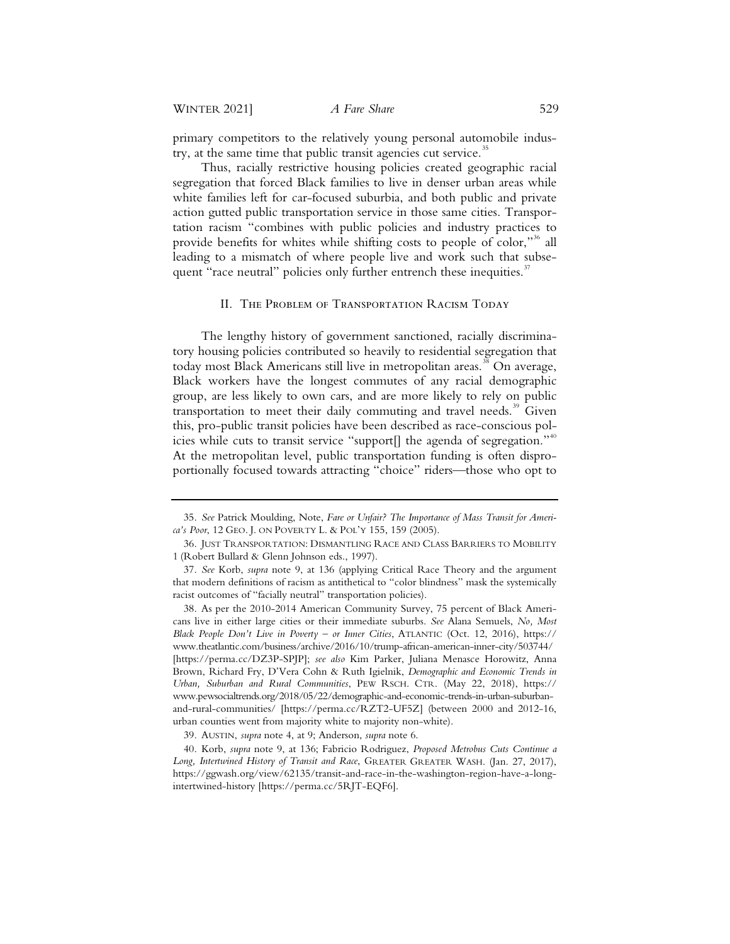primary competitors to the relatively young personal automobile industry, at the same time that public transit agencies cut service.<sup>35</sup>

Thus, racially restrictive housing policies created geographic racial segregation that forced Black families to live in denser urban areas while white families left for car-focused suburbia, and both public and private action gutted public transportation service in those same cities. Transportation racism "combines with public policies and industry practices to provide benefits for whites while shifting costs to people of color,"<sup>36</sup> all leading to a mismatch of where people live and work such that subsequent "race neutral" policies only further entrench these inequities.<sup>37</sup>

## II. The Problem of Transportation Racism Today

The lengthy history of government sanctioned, racially discriminatory housing policies contributed so heavily to residential segregation that today most Black Americans still live in metropolitan areas.<sup>38</sup> On average, Black workers have the longest commutes of any racial demographic group, are less likely to own cars, and are more likely to rely on public transportation to meet their daily commuting and travel needs. $39$  Given this, pro-public transit policies have been described as race-conscious policies while cuts to transit service "support $[]$  the agenda of segregation."<sup>40</sup> At the metropolitan level, public transportation funding is often disproportionally focused towards attracting "choice" riders—those who opt to

<sup>35.</sup> *See* Patrick Moulding, Note, *Fare or Unfair? The Importance of Mass Transit for America's Poor*, 12 GEO. J. ON POVERTY L. & POL'Y 155, 159 (2005).

<sup>36.</sup> JUST TRANSPORTATION: DISMANTLING RACE AND CLASS BARRIERS TO MOBILITY 1 (Robert Bullard & Glenn Johnson eds., 1997).

<sup>37.</sup> *See* Korb, *supra* note 9, at 136 (applying Critical Race Theory and the argument that modern definitions of racism as antithetical to "color blindness" mask the systemically racist outcomes of "facially neutral" transportation policies).

<sup>38.</sup> As per the 2010-2014 American Community Survey, 75 percent of Black Americans live in either large cities or their immediate suburbs. *See* Alana Semuels, *No, Most Black People Don't Live in Poverty – or Inner Cities*, ATLANTIC (Oct. 12, 2016), https:// www.theatlantic.com/business/archive/2016/10/trump-african-american-inner-city/503744/ [https://perma.cc/DZ3P-SPJP]; *see also* Kim Parker, Juliana Menasce Horowitz, Anna Brown, Richard Fry, D'Vera Cohn & Ruth Igielnik, *Demographic and Economic Trends in Urban, Suburban and Rural Communities*, PEW RSCH. CTR. (May 22, 2018), https:// www.pewsocialtrends.org/2018/05/22/demographic-and-economic-trends-in-urban-suburbanand-rural-communities/ [https://perma.cc/RZT2-UF5Z] (between 2000 and 2012-16, urban counties went from majority white to majority non-white).

<sup>39.</sup> AUSTIN, *supra* note 4, at 9; Anderson, *supra* note 6.

<sup>40.</sup> Korb, *supra* note 9, at 136; Fabricio Rodriguez, *Proposed Metrobus Cuts Continue a Long, Intertwined History of Transit and Race*, GREATER GREATER WASH. (Jan. 27, 2017), https://ggwash.org/view/62135/transit-and-race-in-the-washington-region-have-a-longintertwined-history [https://perma.cc/5RJT-EQF6].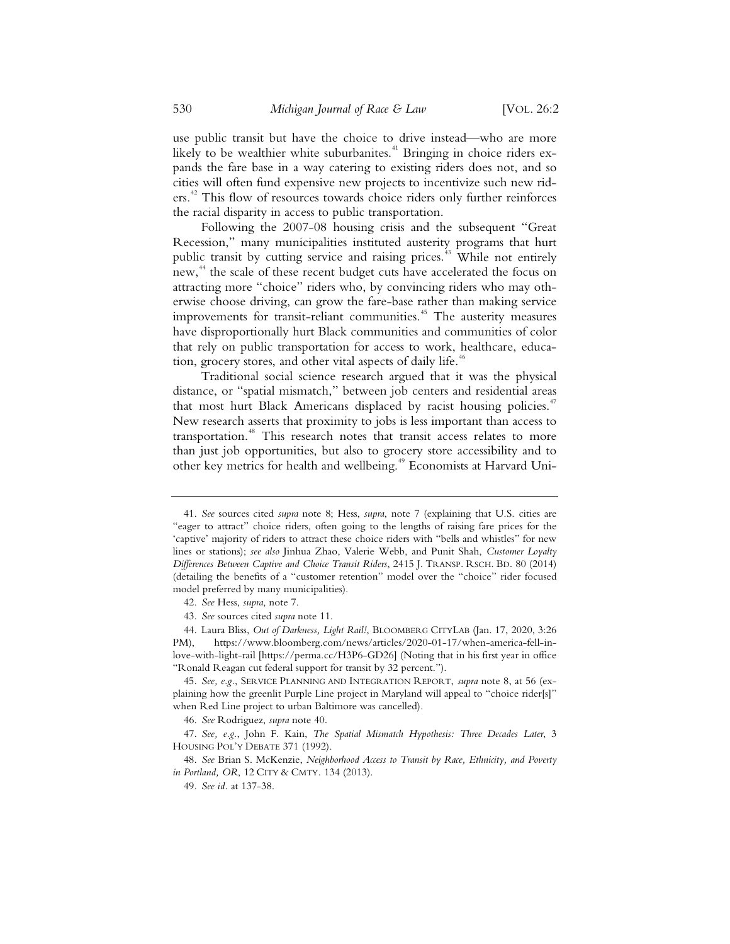use public transit but have the choice to drive instead—who are more likely to be wealthier white suburbanites.<sup>41</sup> Bringing in choice riders expands the fare base in a way catering to existing riders does not, and so cities will often fund expensive new projects to incentivize such new riders.<sup>42</sup> This flow of resources towards choice riders only further reinforces the racial disparity in access to public transportation.

Following the 2007-08 housing crisis and the subsequent "Great Recession," many municipalities instituted austerity programs that hurt public transit by cutting service and raising prices.<sup>43</sup> While not entirely new,<sup>44</sup> the scale of these recent budget cuts have accelerated the focus on attracting more "choice" riders who, by convincing riders who may otherwise choose driving, can grow the fare-base rather than making service improvements for transit-reliant communities.<sup>45</sup> The austerity measures have disproportionally hurt Black communities and communities of color that rely on public transportation for access to work, healthcare, education, grocery stores, and other vital aspects of daily life.<sup>46</sup>

Traditional social science research argued that it was the physical distance, or "spatial mismatch," between job centers and residential areas that most hurt Black Americans displaced by racist housing policies.<sup>47</sup> New research asserts that proximity to jobs is less important than access to transportation.<sup>48</sup> This research notes that transit access relates to more than just job opportunities, but also to grocery store accessibility and to other key metrics for health and wellbeing.<sup>49</sup> Economists at Harvard Uni-

<sup>41.</sup> *See* sources cited *supra* note 8; Hess, *supra*, note 7 (explaining that U.S. cities are "eager to attract" choice riders, often going to the lengths of raising fare prices for the 'captive' majority of riders to attract these choice riders with "bells and whistles" for new lines or stations); *see also* Jinhua Zhao, Valerie Webb, and Punit Shah, *Customer Loyalty Differences Between Captive and Choice Transit Riders*, 2415 J. TRANSP. RSCH. BD. 80 (2014) (detailing the benefits of a "customer retention" model over the "choice" rider focused model preferred by many municipalities).

<sup>42.</sup> *See* Hess, *supra*, note 7.

<sup>43.</sup> *See* sources cited *supra* note 11.

<sup>44.</sup> Laura Bliss, *Out of Darkness, Light Rail!*, BLOOMBERG CITYLAB (Jan. 17, 2020, 3:26 PM), https://www.bloomberg.com/news/articles/2020-01-17/when-america-fell-inlove-with-light-rail [https://perma.cc/H3P6-GD26] (Noting that in his first year in office "Ronald Reagan cut federal support for transit by 32 percent.").

<sup>45.</sup> *See, e.g.*, SERVICE PLANNING AND INTEGRATION REPORT, *supra* note 8, at 56 (explaining how the greenlit Purple Line project in Maryland will appeal to "choice rider[s]" when Red Line project to urban Baltimore was cancelled).

<sup>46.</sup> *See* Rodriguez, *supra* note 40.

<sup>47.</sup> *See, e.g.*, John F. Kain, *The Spatial Mismatch Hypothesis: Three Decades Later*, 3 HOUSING POL'Y DEBATE 371 (1992).

<sup>48.</sup> *See* Brian S. McKenzie, *Neighborhood Access to Transit by Race, Ethnicity, and Poverty in Portland, OR*, 12 CITY & CMTY. 134 (2013).

<sup>49.</sup> *See id.* at 137-38.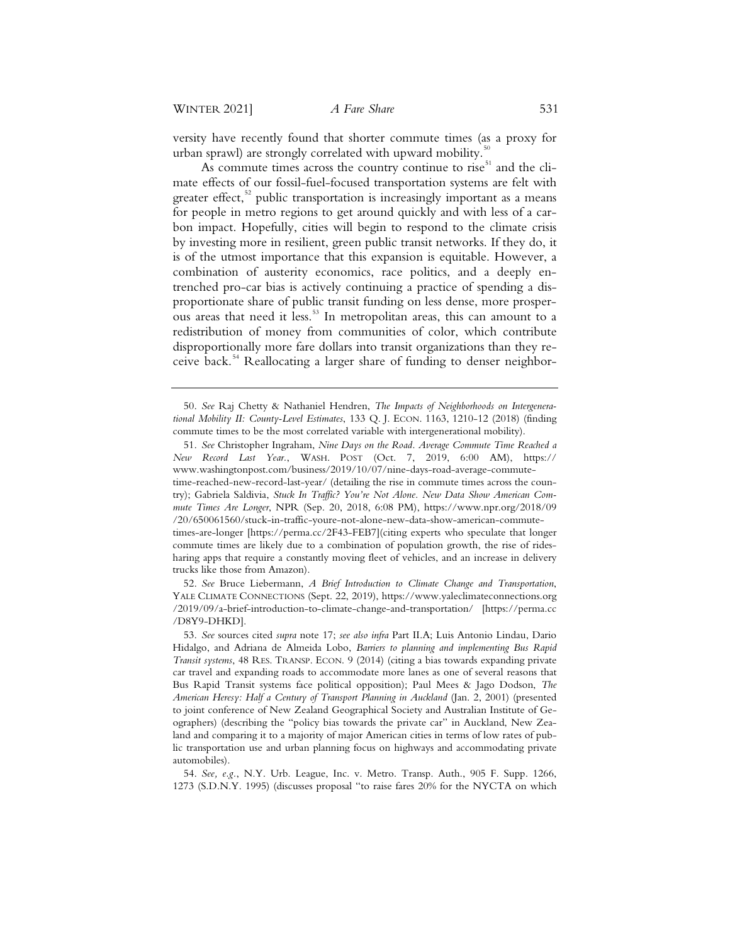versity have recently found that shorter commute times (as a proxy for urban sprawl) are strongly correlated with upward mobility.

As commute times across the country continue to rise<sup>51</sup> and the climate effects of our fossil-fuel-focused transportation systems are felt with greater effect, $52$  public transportation is increasingly important as a means for people in metro regions to get around quickly and with less of a carbon impact. Hopefully, cities will begin to respond to the climate crisis by investing more in resilient, green public transit networks. If they do, it is of the utmost importance that this expansion is equitable. However, a combination of austerity economics, race politics, and a deeply entrenched pro-car bias is actively continuing a practice of spending a disproportionate share of public transit funding on less dense, more prosperous areas that need it less.<sup>53</sup> In metropolitan areas, this can amount to a redistribution of money from communities of color, which contribute disproportionally more fare dollars into transit organizations than they receive back.<sup>54</sup> Reallocating a larger share of funding to denser neighbor-

 52. *See* Bruce Liebermann, *A Brief Introduction to Climate Change and Transportation*, YALE CLIMATE CONNECTIONS (Sept. 22, 2019), https://www.yaleclimateconnections.org /2019/09/a-brief-introduction-to-climate-change-and-transportation/ [https://perma.cc /D8Y9-DHKD].

 <sup>50.</sup> *See* Raj Chetty & Nathaniel Hendren, *The Impacts of Neighborhoods on Intergenerational Mobility II: County-Level Estimates*, 133 Q. J. ECON. 1163, 1210-12 (2018) (finding commute times to be the most correlated variable with intergenerational mobility).

 <sup>51.</sup> *See* Christopher Ingraham, *Nine Days on the Road. Average Commute Time Reached a New Record Last Year.*, WASH. POST (Oct. 7, 2019, 6:00 AM), https:// www.washingtonpost.com/business/2019/10/07/nine-days-road-average-commutetime-reached-new-record-last-year/ (detailing the rise in commute times across the country); Gabriela Saldivia, *Stuck In Traffic? You're Not Alone. New Data Show American Commute Times Are Longer*, NPR (Sep. 20, 2018, 6:08 PM), https://www.npr.org/2018/09 /20/650061560/stuck-in-traffic-youre-not-alone-new-data-show-american-commutetimes-are-longer [https://perma.cc/2F43-FEB7](citing experts who speculate that longer commute times are likely due to a combination of population growth, the rise of ridesharing apps that require a constantly moving fleet of vehicles, and an increase in delivery trucks like those from Amazon).

 <sup>53.</sup> *See* sources cited *supra* note 17; *see also infra* Part II.A; Luis Antonio Lindau, Dario Hidalgo, and Adriana de Almeida Lobo, *Barriers to planning and implementing Bus Rapid Transit systems*, 48 RES. TRANSP. ECON. 9 (2014) (citing a bias towards expanding private car travel and expanding roads to accommodate more lanes as one of several reasons that Bus Rapid Transit systems face political opposition); Paul Mees & Jago Dodson, *The American Heresy: Half a Century of Transport Planning in Auckland* (Jan. 2, 2001) (presented to joint conference of New Zealand Geographical Society and Australian Institute of Geographers) (describing the "policy bias towards the private car" in Auckland, New Zealand and comparing it to a majority of major American cities in terms of low rates of public transportation use and urban planning focus on highways and accommodating private automobiles).

 <sup>54.</sup> *See, e.g.*, N.Y. Urb. League, Inc. v. Metro. Transp. Auth., 905 F. Supp. 1266, 1273 (S.D.N.Y. 1995) (discusses proposal "to raise fares 20% for the NYCTA on which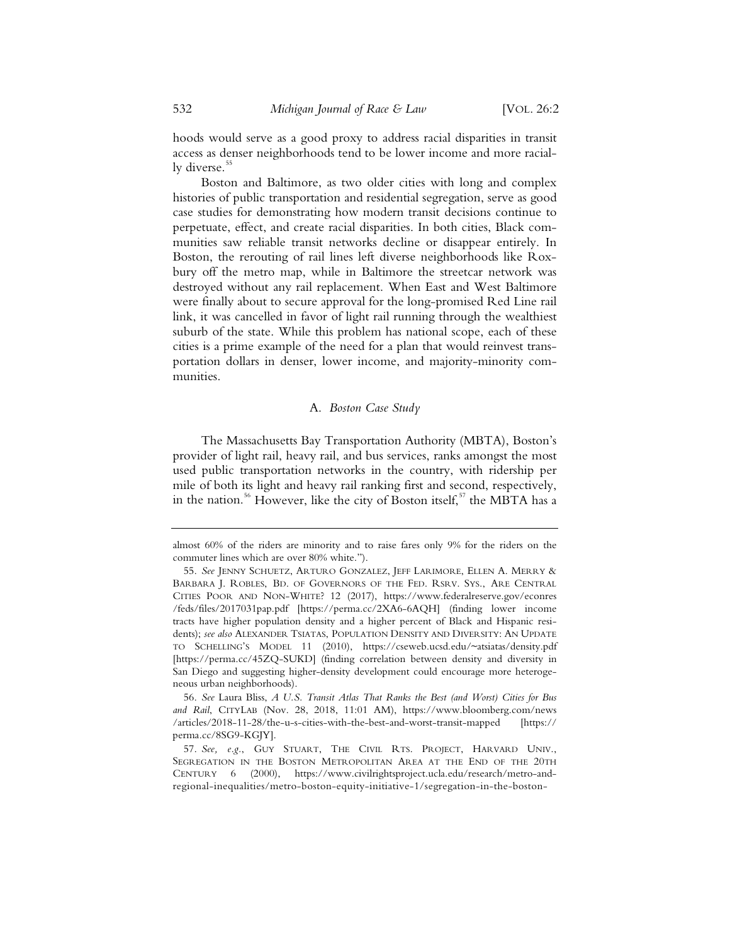hoods would serve as a good proxy to address racial disparities in transit access as denser neighborhoods tend to be lower income and more racially diverse.<sup>55</sup>

Boston and Baltimore, as two older cities with long and complex histories of public transportation and residential segregation, serve as good case studies for demonstrating how modern transit decisions continue to perpetuate, effect, and create racial disparities. In both cities, Black communities saw reliable transit networks decline or disappear entirely. In Boston, the rerouting of rail lines left diverse neighborhoods like Roxbury off the metro map, while in Baltimore the streetcar network was destroyed without any rail replacement. When East and West Baltimore were finally about to secure approval for the long-promised Red Line rail link, it was cancelled in favor of light rail running through the wealthiest suburb of the state. While this problem has national scope, each of these cities is a prime example of the need for a plan that would reinvest transportation dollars in denser, lower income, and majority-minority communities.

## A. *Boston Case Study*

The Massachusetts Bay Transportation Authority (MBTA), Boston's provider of light rail, heavy rail, and bus services, ranks amongst the most used public transportation networks in the country, with ridership per mile of both its light and heavy rail ranking first and second, respectively, in the nation.<sup>56</sup> However, like the city of Boston itself,<sup>57</sup> the MBTA has a

almost 60% of the riders are minority and to raise fares only 9% for the riders on the commuter lines which are over 80% white.").

 <sup>55.</sup> *See* JENNY SCHUETZ, ARTURO GONZALEZ, JEFF LARIMORE, ELLEN A. MERRY & BARBARA J. ROBLES, BD. OF GOVERNORS OF THE FED. RSRV. SYS., ARE CENTRAL CITIES POOR AND NON-WHITE? 12 (2017), https://www.federalreserve.gov/econres /feds/files/2017031pap.pdf [https://perma.cc/2XA6-6AQH] (finding lower income tracts have higher population density and a higher percent of Black and Hispanic residents); *see also* ALEXANDER TSIATAS, POPULATION DENSITY AND DIVERSITY: AN UPDATE TO SCHELLING'S MODEL 11 (2010), https://cseweb.ucsd.edu/~atsiatas/density.pdf [https://perma.cc/45ZQ-SUKD] (finding correlation between density and diversity in San Diego and suggesting higher-density development could encourage more heterogeneous urban neighborhoods).

 <sup>56.</sup> *See* Laura Bliss, *A U.S. Transit Atlas That Ranks the Best (and Worst) Cities for Bus and Rail*, CITYLAB (Nov. 28, 2018, 11:01 AM), https://www.bloomberg.com/news /articles/2018-11-28/the-u-s-cities-with-the-best-and-worst-transit-mapped [https:// perma.cc/8SG9-KGJY].

 <sup>57.</sup> *See, e.g.*, GUY STUART, THE CIVIL RTS. PROJECT, HARVARD UNIV., SEGREGATION IN THE BOSTON METROPOLITAN AREA AT THE END OF THE 20TH CENTURY 6 (2000), https://www.civilrightsproject.ucla.edu/research/metro-andregional-inequalities/metro-boston-equity-initiative-1/segregation-in-the-boston-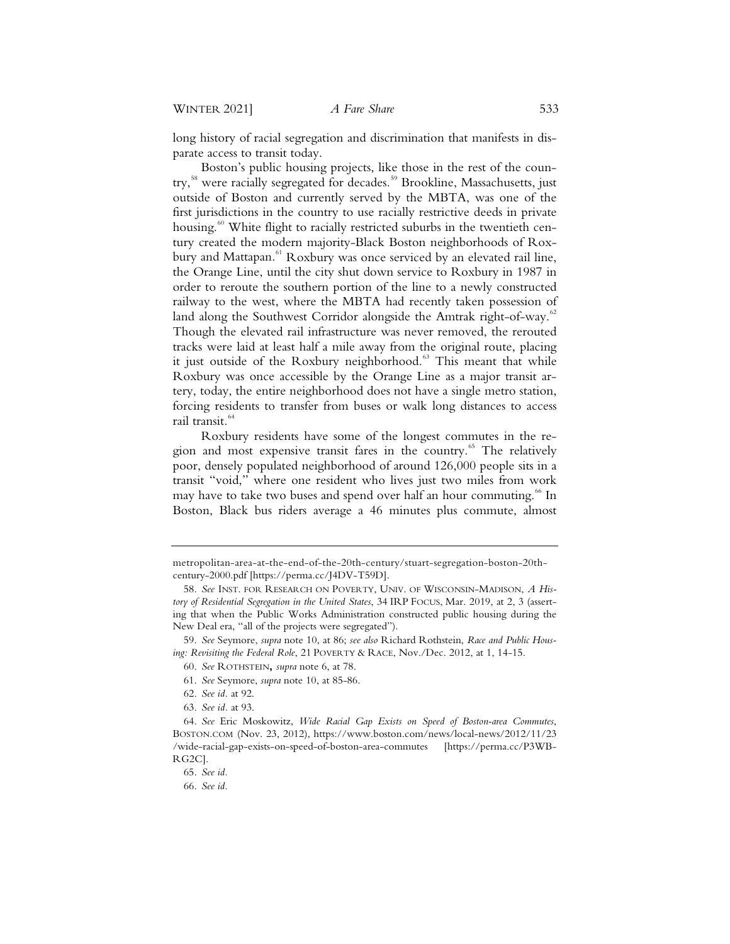long history of racial segregation and discrimination that manifests in disparate access to transit today.

Boston's public housing projects, like those in the rest of the country,<sup>58</sup> were racially segregated for decades.<sup>59</sup> Brookline, Massachusetts, just outside of Boston and currently served by the MBTA, was one of the first jurisdictions in the country to use racially restrictive deeds in private housing.<sup>60</sup> White flight to racially restricted suburbs in the twentieth century created the modern majority-Black Boston neighborhoods of Roxbury and Mattapan.<sup>61</sup> Roxbury was once serviced by an elevated rail line, the Orange Line, until the city shut down service to Roxbury in 1987 in order to reroute the southern portion of the line to a newly constructed railway to the west, where the MBTA had recently taken possession of land along the Southwest Corridor alongside the Amtrak right-of-way.<sup>62</sup> Though the elevated rail infrastructure was never removed, the rerouted tracks were laid at least half a mile away from the original route, placing it just outside of the Roxbury neighborhood.<sup>63</sup> This meant that while Roxbury was once accessible by the Orange Line as a major transit artery, today, the entire neighborhood does not have a single metro station, forcing residents to transfer from buses or walk long distances to access rail transit.<sup>64</sup>

Roxbury residents have some of the longest commutes in the region and most expensive transit fares in the country.<sup>65</sup> The relatively poor, densely populated neighborhood of around 126,000 people sits in a transit "void," where one resident who lives just two miles from work may have to take two buses and spend over half an hour commuting.<sup>66</sup> In Boston, Black bus riders average a 46 minutes plus commute, almost

metropolitan-area-at-the-end-of-the-20th-century/stuart-segregation-boston-20thcentury-2000.pdf [https://perma.cc/J4DV-T59D].

<sup>58.</sup> *See* INST. FOR RESEARCH ON POVERTY, UNIV. OF WISCONSIN-MADISON, *A History of Residential Segregation in the United States*, 34 IRP FOCUS, Mar. 2019, at 2, 3 (asserting that when the Public Works Administration constructed public housing during the New Deal era, "all of the projects were segregated").

<sup>59.</sup> *See* Seymore, *supra* note 10, at 86; *see also* Richard Rothstein, *Race and Public Housing: Revisiting the Federal Role*, 21 POVERTY & RACE, Nov./Dec. 2012, at 1, 14-15.

<sup>60.</sup> *See* ROTHSTEIN**,** *supra* note 6, at 78.

<sup>61.</sup> *See* Seymore, *supra* note 10, at 85-86.

<sup>62.</sup> *See id.* at 92.

<sup>63.</sup> *See id.* at 93.

<sup>64.</sup> *See* Eric Moskowitz, *Wide Racial Gap Exists on Speed of Boston-area Commutes*, BOSTON.COM (Nov. 23, 2012), https://www.boston.com/news/local-news/2012/11/23 /wide-racial-gap-exists-on-speed-of-boston-area-commutes [https://perma.cc/P3WB-RG2C].

<sup>65.</sup> *See id.*

<sup>66.</sup> *See id.*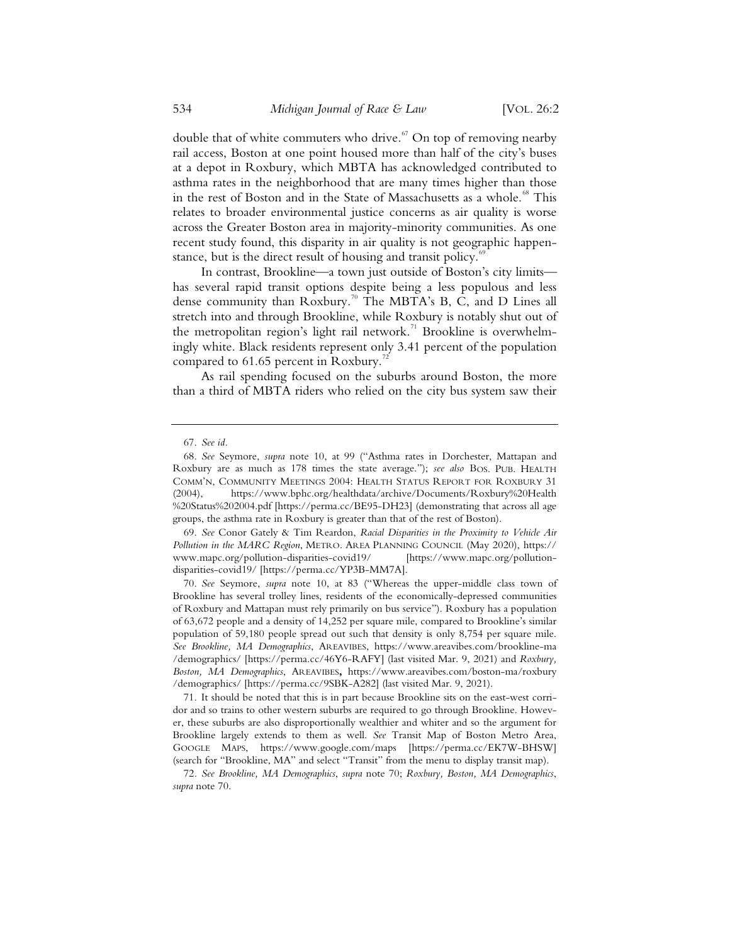double that of white commuters who drive.<sup>67</sup> On top of removing nearby rail access, Boston at one point housed more than half of the city's buses at a depot in Roxbury, which MBTA has acknowledged contributed to asthma rates in the neighborhood that are many times higher than those in the rest of Boston and in the State of Massachusetts as a whole.<sup>68</sup> This relates to broader environmental justice concerns as air quality is worse across the Greater Boston area in majority-minority communities. As one recent study found, this disparity in air quality is not geographic happenstance, but is the direct result of housing and transit policy.<sup>6</sup>

In contrast, Brookline—a town just outside of Boston's city limits has several rapid transit options despite being a less populous and less dense community than Roxbury.<sup>70</sup> The MBTA's B, C, and D Lines all stretch into and through Brookline, while Roxbury is notably shut out of the metropolitan region's light rail network.<sup>71</sup> Brookline is overwhelmingly white. Black residents represent only 3.41 percent of the population compared to 61.65 percent in Roxbury.

As rail spending focused on the suburbs around Boston, the more than a third of MBTA riders who relied on the city bus system saw their

 69. *See* Conor Gately & Tim Reardon, *Racial Disparities in the Proximity to Vehicle Air Pollution in the MARC Region*, METRO. AREA PLANNING COUNCIL (May 2020), https:// www.mapc.org/pollution-disparities-covid19/ [https://www.mapc.org/pollutiondisparities-covid19/ [https://perma.cc/YP3B-MM7A].

 70. *See* Seymore, *supra* note 10, at 83 ("Whereas the upper-middle class town of Brookline has several trolley lines, residents of the economically-depressed communities of Roxbury and Mattapan must rely primarily on bus service"). Roxbury has a population of 63,672 people and a density of 14,252 per square mile, compared to Brookline's similar population of 59,180 people spread out such that density is only 8,754 per square mile. *See Brookline, MA Demographics*, AREAVIBES, https://www.areavibes.com/brookline-ma /demographics/ [https://perma.cc/46Y6-RAFY] (last visited Mar. 9, 2021) and *Roxbury, Boston, MA Demographics*, AREAVIBES**,** https://www.areavibes.com/boston-ma/roxbury /demographics/ [https://perma.cc/9SBK-A282] (last visited Mar. 9, 2021).

 71. It should be noted that this is in part because Brookline sits on the east-west corridor and so trains to other western suburbs are required to go through Brookline. However, these suburbs are also disproportionally wealthier and whiter and so the argument for Brookline largely extends to them as well. *See* Transit Map of Boston Metro Area, GOOGLE MAPS, https://www.google.com/maps [https://perma.cc/EK7W-BHSW] (search for "Brookline, MA" and select "Transit" from the menu to display transit map).

 <sup>67.</sup> *See id.*

 <sup>68.</sup> *See* Seymore, *supra* note 10, at 99 ("Asthma rates in Dorchester, Mattapan and Roxbury are as much as 178 times the state average."); *see also* BOS. PUB. HEALTH COMM'N, COMMUNITY MEETINGS 2004: HEALTH STATUS REPORT FOR ROXBURY 31 (2004), https://www.bphc.org/healthdata/archive/Documents/Roxbury%20Health %20Status%202004.pdf [https://perma.cc/BE95-DH23] (demonstrating that across all age groups, the asthma rate in Roxbury is greater than that of the rest of Boston).

<sup>72</sup>*. See Brookline, MA Demographics*, *supra* note 70; *Roxbury, Boston, MA Demographics*, *supra* note 70.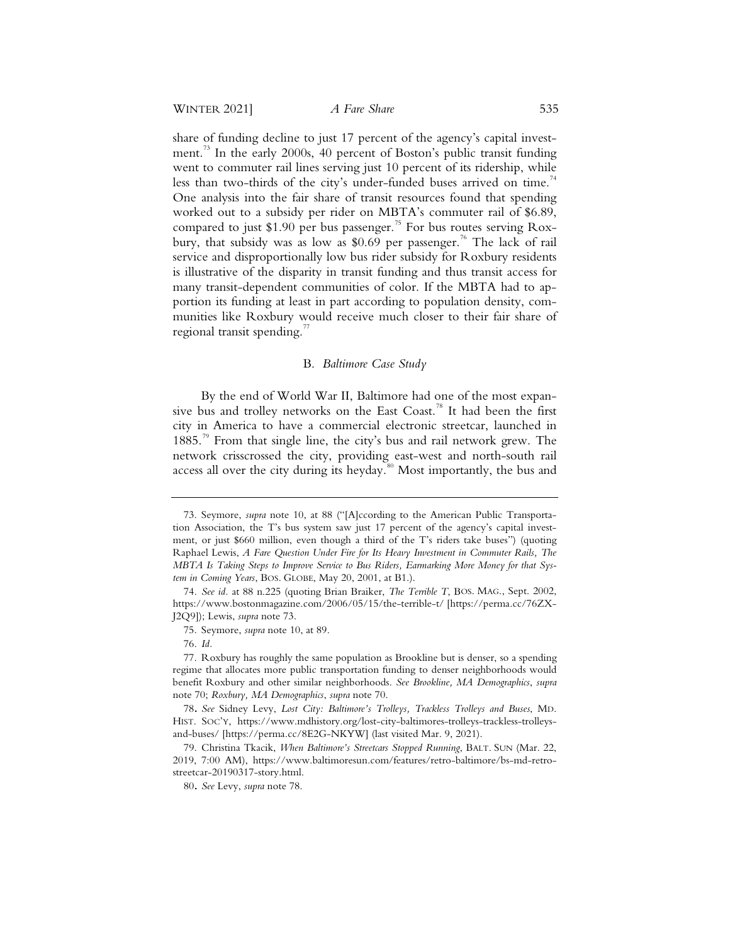share of funding decline to just 17 percent of the agency's capital investment.<sup>73</sup> In the early 2000s, 40 percent of Boston's public transit funding went to commuter rail lines serving just 10 percent of its ridership, while less than two-thirds of the city's under-funded buses arrived on time.<sup>74</sup> One analysis into the fair share of transit resources found that spending worked out to a subsidy per rider on MBTA's commuter rail of \$6.89, compared to just \$1.90 per bus passenger.<sup>75</sup> For bus routes serving Roxbury, that subsidy was as low as \$0.69 per passenger.<sup>76</sup> The lack of rail service and disproportionally low bus rider subsidy for Roxbury residents is illustrative of the disparity in transit funding and thus transit access for many transit-dependent communities of color. If the MBTA had to apportion its funding at least in part according to population density, communities like Roxbury would receive much closer to their fair share of regional transit spending. $\frac{7}{7}$ 

#### B. *Baltimore Case Study*

By the end of World War II, Baltimore had one of the most expansive bus and trolley networks on the East Coast.<sup>78</sup> It had been the first city in America to have a commercial electronic streetcar, launched in 1885.79 From that single line, the city's bus and rail network grew. The network crisscrossed the city, providing east-west and north-south rail access all over the city during its heyday.<sup>80</sup> Most importantly, the bus and

 <sup>73.</sup> Seymore, *supra* note 10, at 88 ("[A]ccording to the American Public Transportation Association, the T's bus system saw just 17 percent of the agency's capital investment, or just \$660 million, even though a third of the T's riders take buses") (quoting Raphael Lewis, *A Fare Question Under Fire for Its Heavy Investment in Commuter Rails, The MBTA Is Taking Steps to Improve Service to Bus Riders, Earmarking More Money for that System in Coming Years*, BOS. GLOBE, May 20, 2001, at B1.).

 <sup>74.</sup> *See id.* at 88 n.225 (quoting Brian Braiker, *The Terrible T*, BOS. MAG., Sept. 2002, https://www.bostonmagazine.com/2006/05/15/the-terrible-t/ [https://perma.cc/76ZX-J2Q9]); Lewis, *supra* note 73.

 <sup>75.</sup> Seymore, *supra* note 10, at 89.

 <sup>76.</sup> *Id.*

 <sup>77.</sup> Roxbury has roughly the same population as Brookline but is denser, so a spending regime that allocates more public transportation funding to denser neighborhoods would benefit Roxbury and other similar neighborhoods. *See Brookline, MA Demographics*, *supra* note 70; *Roxbury, MA Demographics*, *supra* note 70.

<sup>78</sup>**.** *See* Sidney Levy, *Lost City: Baltimore's Trolleys, Trackless Trolleys and Buses*, MD. HIST. SOC'Y, https://www.mdhistory.org/lost-city-baltimores-trolleys-trackless-trolleysand-buses/ [https://perma.cc/8E2G-NKYW] (last visited Mar. 9, 2021).

 <sup>79.</sup> Christina Tkacik, *When Baltimore's Streetcars Stopped Running*, BALT. SUN (Mar. 22, 2019, 7:00 AM), https://www.baltimoresun.com/features/retro-baltimore/bs-md-retrostreetcar-20190317-story.html.

<sup>80</sup>**.** *See* Levy, *supra* note 78.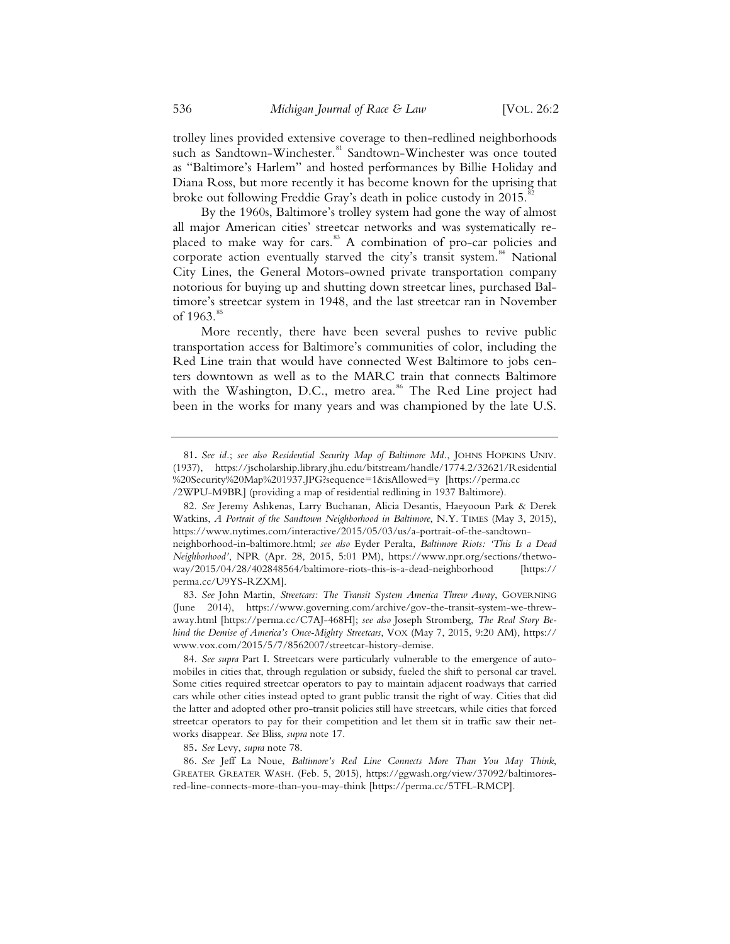trolley lines provided extensive coverage to then-redlined neighborhoods such as Sandtown-Winchester.<sup>81</sup> Sandtown-Winchester was once touted as "Baltimore's Harlem" and hosted performances by Billie Holiday and Diana Ross, but more recently it has become known for the uprising that broke out following Freddie Gray's death in police custody in 2015.

By the 1960s, Baltimore's trolley system had gone the way of almost all major American cities' streetcar networks and was systematically replaced to make way for cars.<sup>83</sup> A combination of pro-car policies and corporate action eventually starved the city's transit system.<sup>84</sup> National City Lines, the General Motors-owned private transportation company notorious for buying up and shutting down streetcar lines, purchased Baltimore's streetcar system in 1948, and the last streetcar ran in November of 1963.<sup>85</sup>

More recently, there have been several pushes to revive public transportation access for Baltimore's communities of color, including the Red Line train that would have connected West Baltimore to jobs centers downtown as well as to the MARC train that connects Baltimore with the Washington, D.C., metro area.<sup>86</sup> The Red Line project had been in the works for many years and was championed by the late U.S.

85**.** *See* Levy, *supra* note 78.

<sup>81</sup>**.** *See id.*; *see also Residential Security Map of Baltimore Md.*, JOHNS HOPKINS UNIV. (1937), https://jscholarship.library.jhu.edu/bitstream/handle/1774.2/32621/Residential %20Security%20Map%201937.JPG?sequence=1&isAllowed=y [https://perma.cc /2WPU-M9BR] (providing a map of residential redlining in 1937 Baltimore).

 <sup>82.</sup> *See* Jeremy Ashkenas, Larry Buchanan, Alicia Desantis, Haeyooun Park & Derek Watkins, *A Portrait of the Sandtown Neighborhood in Baltimore*, N.Y. TIMES (May 3, 2015), https://www.nytimes.com/interactive/2015/05/03/us/a-portrait-of-the-sandtownneighborhood-in-baltimore.html; *see also* Eyder Peralta, *Baltimore Riots: 'This Is a Dead Neighborhood'*, NPR (Apr. 28, 2015, 5:01 PM), https://www.npr.org/sections/thetwoway/2015/04/28/402848564/baltimore-riots-this-is-a-dead-neighborhood [https:// perma.cc/U9YS-RZXM].

 <sup>83.</sup> *See* John Martin, *Streetcars: The Transit System America Threw Away*, GOVERNING (June 2014), https://www.governing.com/archive/gov-the-transit-system-we-threwaway.html [https://perma.cc/C7AJ-468H]; *see also* Joseph Stromberg, *The Real Story Behind the Demise of America's Once-Mighty Streetcars*, VOX (May 7, 2015, 9:20 AM), https:// www.vox.com/2015/5/7/8562007/streetcar-history-demise.

 <sup>84.</sup> *See supra* Part I. Streetcars were particularly vulnerable to the emergence of automobiles in cities that, through regulation or subsidy, fueled the shift to personal car travel. Some cities required streetcar operators to pay to maintain adjacent roadways that carried cars while other cities instead opted to grant public transit the right of way. Cities that did the latter and adopted other pro-transit policies still have streetcars, while cities that forced streetcar operators to pay for their competition and let them sit in traffic saw their networks disappear. *See* Bliss, *supra* note 17.

 <sup>86.</sup> *See* Jeff La Noue, *Baltimore's Red Line Connects More Than You May Think*, GREATER GREATER WASH. (Feb. 5, 2015), https://ggwash.org/view/37092/baltimoresred-line-connects-more-than-you-may-think [https://perma.cc/5TFL-RMCP].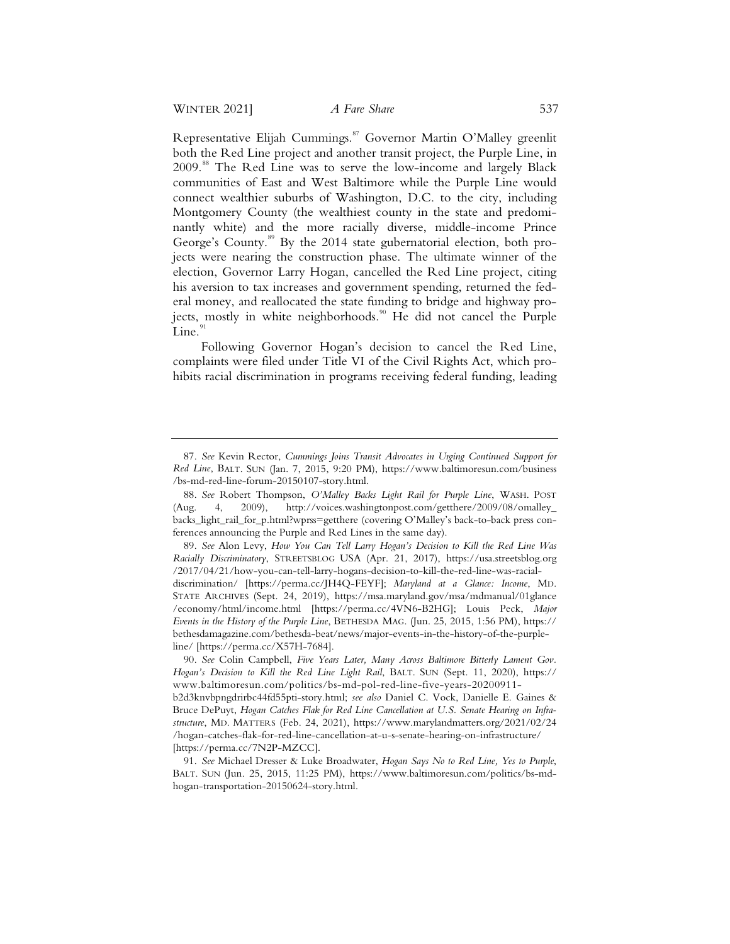Representative Elijah Cummings.<sup>87</sup> Governor Martin O'Malley greenlit both the Red Line project and another transit project, the Purple Line, in 2009.<sup>88</sup> The Red Line was to serve the low-income and largely Black communities of East and West Baltimore while the Purple Line would connect wealthier suburbs of Washington, D.C. to the city, including Montgomery County (the wealthiest county in the state and predominantly white) and the more racially diverse, middle-income Prince George's County.<sup>89</sup> By the 2014 state gubernatorial election, both projects were nearing the construction phase. The ultimate winner of the election, Governor Larry Hogan, cancelled the Red Line project, citing his aversion to tax increases and government spending, returned the federal money, and reallocated the state funding to bridge and highway projects, mostly in white neighborhoods.<sup>90</sup> He did not cancel the Purple Line. $91$ 

Following Governor Hogan's decision to cancel the Red Line, complaints were filed under Title VI of the Civil Rights Act, which prohibits racial discrimination in programs receiving federal funding, leading

<sup>87.</sup> *See* Kevin Rector, *Cummings Joins Transit Advocates in Urging Continued Support for Red Line*, BALT. SUN (Jan. 7, 2015, 9:20 PM), https://www.baltimoresun.com/business /bs-md-red-line-forum-20150107-story.html.

<sup>88.</sup> *See* Robert Thompson, *O'Malley Backs Light Rail for Purple Line*, WASH. POST (Aug. 4, 2009), http://voices.washingtonpost.com/getthere/2009/08/omalley\_ backs\_light\_rail\_for\_p.html?wprss=getthere (covering O'Malley's back-to-back press conferences announcing the Purple and Red Lines in the same day).

<sup>89.</sup> *See* Alon Levy, *How You Can Tell Larry Hogan's Decision to Kill the Red Line Was Racially Discriminatory*, STREETSBLOG USA (Apr. 21, 2017), https://usa.streetsblog.org /2017/04/21/how-you-can-tell-larry-hogans-decision-to-kill-the-red-line-was-racialdiscrimination/ [https://perma.cc/JH4Q-FEYF]; *Maryland at a Glance: Income*, MD. STATE ARCHIVES (Sept. 24, 2019), https://msa.maryland.gov/msa/mdmanual/01glance /economy/html/income.html [https://perma.cc/4VN6-B2HG]; Louis Peck, *Major Events in the History of the Purple Line*, BETHESDA MAG. (Jun. 25, 2015, 1:56 PM), https:// bethesdamagazine.com/bethesda-beat/news/major-events-in-the-history-of-the-purple-

line/ [https://perma.cc/X57H-7684].

<sup>90.</sup> *See* Colin Campbell, *Five Years Later, Many Across Baltimore Bitterly Lament Gov. Hogan's Decision to Kill the Red Line Light Rail*, BALT. SUN (Sept. 11, 2020), https:// www.baltimoresun.com/politics/bs-md-pol-red-line-five-years-20200911-

b2d3knvbpngdrirbc44fd55pti-story.html; *see also* Daniel C. Vock, Danielle E. Gaines & Bruce DePuyt, *Hogan Catches Flak for Red Line Cancellation at U.S. Senate Hearing on Infrastructure*, MD. MATTERS (Feb. 24, 2021), https://www.marylandmatters.org/2021/02/24 /hogan-catches-flak-for-red-line-cancellation-at-u-s-senate-hearing-on-infrastructure/ [https://perma.cc/7N2P-MZCC].

<sup>91.</sup> *See* Michael Dresser & Luke Broadwater, *Hogan Says No to Red Line, Yes to Purple*, BALT. SUN (Jun. 25, 2015, 11:25 PM), https://www.baltimoresun.com/politics/bs-mdhogan-transportation-20150624-story.html.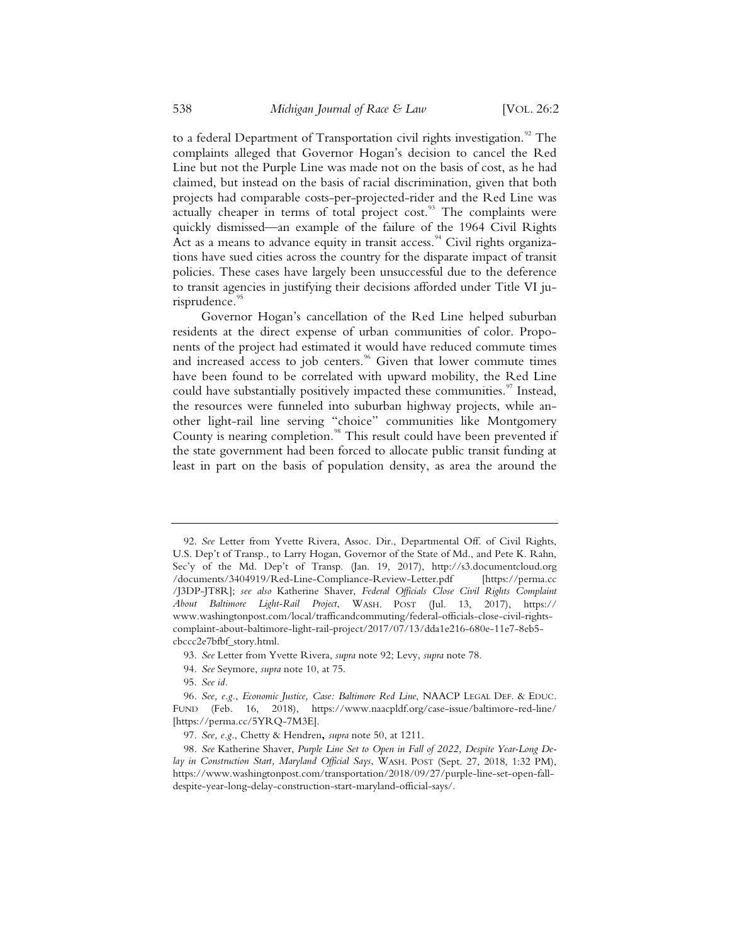to a federal Department of Transportation civil rights investigation.<sup>92</sup> The complaints alleged that Governor Hogan's decision to cancel the Red Line but not the Purple Line was made not on the basis of cost, as he had claimed, but instead on the basis of racial discrimination, given that both projects had comparable costs-per-projected-rider and the Red Line was actually cheaper in terms of total project cost.<sup>93</sup> The complaints were quickly dismissed—an example of the failure of the 1964 Civil Rights Act as a means to advance equity in transit access.<sup>94</sup> Civil rights organizations have sued cities across the country for the disparate impact of transit policies. These cases have largely been unsuccessful due to the deference to transit agencies in justifying their decisions afforded under Title VI jurisprudence.<sup>95</sup>

Governor Hogan's cancellation of the Red Line helped suburban residents at the direct expense of urban communities of color. Proponents of the project had estimated it would have reduced commute times and increased access to job centers.<sup>96</sup> Given that lower commute times have been found to be correlated with upward mobility, the Red Line could have substantially positively impacted these communities.<sup>97</sup> Instead, the resources were funneled into suburban highway projects, while another light-rail line serving "choice" communities like Montgomery County is nearing completion.<sup>98</sup> This result could have been prevented if the state government had been forced to allocate public transit funding at least in part on the basis of population density, as area the around the

94. *See* Seymore, *supra* note 10, at 75.

<sup>92.</sup> *See* Letter from Yvette Rivera, Assoc. Dir., Departmental Off. of Civil Rights, U.S. Dep't of Transp., to Larry Hogan, Governor of the State of Md., and Pete K. Rahn, Sec'y of the Md. Dep't of Transp. (Jan. 19, 2017), http://s3.documentcloud.org /documents/3404919/Red-Line-Compliance-Review-Letter.pdf [https://perma.cc /J3DP-JT8R]; *see also* Katherine Shaver, *Federal Officials Close Civil Rights Complaint About Baltimore Light-Rail Project*, WASH. POST (Jul. 13, 2017), https:// www.washingtonpost.com/local/trafficandcommuting/federal-officials-close-civil-rightscomplaint-about-baltimore-light-rail-project/2017/07/13/dda1e216-680e-11e7-8eb5 cbccc2e7bfbf\_story.html.

<sup>93.</sup> *See* Letter from Yvette Rivera, *supra* note 92; Levy, *supra* note 78.

<sup>95.</sup> *See id.*

<sup>96.</sup> *See, e.g.*, *Economic Justice, Case: Baltimore Red Line*, NAACP LEGAL DEF.&EDUC. FUND (Feb. 16, 2018), https://www.naacpldf.org/case-issue/baltimore-red-line/ [https://perma.cc/5YRQ-7M3E].

<sup>97.</sup> *See, e.g.*, Chetty & Hendren**,** *supra* note 50, at 1211.

<sup>98.</sup> *See* Katherine Shaver, *Purple Line Set to Open in Fall of 2022, Despite Year-Long Delay in Construction Start, Maryland Official Says*, WASH. POST (Sept. 27, 2018, 1:32 PM), https://www.washingtonpost.com/transportation/2018/09/27/purple-line-set-open-falldespite-year-long-delay-construction-start-maryland-official-says/.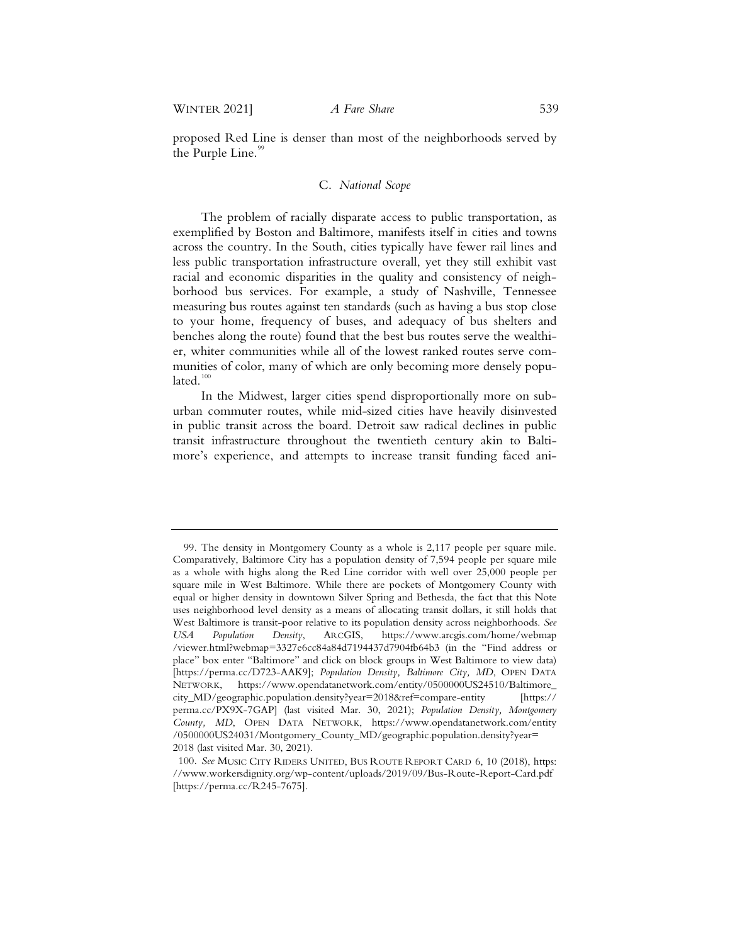proposed Red Line is denser than most of the neighborhoods served by the Purple Line.<sup>99</sup>

# C. *National Scope*

The problem of racially disparate access to public transportation, as exemplified by Boston and Baltimore, manifests itself in cities and towns across the country. In the South, cities typically have fewer rail lines and less public transportation infrastructure overall, yet they still exhibit vast racial and economic disparities in the quality and consistency of neighborhood bus services. For example, a study of Nashville, Tennessee measuring bus routes against ten standards (such as having a bus stop close to your home, frequency of buses, and adequacy of bus shelters and benches along the route) found that the best bus routes serve the wealthier, whiter communities while all of the lowest ranked routes serve communities of color, many of which are only becoming more densely populated. $100$ 

In the Midwest, larger cities spend disproportionally more on suburban commuter routes, while mid-sized cities have heavily disinvested in public transit across the board. Detroit saw radical declines in public transit infrastructure throughout the twentieth century akin to Baltimore's experience, and attempts to increase transit funding faced ani-

<sup>99.</sup> The density in Montgomery County as a whole is 2,117 people per square mile. Comparatively, Baltimore City has a population density of 7,594 people per square mile as a whole with highs along the Red Line corridor with well over 25,000 people per square mile in West Baltimore. While there are pockets of Montgomery County with equal or higher density in downtown Silver Spring and Bethesda, the fact that this Note uses neighborhood level density as a means of allocating transit dollars, it still holds that West Baltimore is transit-poor relative to its population density across neighborhoods. *See USA Population Density*, ARCGIS, https://www.arcgis.com/home/webmap /viewer.html?webmap=3327e6cc84a84d7194437d7904fb64b3 (in the "Find address or place" box enter "Baltimore" and click on block groups in West Baltimore to view data) [https://perma.cc/D723-AAK9]; *Population Density, Baltimore City, MD*, OPEN DATA NETWORK, https://www.opendatanetwork.com/entity/0500000US24510/Baltimore\_ city\_MD/geographic.population.density?year=2018&ref=compare-entity [https:// perma.cc/PX9X-7GAP] (last visited Mar. 30, 2021); *Population Density, Montgomery County, MD*, OPEN DATA NETWORK, https://www.opendatanetwork.com/entity /0500000US24031/Montgomery\_County\_MD/geographic.population.density?year= 2018 (last visited Mar. 30, 2021).

<sup>100.</sup> *See* MUSIC CITY RIDERS UNITED, BUS ROUTE REPORT CARD 6, 10 (2018), https: //www.workersdignity.org/wp-content/uploads/2019/09/Bus-Route-Report-Card.pdf [https://perma.cc/R245-7675].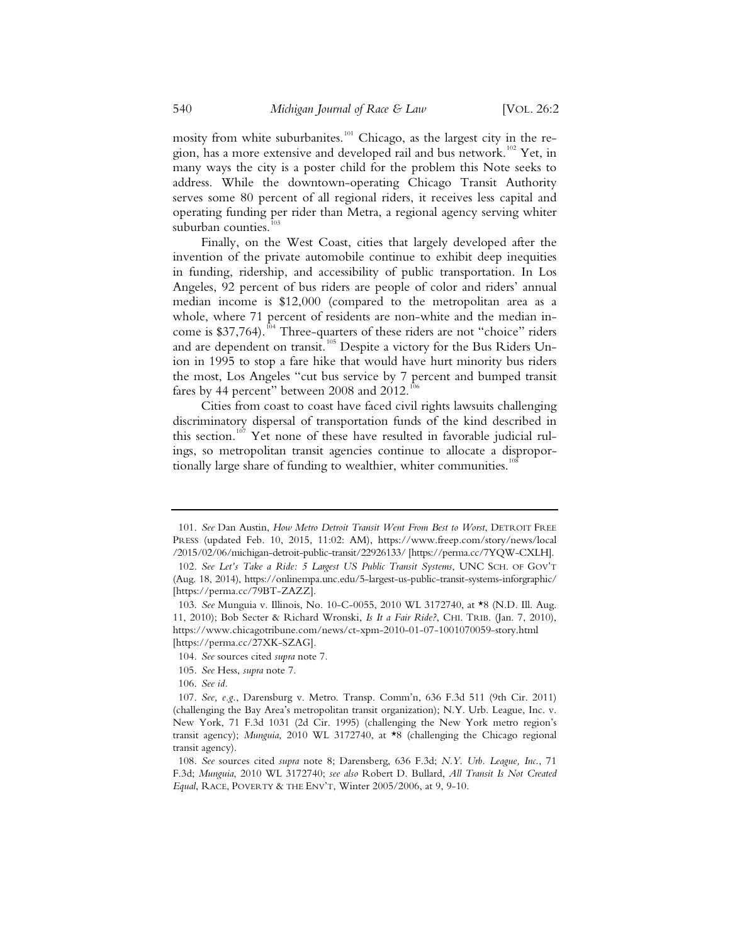mosity from white suburbanites.<sup>101</sup> Chicago, as the largest city in the region, has a more extensive and developed rail and bus network.<sup>102</sup> Yet, in many ways the city is a poster child for the problem this Note seeks to address. While the downtown-operating Chicago Transit Authority serves some 80 percent of all regional riders, it receives less capital and operating funding per rider than Metra, a regional agency serving whiter suburban counties.<sup>1</sup>

Finally, on the West Coast, cities that largely developed after the invention of the private automobile continue to exhibit deep inequities in funding, ridership, and accessibility of public transportation. In Los Angeles, 92 percent of bus riders are people of color and riders' annual median income is \$12,000 (compared to the metropolitan area as a whole, where 71 percent of residents are non-white and the median income is \$37,764).<sup>104</sup> Three-quarters of these riders are not "choice" riders and are dependent on transit.<sup>105</sup> Despite a victory for the Bus Riders Union in 1995 to stop a fare hike that would have hurt minority bus riders the most, Los Angeles "cut bus service by 7 percent and bumped transit fares by 44 percent" between 2008 and  $2012.^{106}$ 

Cities from coast to coast have faced civil rights lawsuits challenging discriminatory dispersal of transportation funds of the kind described in this section.<sup>107</sup> Yet none of these have resulted in favorable judicial rulings, so metropolitan transit agencies continue to allocate a disproportionally large share of funding to wealthier, whiter communities.<sup>1</sup>

105. *See* Hess, *supra* note 7.

106. *See id.*

<sup>101.</sup> *See* Dan Austin, *How Metro Detroit Transit Went From Best to Worst*, DETROIT FREE PRESS (updated Feb. 10, 2015, 11:02: AM), https://www.freep.com/story/news/local /2015/02/06/michigan-detroit-public-transit/22926133/ [https://perma.cc/7YQW-CXLH].

<sup>102.</sup> *See Let's Take a Ride: 5 Largest US Public Transit Systems*, UNC SCH. OF GOV'T (Aug. 18, 2014), https://onlinempa.unc.edu/5-largest-us-public-transit-systems-inforgraphic/ [https://perma.cc/79BT-ZAZZ].

<sup>103.</sup> *See* Munguia v. Illinois, No. 10-C-0055, 2010 WL 3172740, at \*8 (N.D. Ill. Aug. 11, 2010); Bob Secter & Richard Wronski, *Is It a Fair Ride?*, CHI. TRIB. (Jan. 7, 2010), https://www.chicagotribune.com/news/ct-xpm-2010-01-07-1001070059-story.html [https://perma.cc/27XK-SZAG].

<sup>104.</sup> *See* sources cited *supra* note 7.

<sup>107.</sup> *See, e.g.*, Darensburg v. Metro. Transp. Comm'n, 636 F.3d 511 (9th Cir. 2011) (challenging the Bay Area's metropolitan transit organization); N.Y. Urb. League, Inc. v. New York, 71 F.3d 1031 (2d Cir. 1995) (challenging the New York metro region's transit agency); *Munguia*, 2010 WL 3172740, at \*8 (challenging the Chicago regional transit agency).

<sup>108.</sup> *See* sources cited *supra* note 8; Darensberg, 636 F.3d; *N.Y. Urb. League, Inc.*, 71 F.3d; *Munguia*, 2010 WL 3172740; *see also* Robert D. Bullard, *All Transit Is Not Created Equal*, RACE, POVERTY & THE ENV'T, Winter 2005/2006, at 9, 9-10.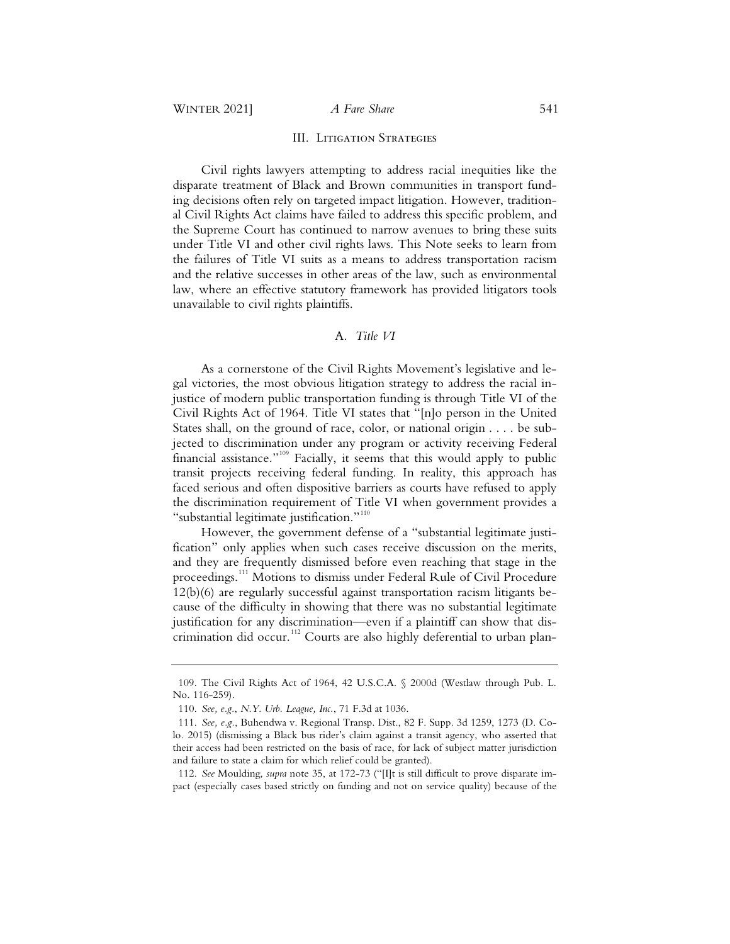#### III. Litigation Strategies

Civil rights lawyers attempting to address racial inequities like the disparate treatment of Black and Brown communities in transport funding decisions often rely on targeted impact litigation. However, traditional Civil Rights Act claims have failed to address this specific problem, and the Supreme Court has continued to narrow avenues to bring these suits under Title VI and other civil rights laws. This Note seeks to learn from the failures of Title VI suits as a means to address transportation racism and the relative successes in other areas of the law, such as environmental law, where an effective statutory framework has provided litigators tools unavailable to civil rights plaintiffs.

# A*. Title VI*

As a cornerstone of the Civil Rights Movement's legislative and legal victories, the most obvious litigation strategy to address the racial injustice of modern public transportation funding is through Title VI of the Civil Rights Act of 1964. Title VI states that "[n]o person in the United States shall, on the ground of race, color, or national origin . . . . be subjected to discrimination under any program or activity receiving Federal financial assistance."<sup>109</sup> Facially, it seems that this would apply to public transit projects receiving federal funding. In reality, this approach has faced serious and often dispositive barriers as courts have refused to apply the discrimination requirement of Title VI when government provides a "substantial legitimate justification."<sup>110</sup>

However, the government defense of a "substantial legitimate justification" only applies when such cases receive discussion on the merits, and they are frequently dismissed before even reaching that stage in the proceedings.<sup>111</sup> Motions to dismiss under Federal Rule of Civil Procedure 12(b)(6) are regularly successful against transportation racism litigants because of the difficulty in showing that there was no substantial legitimate justification for any discrimination—even if a plaintiff can show that discrimination did occur.<sup>112</sup> Courts are also highly deferential to urban plan-

 <sup>109.</sup> The Civil Rights Act of 1964, 42 U.S.C.A. § 2000d (Westlaw through Pub. L. No. 116-259).

 <sup>110.</sup> *See, e.g.*, *N.Y. Urb. League, Inc.*, 71 F.3d at 1036.

 <sup>111.</sup> *See, e.g.*, Buhendwa v. Regional Transp. Dist., 82 F. Supp. 3d 1259, 1273 (D. Colo. 2015) (dismissing a Black bus rider's claim against a transit agency, who asserted that their access had been restricted on the basis of race, for lack of subject matter jurisdiction and failure to state a claim for which relief could be granted).

 <sup>112.</sup> *See* Moulding, *supra* note 35, at 172-73 ("[I]t is still difficult to prove disparate impact (especially cases based strictly on funding and not on service quality) because of the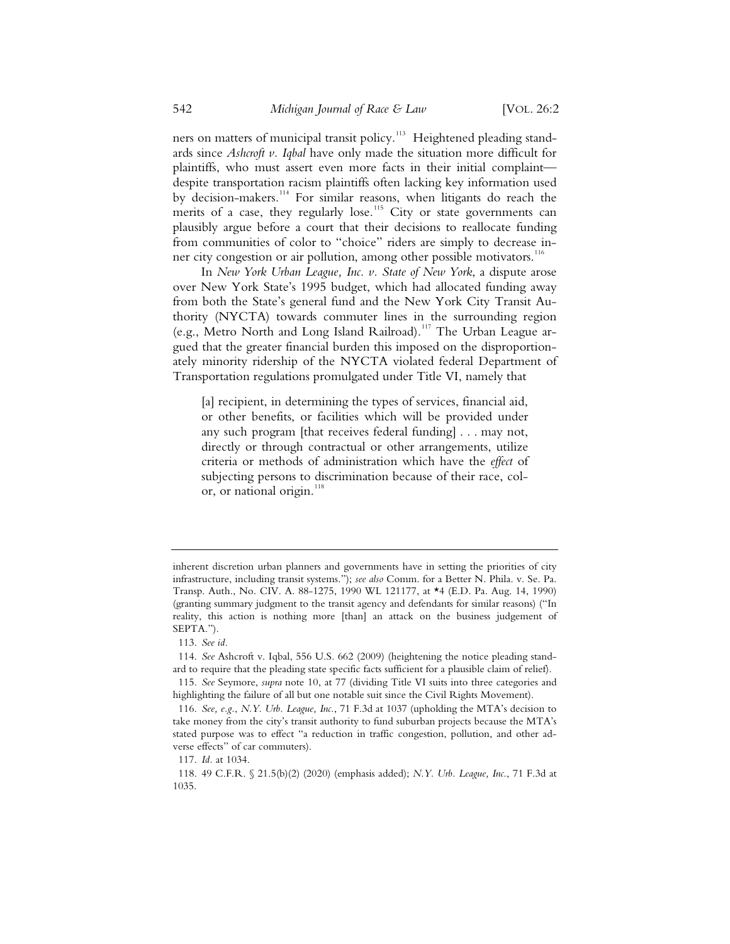ners on matters of municipal transit policy.<sup>113</sup> Heightened pleading standards since *Ashcroft v. Iqbal* have only made the situation more difficult for plaintiffs, who must assert even more facts in their initial complaint despite transportation racism plaintiffs often lacking key information used by decision-makers.<sup>114</sup> For similar reasons, when litigants do reach the merits of a case, they regularly lose.<sup>115</sup> City or state governments can plausibly argue before a court that their decisions to reallocate funding from communities of color to "choice" riders are simply to decrease inner city congestion or air pollution, among other possible motivators.<sup>116</sup>

In *New York Urban League, Inc. v. State of New York*, a dispute arose over New York State's 1995 budget, which had allocated funding away from both the State's general fund and the New York City Transit Authority (NYCTA) towards commuter lines in the surrounding region (e.g., Metro North and Long Island Railroad).<sup>117</sup> The Urban League argued that the greater financial burden this imposed on the disproportionately minority ridership of the NYCTA violated federal Department of Transportation regulations promulgated under Title VI, namely that

[a] recipient, in determining the types of services, financial aid, or other benefits, or facilities which will be provided under any such program [that receives federal funding] . . . may not, directly or through contractual or other arrangements, utilize criteria or methods of administration which have the *effect* of subjecting persons to discrimination because of their race, color, or national origin.<sup>118</sup>

inherent discretion urban planners and governments have in setting the priorities of city infrastructure, including transit systems."); *see also* Comm. for a Better N. Phila. v. Se. Pa. Transp. Auth., No. CIV. A. 88-1275, 1990 WL 121177, at \*4 (E.D. Pa. Aug. 14, 1990) (granting summary judgment to the transit agency and defendants for similar reasons) ("In reality, this action is nothing more [than] an attack on the business judgement of SEPTA.").

 <sup>113.</sup> *See id.*

 <sup>114.</sup> *See* Ashcroft v. Iqbal, 556 U.S. 662 (2009) (heightening the notice pleading standard to require that the pleading state specific facts sufficient for a plausible claim of relief).

 <sup>115.</sup> *See* Seymore, *supra* note 10, at 77 (dividing Title VI suits into three categories and highlighting the failure of all but one notable suit since the Civil Rights Movement).

 <sup>116.</sup> *See, e.g.*, *N.Y. Urb. League, Inc.*, 71 F.3d at 1037 (upholding the MTA's decision to take money from the city's transit authority to fund suburban projects because the MTA's stated purpose was to effect "a reduction in traffic congestion, pollution, and other adverse effects" of car commuters).

 <sup>117.</sup> *Id.* at 1034.

 <sup>118. 49</sup> C.F.R. § 21.5(b)(2) (2020) (emphasis added); *N.Y. Urb. League, Inc.*, 71 F.3d at 1035.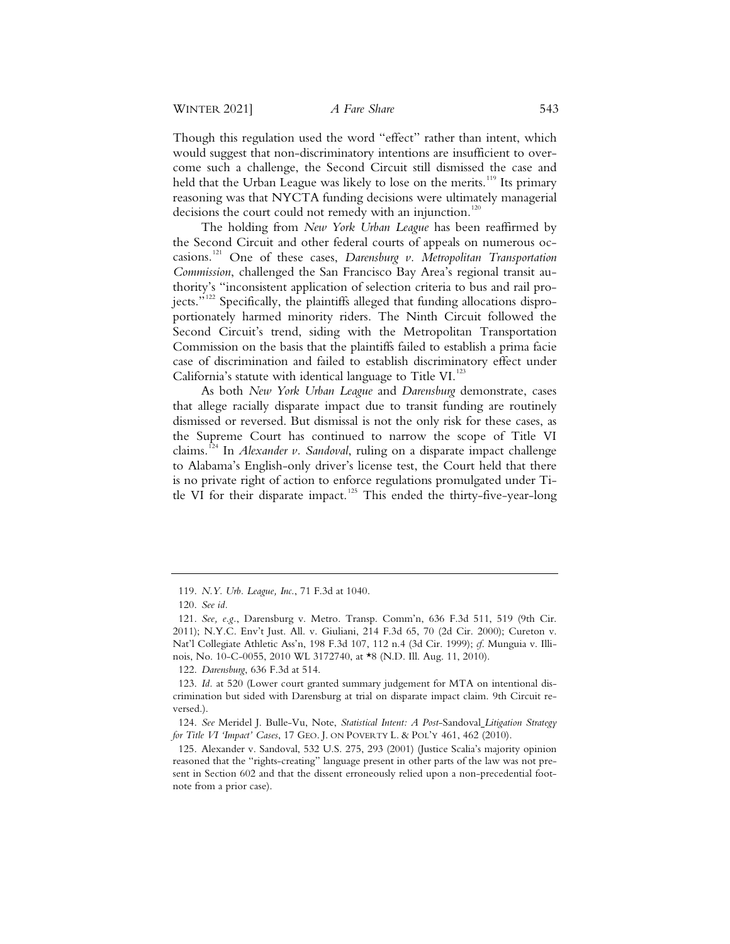Though this regulation used the word "effect" rather than intent, which would suggest that non-discriminatory intentions are insufficient to overcome such a challenge, the Second Circuit still dismissed the case and held that the Urban League was likely to lose on the merits.<sup>119</sup> Its primary reasoning was that NYCTA funding decisions were ultimately managerial decisions the court could not remedy with an injunction.<sup>120</sup>

The holding from *New York Urban League* has been reaffirmed by the Second Circuit and other federal courts of appeals on numerous occasions.<sup>121</sup> One of these cases, *Darensburg v. Metropolitan Transportation Commission*, challenged the San Francisco Bay Area's regional transit authority's "inconsistent application of selection criteria to bus and rail proiects."<sup>122</sup> Specifically, the plaintiffs alleged that funding allocations disproportionately harmed minority riders. The Ninth Circuit followed the Second Circuit's trend, siding with the Metropolitan Transportation Commission on the basis that the plaintiffs failed to establish a prima facie case of discrimination and failed to establish discriminatory effect under California's statute with identical language to Title VI.<sup>123</sup>

As both *New York Urban League* and *Darensburg* demonstrate, cases that allege racially disparate impact due to transit funding are routinely dismissed or reversed. But dismissal is not the only risk for these cases, as the Supreme Court has continued to narrow the scope of Title VI claims.<sup>124</sup> In *Alexander v. Sandoval*, ruling on a disparate impact challenge to Alabama's English-only driver's license test, the Court held that there is no private right of action to enforce regulations promulgated under Title VI for their disparate impact.<sup>125</sup> This ended the thirty-five-year-long

<sup>119.</sup> *N.Y. Urb. League, Inc.*, 71 F.3d at 1040.

<sup>120.</sup> *See id.*

<sup>121.</sup> *See, e.g.*, Darensburg v. Metro. Transp. Comm'n, 636 F.3d 511, 519 (9th Cir. 2011); N.Y.C. Env't Just. All. v. Giuliani, 214 F.3d 65, 70 (2d Cir. 2000); Cureton v. Nat'l Collegiate Athletic Ass'n, 198 F.3d 107, 112 n.4 (3d Cir. 1999); *cf*. Munguia v. Illinois, No. 10-C-0055, 2010 WL 3172740, at \*8 (N.D. Ill. Aug. 11, 2010).

<sup>122.</sup> *Darensburg*, 636 F.3d at 514.

<sup>123.</sup> *Id.* at 520 (Lower court granted summary judgement for MTA on intentional discrimination but sided with Darensburg at trial on disparate impact claim. 9th Circuit reversed.).

<sup>124.</sup> *See* Meridel J. Bulle-Vu, Note, *Statistical Intent: A Post*-Sandoval *Litigation Strategy for Title VI 'Impact' Cases*, 17 GEO. J. ON POVERTY L. & POL'Y 461, 462 (2010).

<sup>125.</sup> Alexander v. Sandoval, 532 U.S. 275, 293 (2001) (Justice Scalia's majority opinion reasoned that the "rights-creating" language present in other parts of the law was not present in Section 602 and that the dissent erroneously relied upon a non-precedential footnote from a prior case).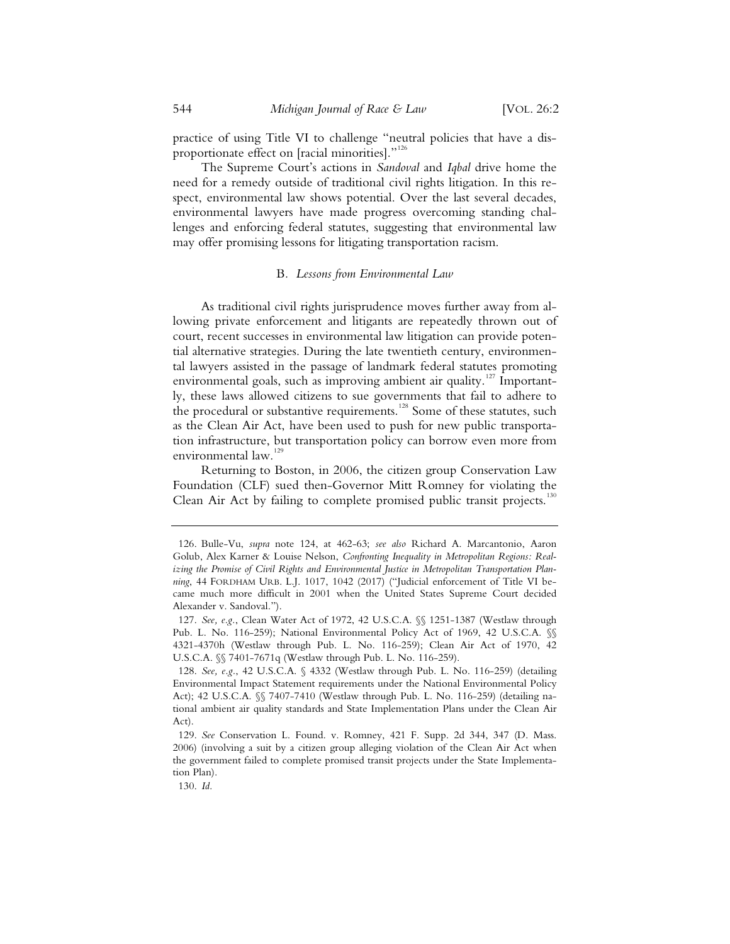practice of using Title VI to challenge "neutral policies that have a disproportionate effect on [racial minorities]."<sup>126</sup>

The Supreme Court's actions in *Sandoval* and *Iqbal* drive home the need for a remedy outside of traditional civil rights litigation. In this respect, environmental law shows potential. Over the last several decades, environmental lawyers have made progress overcoming standing challenges and enforcing federal statutes, suggesting that environmental law may offer promising lessons for litigating transportation racism.

# B*. Lessons from Environmental Law*

As traditional civil rights jurisprudence moves further away from allowing private enforcement and litigants are repeatedly thrown out of court, recent successes in environmental law litigation can provide potential alternative strategies. During the late twentieth century, environmental lawyers assisted in the passage of landmark federal statutes promoting environmental goals, such as improving ambient air quality.<sup>127</sup> Importantly, these laws allowed citizens to sue governments that fail to adhere to the procedural or substantive requirements.<sup>128</sup> Some of these statutes, such as the Clean Air Act, have been used to push for new public transportation infrastructure, but transportation policy can borrow even more from environmental law.<sup>129</sup>

Returning to Boston, in 2006, the citizen group Conservation Law Foundation (CLF) sued then-Governor Mitt Romney for violating the Clean Air Act by failing to complete promised public transit projects.<sup>130</sup>

 <sup>126.</sup> Bulle-Vu, *supra* note 124, at 462-63; *see also* Richard A. Marcantonio, Aaron Golub, Alex Karner & Louise Nelson, *Confronting Inequality in Metropolitan Regions: Realizing the Promise of Civil Rights and Environmental Justice in Metropolitan Transportation Planning*, 44 FORDHAM URB. L.J. 1017, 1042 (2017) ("Judicial enforcement of Title VI became much more difficult in 2001 when the United States Supreme Court decided Alexander v. Sandoval.").

 <sup>127.</sup> *See, e.g.*, Clean Water Act of 1972, 42 U.S.C.A. §§ 1251-1387 (Westlaw through Pub. L. No. 116-259); National Environmental Policy Act of 1969, 42 U.S.C.A.  $\%$ 4321-4370h (Westlaw through Pub. L. No. 116-259); Clean Air Act of 1970, 42 U.S.C.A. §§ 7401-7671q (Westlaw through Pub. L. No. 116-259).

 <sup>128.</sup> *See, e.g.*, 42 U.S.C.A. § 4332 (Westlaw through Pub. L. No. 116-259) (detailing Environmental Impact Statement requirements under the National Environmental Policy Act); 42 U.S.C.A. §§ 7407-7410 (Westlaw through Pub. L. No. 116-259) (detailing national ambient air quality standards and State Implementation Plans under the Clean Air Act).

 <sup>129.</sup> *See* Conservation L. Found. v. Romney, 421 F. Supp. 2d 344, 347 (D. Mass. 2006) (involving a suit by a citizen group alleging violation of the Clean Air Act when the government failed to complete promised transit projects under the State Implementation Plan).

 <sup>130.</sup> *Id.*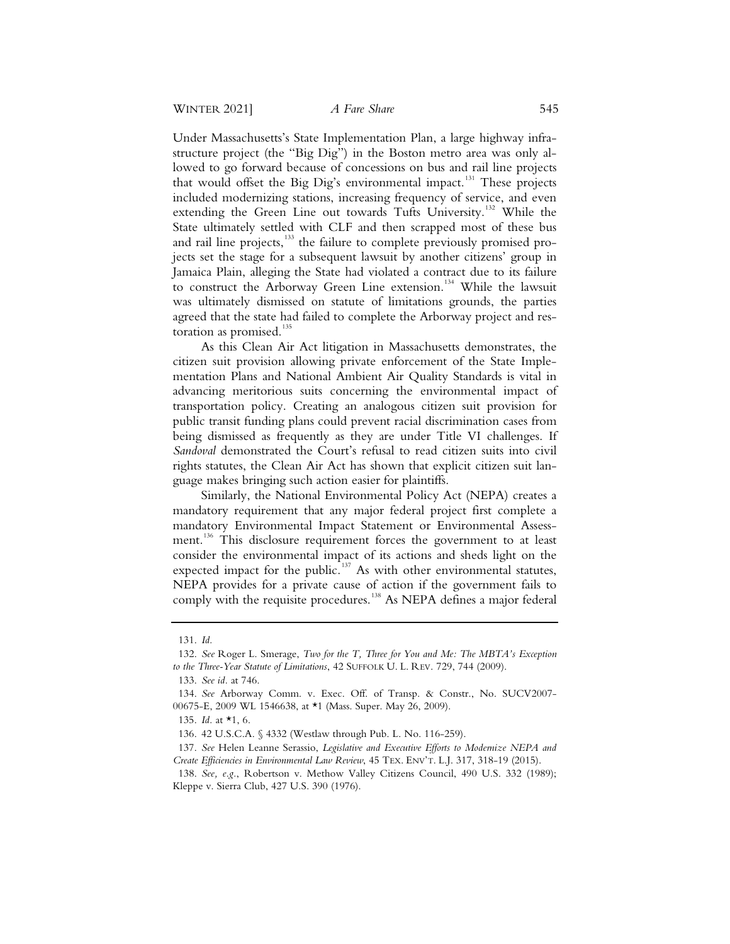Under Massachusetts's State Implementation Plan, a large highway infrastructure project (the "Big Dig") in the Boston metro area was only allowed to go forward because of concessions on bus and rail line projects that would offset the Big Dig's environmental impact.<sup>131</sup> These projects included modernizing stations, increasing frequency of service, and even extending the Green Line out towards Tufts University.<sup>132</sup> While the State ultimately settled with CLF and then scrapped most of these bus and rail line projects,<sup>133</sup> the failure to complete previously promised projects set the stage for a subsequent lawsuit by another citizens' group in Jamaica Plain, alleging the State had violated a contract due to its failure to construct the Arborway Green Line extension.<sup>134</sup> While the lawsuit was ultimately dismissed on statute of limitations grounds, the parties agreed that the state had failed to complete the Arborway project and restoration as promised.<sup>135</sup>

As this Clean Air Act litigation in Massachusetts demonstrates, the citizen suit provision allowing private enforcement of the State Implementation Plans and National Ambient Air Quality Standards is vital in advancing meritorious suits concerning the environmental impact of transportation policy. Creating an analogous citizen suit provision for public transit funding plans could prevent racial discrimination cases from being dismissed as frequently as they are under Title VI challenges. If *Sandoval* demonstrated the Court's refusal to read citizen suits into civil rights statutes, the Clean Air Act has shown that explicit citizen suit language makes bringing such action easier for plaintiffs.

Similarly, the National Environmental Policy Act (NEPA) creates a mandatory requirement that any major federal project first complete a mandatory Environmental Impact Statement or Environmental Assessment.<sup>136</sup> This disclosure requirement forces the government to at least consider the environmental impact of its actions and sheds light on the expected impact for the public.<sup>137</sup> As with other environmental statutes, NEPA provides for a private cause of action if the government fails to comply with the requisite procedures.<sup>138</sup> As NEPA defines a major federal

 <sup>131.</sup> *Id.*

 <sup>132.</sup> *See* Roger L. Smerage, *Two for the T, Three for You and Me: The MBTA's Exception to the Three-Year Statute of Limitations*, 42 SUFFOLK U. L. REV. 729, 744 (2009).

 <sup>133.</sup> *See id.* at 746.

 <sup>134.</sup> *See* Arborway Comm. v. Exec. Off. of Transp. & Constr., No. SUCV2007- 00675-E, 2009 WL 1546638, at \*1 (Mass. Super. May 26, 2009).

 <sup>135.</sup> *Id.* at \*1, 6.

 <sup>136. 42</sup> U.S.C.A. § 4332 (Westlaw through Pub. L. No. 116-259).

 <sup>137.</sup> *See* Helen Leanne Serassio, *Legislative and Executive Efforts to Modernize NEPA and Create Efficiencies in Environmental Law Review*, 45 TEX. ENV'T. L.J. 317, 318-19 (2015).

 <sup>138.</sup> *See, e.g.*, Robertson v. Methow Valley Citizens Council, 490 U.S. 332 (1989); Kleppe v. Sierra Club, 427 U.S. 390 (1976).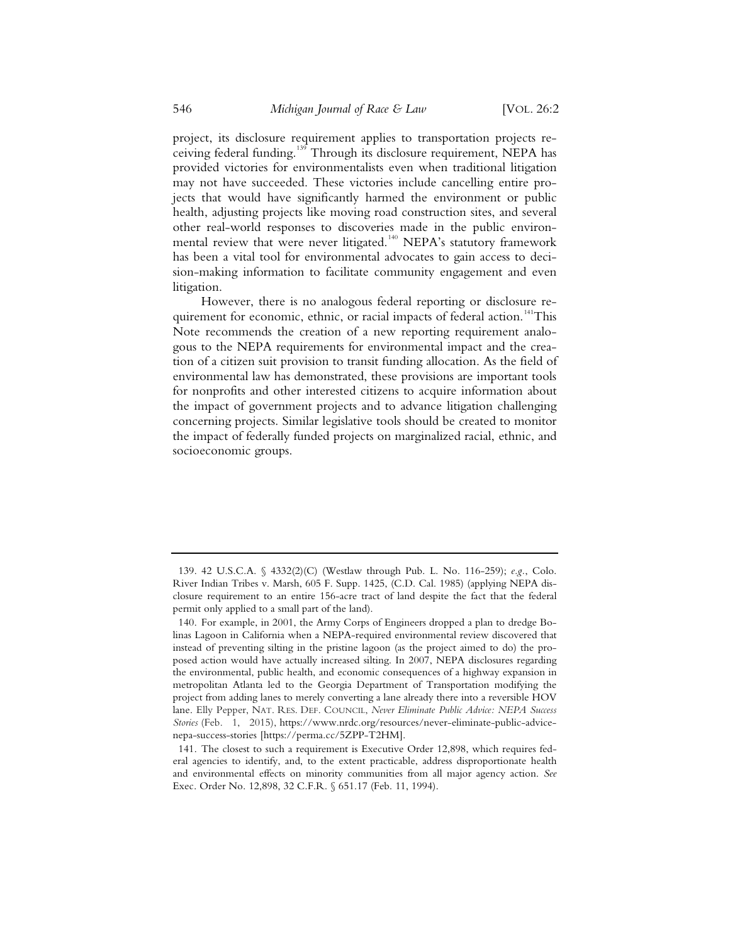project, its disclosure requirement applies to transportation projects receiving federal funding.139 Through its disclosure requirement, NEPA has provided victories for environmentalists even when traditional litigation may not have succeeded. These victories include cancelling entire projects that would have significantly harmed the environment or public health, adjusting projects like moving road construction sites, and several other real-world responses to discoveries made in the public environmental review that were never litigated.<sup>140</sup> NEPA's statutory framework has been a vital tool for environmental advocates to gain access to decision-making information to facilitate community engagement and even litigation.

However, there is no analogous federal reporting or disclosure requirement for economic, ethnic, or racial impacts of federal action.<sup>141</sup>This Note recommends the creation of a new reporting requirement analogous to the NEPA requirements for environmental impact and the creation of a citizen suit provision to transit funding allocation. As the field of environmental law has demonstrated, these provisions are important tools for nonprofits and other interested citizens to acquire information about the impact of government projects and to advance litigation challenging concerning projects. Similar legislative tools should be created to monitor the impact of federally funded projects on marginalized racial, ethnic, and socioeconomic groups.

 <sup>139. 42</sup> U.S.C.A. § 4332(2)(C) (Westlaw through Pub. L. No. 116-259); *e.g.*, Colo. River Indian Tribes v. Marsh, 605 F. Supp. 1425, (C.D. Cal. 1985) (applying NEPA disclosure requirement to an entire 156-acre tract of land despite the fact that the federal permit only applied to a small part of the land).

 <sup>140.</sup> For example, in 2001, the Army Corps of Engineers dropped a plan to dredge Bolinas Lagoon in California when a NEPA-required environmental review discovered that instead of preventing silting in the pristine lagoon (as the project aimed to do) the proposed action would have actually increased silting. In 2007, NEPA disclosures regarding the environmental, public health, and economic consequences of a highway expansion in metropolitan Atlanta led to the Georgia Department of Transportation modifying the project from adding lanes to merely converting a lane already there into a reversible HOV lane. Elly Pepper, NAT. RES. DEF. COUNCIL, *Never Eliminate Public Advice: NEPA Success Stories* (Feb. 1, 2015), https://www.nrdc.org/resources/never-eliminate-public-advicenepa-success-stories [https://perma.cc/5ZPP-T2HM].

 <sup>141.</sup> The closest to such a requirement is Executive Order 12,898, which requires federal agencies to identify, and, to the extent practicable, address disproportionate health and environmental effects on minority communities from all major agency action. *See* Exec. Order No. 12,898, 32 C.F.R. § 651.17 (Feb. 11, 1994).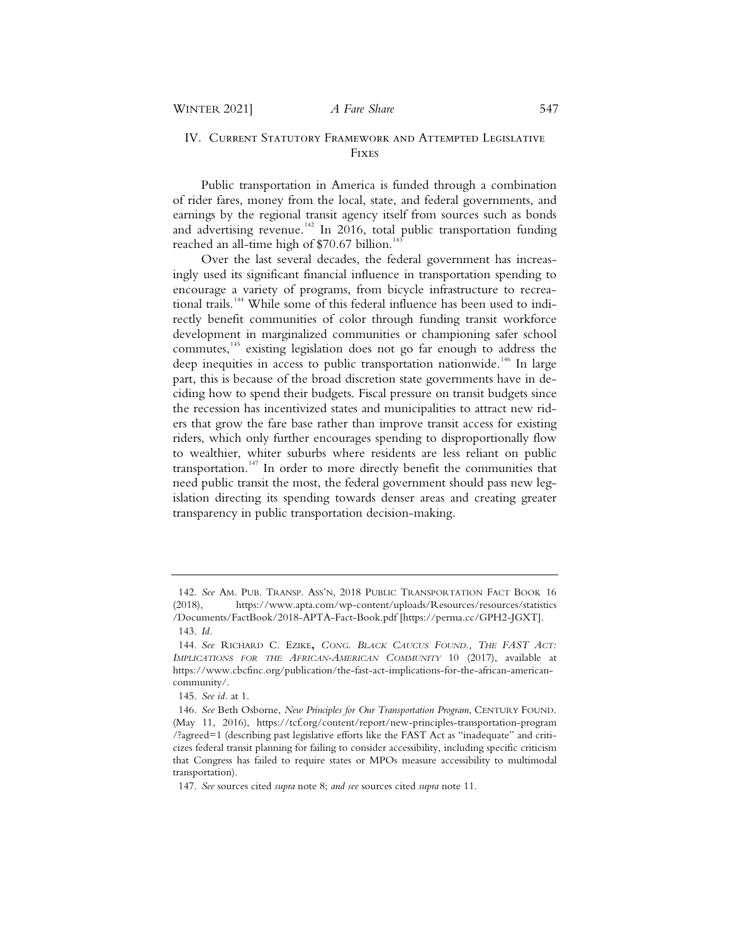# IV. Current Statutory Framework and Attempted Legislative Fixes

Public transportation in America is funded through a combination of rider fares, money from the local, state, and federal governments, and earnings by the regional transit agency itself from sources such as bonds and advertising revenue.<sup>142</sup> In 2016, total public transportation funding reached an all-time high of  $$70.67$  billion.<sup>143</sup>

Over the last several decades, the federal government has increasingly used its significant financial influence in transportation spending to encourage a variety of programs, from bicycle infrastructure to recreational trails.<sup>144</sup> While some of this federal influence has been used to indirectly benefit communities of color through funding transit workforce development in marginalized communities or championing safer school commutes,<sup>145</sup> existing legislation does not go far enough to address the deep inequities in access to public transportation nationwide.<sup>146</sup> In large part, this is because of the broad discretion state governments have in deciding how to spend their budgets. Fiscal pressure on transit budgets since the recession has incentivized states and municipalities to attract new riders that grow the fare base rather than improve transit access for existing riders, which only further encourages spending to disproportionally flow to wealthier, whiter suburbs where residents are less reliant on public transportation.<sup>147</sup> In order to more directly benefit the communities that need public transit the most, the federal government should pass new legislation directing its spending towards denser areas and creating greater transparency in public transportation decision-making.

<sup>142.</sup> *See* AM. PUB. TRANSP. ASS'N, 2018 PUBLIC TRANSPORTATION FACT BOOK 16 (2018), https://www.apta.com/wp-content/uploads/Resources/resources/statistics /Documents/FactBook/2018-APTA-Fact-Book.pdf [https://perma.cc/GPH2-JGXT].

<sup>143.</sup> *Id.*

<sup>144.</sup> *See* RICHARD C. EZIKE**,** *CONG. BLACK CAUCUS FOUND., THE FAST ACT: IMPLICATIONS FOR THE AFRICAN-AMERICAN COMMUNITY* 10 (2017), available at https://www.cbcfinc.org/publication/the-fast-act-implications-for-the-african-americancommunity/.

<sup>145.</sup> *See id.* at 1.

<sup>146</sup>*. See* Beth Osborne, *New Principles for Our Transportation Program*, CENTURY FOUND. (May 11, 2016), https://tcf.org/content/report/new-principles-transportation-program /?agreed=1 (describing past legislative efforts like the FAST Act as "inadequate" and criticizes federal transit planning for failing to consider accessibility, including specific criticism that Congress has failed to require states or MPOs measure accessibility to multimodal transportation).

<sup>147.</sup> *See* sources cited *supra* note 8; *and see* sources cited *supra* note 11.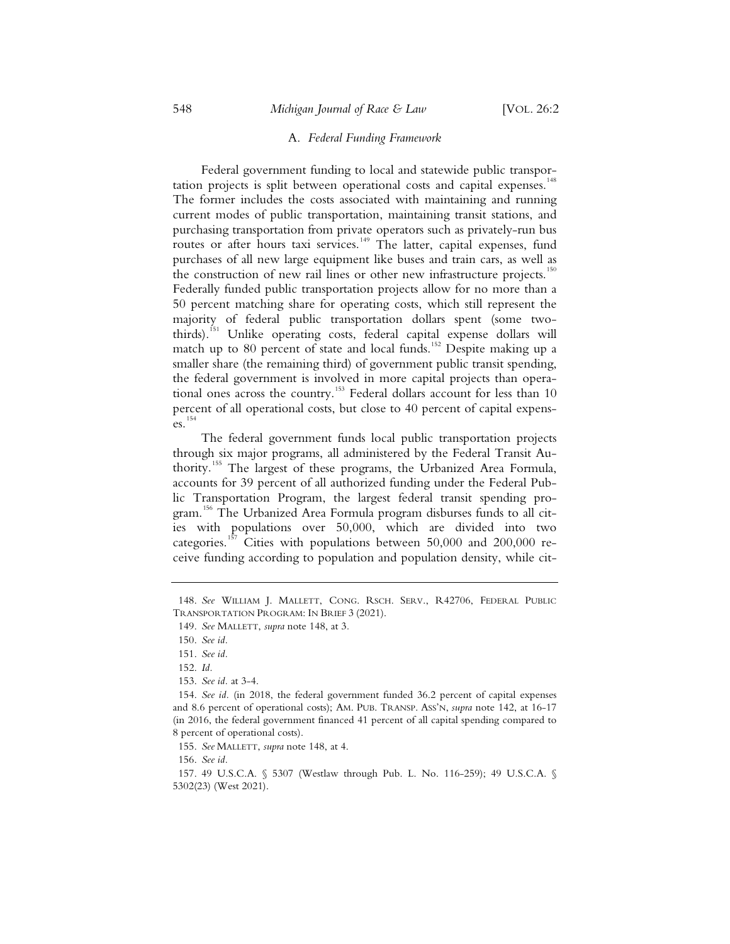# A. *Federal Funding Framework*

Federal government funding to local and statewide public transportation projects is split between operational costs and capital expenses.<sup>148</sup> The former includes the costs associated with maintaining and running current modes of public transportation, maintaining transit stations, and purchasing transportation from private operators such as privately-run bus routes or after hours taxi services.<sup>149</sup> The latter, capital expenses, fund purchases of all new large equipment like buses and train cars, as well as the construction of new rail lines or other new infrastructure projects.<sup>150</sup> Federally funded public transportation projects allow for no more than a 50 percent matching share for operating costs, which still represent the majority of federal public transportation dollars spent (some twothirds).<sup>151</sup> Unlike operating costs, federal capital expense dollars will match up to 80 percent of state and local funds.<sup>152</sup> Despite making up a smaller share (the remaining third) of government public transit spending, the federal government is involved in more capital projects than operational ones across the country.<sup>153</sup> Federal dollars account for less than 10 percent of all operational costs, but close to 40 percent of capital expens $es.$ <sup>154</sup>

The federal government funds local public transportation projects through six major programs, all administered by the Federal Transit Authority.<sup>155</sup> The largest of these programs, the Urbanized Area Formula, accounts for 39 percent of all authorized funding under the Federal Public Transportation Program, the largest federal transit spending program.<sup>156</sup> The Urbanized Area Formula program disburses funds to all cities with populations over 50,000, which are divided into two categories.<sup>157</sup> Cities with populations between  $50,000$  and  $200,000$  receive funding according to population and population density, while cit-

155. *See* MALLETT, *supra* note 148, at 4.

156. *See id.*

<sup>148.</sup> *See* WILLIAM J. MALLETT, CONG. RSCH. SERV., R42706, FEDERAL PUBLIC TRANSPORTATION PROGRAM: IN BRIEF 3 (2021).

<sup>149.</sup> *See* MALLETT, *supra* note 148, at 3*.*

<sup>150.</sup> *See id.*

<sup>151.</sup> *See id.*

<sup>152.</sup> *Id.*

<sup>153.</sup> *See id.* at 3-4.

<sup>154.</sup> *See id.* (in 2018, the federal government funded 36.2 percent of capital expenses and 8.6 percent of operational costs); AM. PUB. TRANSP. ASS'N, *supra* note 142, at 16-17 (in 2016, the federal government financed 41 percent of all capital spending compared to 8 percent of operational costs).

<sup>157. 49</sup> U.S.C.A. § 5307 (Westlaw through Pub. L. No. 116-259); 49 U.S.C.A. § 5302(23) (West 2021).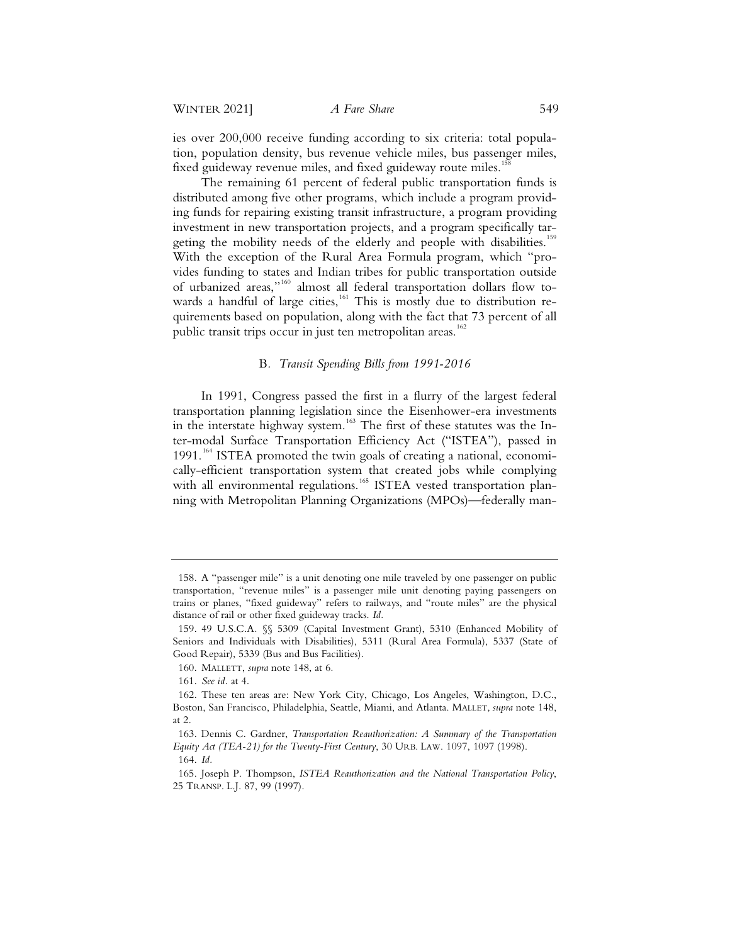ies over 200,000 receive funding according to six criteria: total population, population density, bus revenue vehicle miles, bus passenger miles, fixed guideway revenue miles, and fixed guideway route miles.<sup>15</sup>

The remaining 61 percent of federal public transportation funds is distributed among five other programs, which include a program providing funds for repairing existing transit infrastructure, a program providing investment in new transportation projects, and a program specifically targeting the mobility needs of the elderly and people with disabilities.<sup>159</sup> With the exception of the Rural Area Formula program, which "provides funding to states and Indian tribes for public transportation outside of urbanized areas,"<sup>160</sup> almost all federal transportation dollars flow towards a handful of large cities,<sup>161</sup> This is mostly due to distribution requirements based on population, along with the fact that 73 percent of all public transit trips occur in just ten metropolitan areas.<sup>162</sup>

# B*. Transit Spending Bills from 1991-2016*

In 1991, Congress passed the first in a flurry of the largest federal transportation planning legislation since the Eisenhower-era investments in the interstate highway system.<sup>163</sup> The first of these statutes was the Inter-modal Surface Transportation Efficiency Act ("ISTEA"), passed in  $1991$ <sup> $164$ </sup> ISTEA promoted the twin goals of creating a national, economically-efficient transportation system that created jobs while complying with all environmental regulations.<sup>165</sup> ISTEA vested transportation planning with Metropolitan Planning Organizations (MPOs)—federally man-

<sup>158.</sup> A "passenger mile" is a unit denoting one mile traveled by one passenger on public transportation, "revenue miles" is a passenger mile unit denoting paying passengers on trains or planes, "fixed guideway" refers to railways, and "route miles" are the physical distance of rail or other fixed guideway tracks. *Id.*

<sup>159. 49</sup> U.S.C.A*.* §§ 5309 (Capital Investment Grant), 5310 (Enhanced Mobility of Seniors and Individuals with Disabilities), 5311 (Rural Area Formula), 5337 (State of Good Repair), 5339 (Bus and Bus Facilities).

<sup>160.</sup> MALLETT, *supra* note 148, at 6*.*

<sup>161.</sup> *See id.* at 4.

<sup>162.</sup> These ten areas are: New York City, Chicago, Los Angeles, Washington, D.C., Boston, San Francisco, Philadelphia, Seattle, Miami, and Atlanta. MALLET, *supra* note 148, at 2.

<sup>163.</sup> Dennis C. Gardner, *Transportation Reauthorization: A Summary of the Transportation Equity Act (TEA-21) for the Twenty-First Century*, 30 URB. LAW. 1097, 1097 (1998).

<sup>164.</sup> *Id.*

<sup>165.</sup> Joseph P. Thompson, *ISTEA Reauthorization and the National Transportation Policy*, 25 TRANSP. L.J. 87, 99 (1997).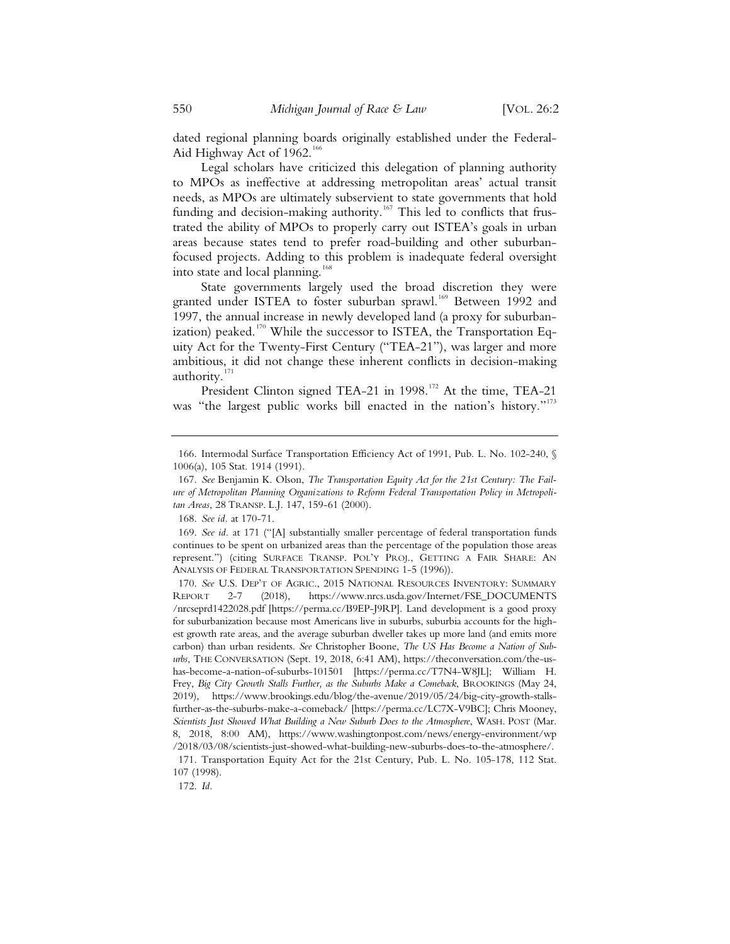dated regional planning boards originally established under the Federal-Aid Highway Act of  $1962.^{166}$ 

Legal scholars have criticized this delegation of planning authority to MPOs as ineffective at addressing metropolitan areas' actual transit needs, as MPOs are ultimately subservient to state governments that hold funding and decision-making authority.<sup>167</sup> This led to conflicts that frustrated the ability of MPOs to properly carry out ISTEA's goals in urban areas because states tend to prefer road-building and other suburbanfocused projects. Adding to this problem is inadequate federal oversight into state and local planning.<sup>168</sup>

State governments largely used the broad discretion they were granted under ISTEA to foster suburban sprawl.<sup>169</sup> Between 1992 and 1997, the annual increase in newly developed land (a proxy for suburbanization) peaked.<sup>170</sup> While the successor to ISTEA, the Transportation Equity Act for the Twenty-First Century ("TEA-21"), was larger and more ambitious, it did not change these inherent conflicts in decision-making authority.<sup>1</sup>

President Clinton signed TEA-21 in 1998.<sup>172</sup> At the time, TEA-21 was "the largest public works bill enacted in the nation's history."<sup>173</sup>

 <sup>166.</sup> Intermodal Surface Transportation Efficiency Act of 1991, Pub. L. No. 102-240, § 1006(a), 105 Stat. 1914 (1991).

 <sup>167.</sup> *See* Benjamin K. Olson, *The Transportation Equity Act for the 21st Century: The Failure of Metropolitan Planning Organizations to Reform Federal Transportation Policy in Metropolitan Areas*, 28 TRANSP. L.J. 147, 159-61 (2000).

 <sup>168.</sup> *See id.* at 170-71.

 <sup>169.</sup> *See id.* at 171 ("[A] substantially smaller percentage of federal transportation funds continues to be spent on urbanized areas than the percentage of the population those areas represent.") (citing SURFACE TRANSP. POL'Y PROJ., GETTING A FAIR SHARE: AN ANALYSIS OF FEDERAL TRANSPORTATION SPENDING 1-5 (1996)).

 <sup>170.</sup> *See* U.S. DEP'T OF AGRIC., 2015 NATIONAL RESOURCES INVENTORY: SUMMARY REPORT 2-7 (2018), https://www.nrcs.usda.gov/Internet/FSE\_DOCUMENTS /nrcseprd1422028.pdf [https://perma.cc/B9EP-J9RP]. Land development is a good proxy for suburbanization because most Americans live in suburbs, suburbia accounts for the highest growth rate areas, and the average suburban dweller takes up more land (and emits more carbon) than urban residents. *See* Christopher Boone, *The US Has Become a Nation of Suburbs*, THE CONVERSATION (Sept. 19, 2018, 6:41 AM), https://theconversation.com/the-ushas-become-a-nation-of-suburbs-101501 [https://perma.cc/T7N4-W8JL]; William H. Frey, *Big City Growth Stalls Further, as the Suburbs Make a Comeback*, BROOKINGS (May 24, 2019), https://www.brookings.edu/blog/the-avenue/2019/05/24/big-city-growth-stallsfurther-as-the-suburbs-make-a-comeback/ [https://perma.cc/LC7X-V9BC]; Chris Mooney, *Scientists Just Showed What Building a New Suburb Does to the Atmosphere*, WASH. POST (Mar. 8, 2018, 8:00 AM), https://www.washingtonpost.com/news/energy-environment/wp /2018/03/08/scientists-just-showed-what-building-new-suburbs-does-to-the-atmosphere/. 171. Transportation Equity Act for the 21st Century, Pub. L. No. 105-178, 112 Stat.

<sup>107 (1998).</sup> 

 <sup>172.</sup> *Id.*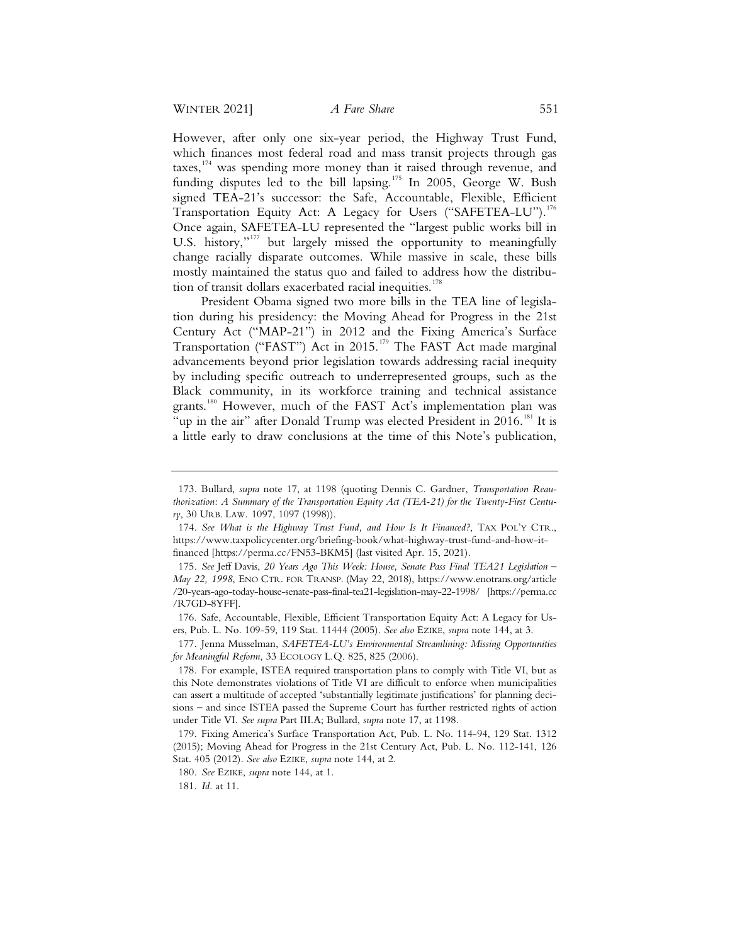However, after only one six-year period, the Highway Trust Fund, which finances most federal road and mass transit projects through gas taxes, $174$  was spending more money than it raised through revenue, and funding disputes led to the bill lapsing.<sup>175</sup> In 2005, George W. Bush signed TEA-21's successor: the Safe, Accountable, Flexible, Efficient Transportation Equity Act: A Legacy for Users ("SAFETEA-LU").<sup>176</sup> Once again, SAFETEA-LU represented the "largest public works bill in U.S. history,"<sup>177</sup> but largely missed the opportunity to meaningfully change racially disparate outcomes. While massive in scale, these bills mostly maintained the status quo and failed to address how the distribution of transit dollars exacerbated racial inequities.<sup>178</sup>

President Obama signed two more bills in the TEA line of legislation during his presidency: the Moving Ahead for Progress in the 21st Century Act ("MAP-21") in 2012 and the Fixing America's Surface Transportation ("FAST") Act in 2015.<sup>179</sup> The FAST Act made marginal advancements beyond prior legislation towards addressing racial inequity by including specific outreach to underrepresented groups, such as the Black community, in its workforce training and technical assistance grants.<sup>180</sup> However, much of the FAST Act's implementation plan was "up in the air" after Donald Trump was elected President in 2016.<sup>181</sup> It is a little early to draw conclusions at the time of this Note's publication,

<sup>173.</sup> Bullard, *supra* note 17, at 1198 (quoting Dennis C. Gardner, *Transportation Reauthorization: A Summary of the Transportation Equity Act (TEA-21) for the Twenty-First Century*, 30 URB. LAW. 1097, 1097 (1998)).

<sup>174.</sup> *See What is the Highway Trust Fund, and How Is It Financed?*, TAX POL'Y CTR., https://www.taxpolicycenter.org/briefing-book/what-highway-trust-fund-and-how-itfinanced [https://perma.cc/FN53-BKM5] (last visited Apr. 15, 2021).

<sup>175.</sup> *See* Jeff Davis, *20 Years Ago This Week: House, Senate Pass Final TEA21 Legislation – May 22, 1998*, ENO CTR. FOR TRANSP. (May 22, 2018), https://www.enotrans.org/article /20-years-ago-today-house-senate-pass-final-tea21-legislation-may-22-1998/ [https://perma.cc /R7GD-8YFF].

<sup>176.</sup> Safe, Accountable, Flexible, Efficient Transportation Equity Act: A Legacy for Users, Pub. L. No. 109-59, 119 Stat. 11444 (2005). *See also* EZIKE, *supra* note 144, at 3.

<sup>177.</sup> Jenna Musselman, *SAFETEA-LU's Environmental Streamlining: Missing Opportunities for Meaningful Reform*, 33 ECOLOGY L.Q. 825, 825 (2006).

<sup>178.</sup> For example, ISTEA required transportation plans to comply with Title VI, but as this Note demonstrates violations of Title VI are difficult to enforce when municipalities can assert a multitude of accepted 'substantially legitimate justifications' for planning decisions – and since ISTEA passed the Supreme Court has further restricted rights of action under Title VI. *See supra* Part III.A; Bullard, *supra* note 17, at 1198.

<sup>179.</sup> Fixing America's Surface Transportation Act, Pub. L. No. 114-94, 129 Stat. 1312 (2015); Moving Ahead for Progress in the 21st Century Act, Pub. L. No. 112-141, 126 Stat. 405 (2012). *See also* EZIKE, *supra* note 144, at 2.

<sup>180.</sup> *See* EZIKE, *supra* note 144, at 1.

<sup>181.</sup> *Id.* at 11.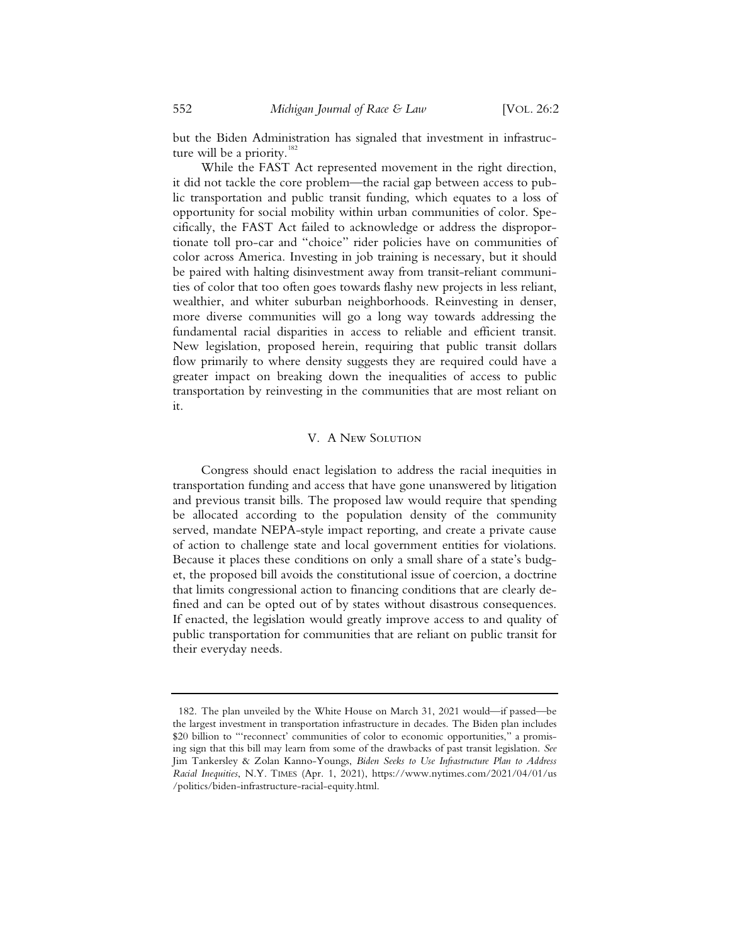but the Biden Administration has signaled that investment in infrastructure will be a priority.<sup>182</sup>

While the FAST Act represented movement in the right direction, it did not tackle the core problem—the racial gap between access to public transportation and public transit funding, which equates to a loss of opportunity for social mobility within urban communities of color. Specifically, the FAST Act failed to acknowledge or address the disproportionate toll pro-car and "choice" rider policies have on communities of color across America. Investing in job training is necessary, but it should be paired with halting disinvestment away from transit-reliant communities of color that too often goes towards flashy new projects in less reliant, wealthier, and whiter suburban neighborhoods. Reinvesting in denser, more diverse communities will go a long way towards addressing the fundamental racial disparities in access to reliable and efficient transit. New legislation, proposed herein, requiring that public transit dollars flow primarily to where density suggests they are required could have a greater impact on breaking down the inequalities of access to public transportation by reinvesting in the communities that are most reliant on it.

# V. A New Solution

Congress should enact legislation to address the racial inequities in transportation funding and access that have gone unanswered by litigation and previous transit bills. The proposed law would require that spending be allocated according to the population density of the community served, mandate NEPA-style impact reporting, and create a private cause of action to challenge state and local government entities for violations. Because it places these conditions on only a small share of a state's budget, the proposed bill avoids the constitutional issue of coercion, a doctrine that limits congressional action to financing conditions that are clearly defined and can be opted out of by states without disastrous consequences. If enacted, the legislation would greatly improve access to and quality of public transportation for communities that are reliant on public transit for their everyday needs.

<sup>182.</sup> The plan unveiled by the White House on March 31, 2021 would—if passed—be the largest investment in transportation infrastructure in decades. The Biden plan includes \$20 billion to "'reconnect' communities of color to economic opportunities," a promising sign that this bill may learn from some of the drawbacks of past transit legislation. *See* Jim Tankersley & Zolan Kanno-Youngs, *Biden Seeks to Use Infrastructure Plan to Address Racial Inequities*, N.Y. TIMES (Apr. 1, 2021), https://www.nytimes.com/2021/04/01/us /politics/biden-infrastructure-racial-equity.html.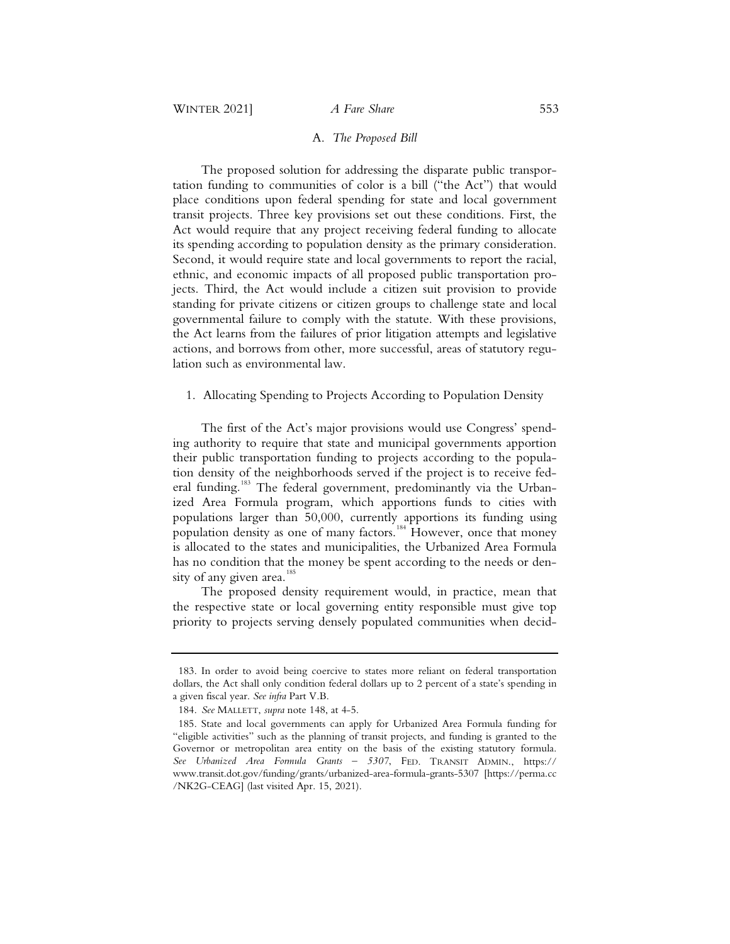# A. *The Proposed Bill*

The proposed solution for addressing the disparate public transportation funding to communities of color is a bill ("the Act") that would place conditions upon federal spending for state and local government transit projects. Three key provisions set out these conditions. First, the Act would require that any project receiving federal funding to allocate its spending according to population density as the primary consideration. Second, it would require state and local governments to report the racial, ethnic, and economic impacts of all proposed public transportation projects. Third, the Act would include a citizen suit provision to provide standing for private citizens or citizen groups to challenge state and local governmental failure to comply with the statute. With these provisions, the Act learns from the failures of prior litigation attempts and legislative actions, and borrows from other, more successful, areas of statutory regulation such as environmental law.

# 1. Allocating Spending to Projects According to Population Density

The first of the Act's major provisions would use Congress' spending authority to require that state and municipal governments apportion their public transportation funding to projects according to the population density of the neighborhoods served if the project is to receive federal funding.<sup>183</sup> The federal government, predominantly via the Urbanized Area Formula program, which apportions funds to cities with populations larger than 50,000, currently apportions its funding using population density as one of many factors.<sup>184</sup> However, once that money is allocated to the states and municipalities, the Urbanized Area Formula has no condition that the money be spent according to the needs or density of any given area.<sup>185</sup>

The proposed density requirement would, in practice, mean that the respective state or local governing entity responsible must give top priority to projects serving densely populated communities when decid-

<sup>183.</sup> In order to avoid being coercive to states more reliant on federal transportation dollars, the Act shall only condition federal dollars up to 2 percent of a state's spending in a given fiscal year. *See infra* Part V.B.

<sup>184.</sup> *See* MALLETT, *supra* note 148, at 4-5.

<sup>185.</sup> State and local governments can apply for Urbanized Area Formula funding for "eligible activities" such as the planning of transit projects, and funding is granted to the Governor or metropolitan area entity on the basis of the existing statutory formula. *See Urbanized Area Formula Grants – 5307*, FED. TRANSIT ADMIN., https:// www.transit.dot.gov/funding/grants/urbanized-area-formula-grants-5307 [https://perma.cc /NK2G-CEAG] (last visited Apr. 15, 2021).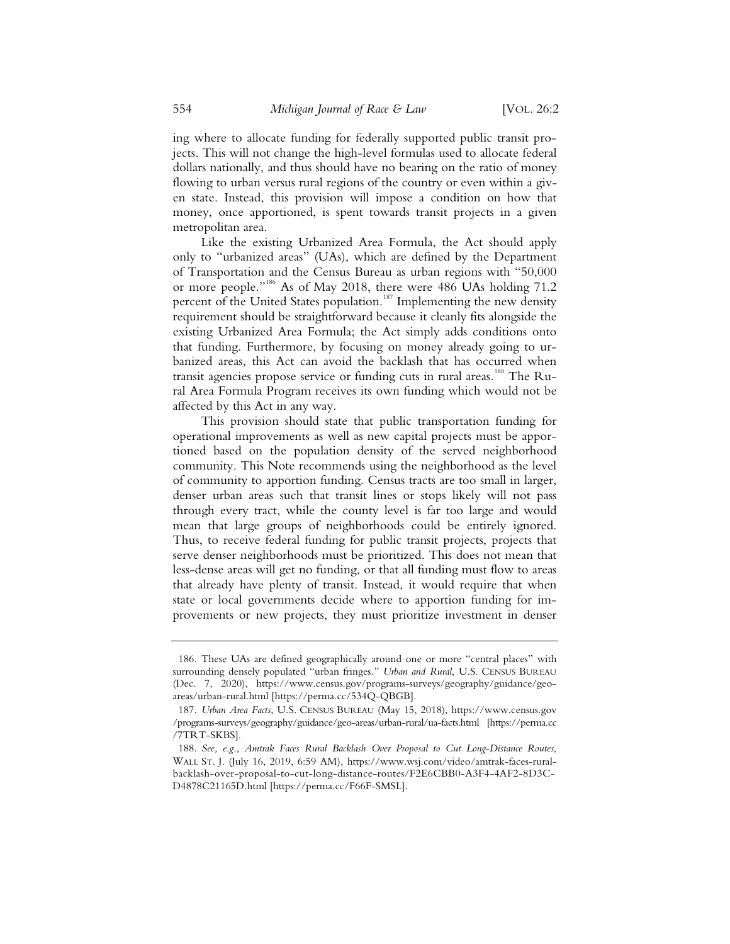ing where to allocate funding for federally supported public transit projects. This will not change the high-level formulas used to allocate federal dollars nationally, and thus should have no bearing on the ratio of money flowing to urban versus rural regions of the country or even within a given state. Instead, this provision will impose a condition on how that money, once apportioned, is spent towards transit projects in a given metropolitan area.

Like the existing Urbanized Area Formula, the Act should apply only to "urbanized areas" (UAs), which are defined by the Department of Transportation and the Census Bureau as urban regions with "50,000 or more people."<sup>186</sup> As of May 2018, there were 486 UAs holding 71.2 percent of the United States population.<sup>187</sup> Implementing the new density requirement should be straightforward because it cleanly fits alongside the existing Urbanized Area Formula; the Act simply adds conditions onto that funding. Furthermore, by focusing on money already going to urbanized areas, this Act can avoid the backlash that has occurred when transit agencies propose service or funding cuts in rural areas.<sup>188</sup> The Rural Area Formula Program receives its own funding which would not be affected by this Act in any way.

This provision should state that public transportation funding for operational improvements as well as new capital projects must be apportioned based on the population density of the served neighborhood community. This Note recommends using the neighborhood as the level of community to apportion funding. Census tracts are too small in larger, denser urban areas such that transit lines or stops likely will not pass through every tract, while the county level is far too large and would mean that large groups of neighborhoods could be entirely ignored. Thus, to receive federal funding for public transit projects, projects that serve denser neighborhoods must be prioritized. This does not mean that less-dense areas will get no funding, or that all funding must flow to areas that already have plenty of transit. Instead, it would require that when state or local governments decide where to apportion funding for improvements or new projects, they must prioritize investment in denser

<sup>186.</sup> These UAs are defined geographically around one or more "central places" with surrounding densely populated "urban fringes." *Urban and Rural*, U.S. CENSUS BUREAU (Dec. 7, 2020), https://www.census.gov/programs-surveys/geography/guidance/geoareas/urban-rural.html [https://perma.cc/534Q-QBGB].

<sup>187.</sup> *Urban Area Facts*, U.S. CENSUS BUREAU (May 15, 2018), https://www.census.gov /programs-surveys/geography/guidance/geo-areas/urban-rural/ua-facts.html [https://perma.cc /7TRT-SKBS].

<sup>188.</sup> *See, e.g*., *Amtrak Faces Rural Backlash Over Proposal to Cut Long-Distance Routes*, WALL ST. J. (July 16, 2019, 6:59 AM), https://www.wsj.com/video/amtrak-faces-ruralbacklash-over-proposal-to-cut-long-distance-routes/F2E6CBB0-A3F4-4AF2-8D3C-D4878C21165D.html [https://perma.cc/F66F-SMSL].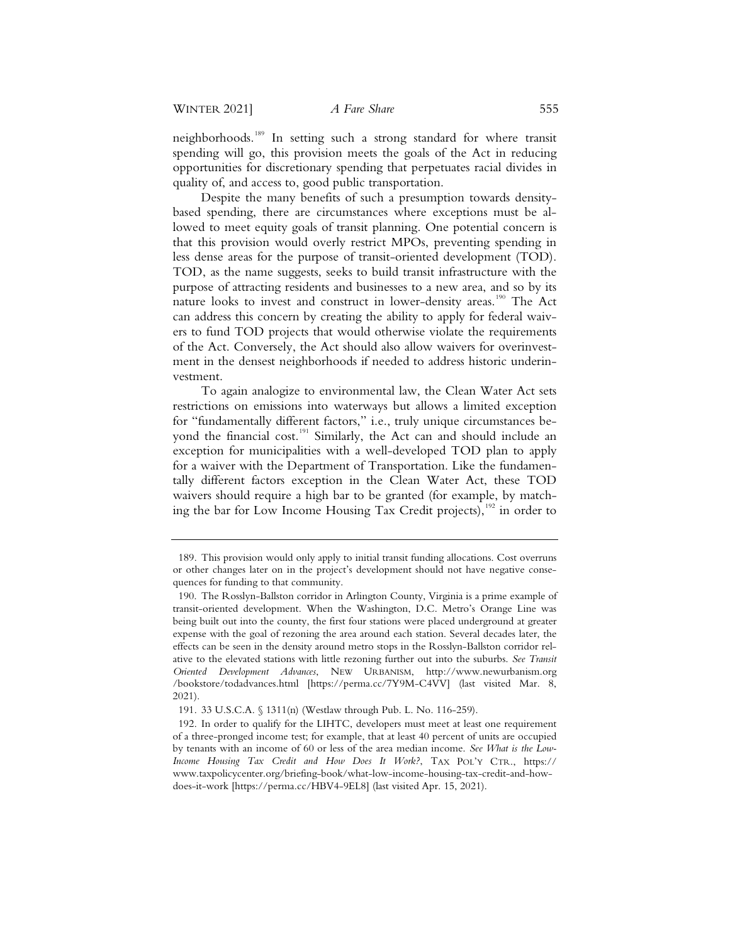neighborhoods.<sup>189</sup> In setting such a strong standard for where transit spending will go, this provision meets the goals of the Act in reducing opportunities for discretionary spending that perpetuates racial divides in quality of, and access to, good public transportation.

Despite the many benefits of such a presumption towards densitybased spending, there are circumstances where exceptions must be allowed to meet equity goals of transit planning. One potential concern is that this provision would overly restrict MPOs, preventing spending in less dense areas for the purpose of transit-oriented development (TOD). TOD, as the name suggests, seeks to build transit infrastructure with the purpose of attracting residents and businesses to a new area, and so by its nature looks to invest and construct in lower-density areas.<sup>190</sup> The Act can address this concern by creating the ability to apply for federal waivers to fund TOD projects that would otherwise violate the requirements of the Act. Conversely, the Act should also allow waivers for overinvestment in the densest neighborhoods if needed to address historic underinvestment.

To again analogize to environmental law, the Clean Water Act sets restrictions on emissions into waterways but allows a limited exception for "fundamentally different factors," i.e., truly unique circumstances beyond the financial cost.<sup>191</sup> Similarly, the Act can and should include an exception for municipalities with a well-developed TOD plan to apply for a waiver with the Department of Transportation. Like the fundamentally different factors exception in the Clean Water Act, these TOD waivers should require a high bar to be granted (for example, by matching the bar for Low Income Housing Tax Credit projects),  $192$  in order to

<sup>189.</sup> This provision would only apply to initial transit funding allocations. Cost overruns or other changes later on in the project's development should not have negative consequences for funding to that community.

<sup>190.</sup> The Rosslyn-Ballston corridor in Arlington County, Virginia is a prime example of transit-oriented development. When the Washington, D.C. Metro's Orange Line was being built out into the county, the first four stations were placed underground at greater expense with the goal of rezoning the area around each station. Several decades later, the effects can be seen in the density around metro stops in the Rosslyn-Ballston corridor relative to the elevated stations with little rezoning further out into the suburbs. *See Transit Oriented Development Advances*, NEW URBANISM, http://www.newurbanism.org /bookstore/todadvances.html [https://perma.cc/7Y9M-C4VV] (last visited Mar. 8, 2021).

<sup>191. 33</sup> U.S.C.A. § 1311(n) (Westlaw through Pub. L. No. 116-259).

<sup>192.</sup> In order to qualify for the LIHTC, developers must meet at least one requirement of a three-pronged income test; for example, that at least 40 percent of units are occupied by tenants with an income of 60 or less of the area median income. *See What is the Low-Income Housing Tax Credit and How Does It Work?*, TAX POL'Y CTR., https:// www.taxpolicycenter.org/briefing-book/what-low-income-housing-tax-credit-and-howdoes-it-work [https://perma.cc/HBV4-9EL8] (last visited Apr. 15, 2021).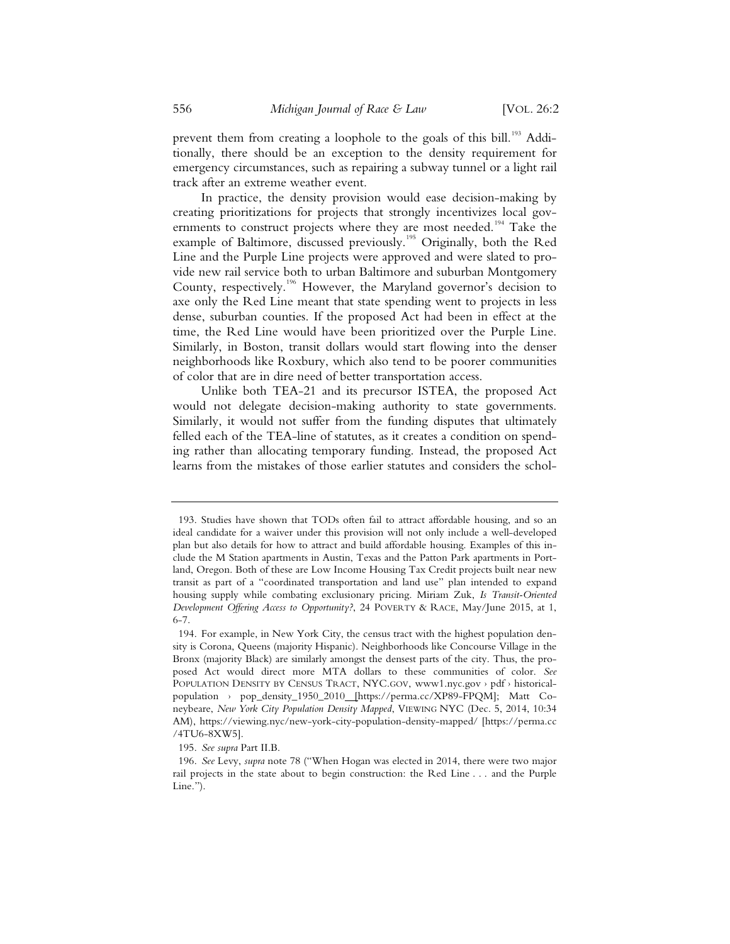prevent them from creating a loophole to the goals of this bill.<sup>193</sup> Additionally, there should be an exception to the density requirement for emergency circumstances, such as repairing a subway tunnel or a light rail track after an extreme weather event.

In practice, the density provision would ease decision-making by creating prioritizations for projects that strongly incentivizes local governments to construct projects where they are most needed.<sup>194</sup> Take the example of Baltimore, discussed previously.<sup>195</sup> Originally, both the Red Line and the Purple Line projects were approved and were slated to provide new rail service both to urban Baltimore and suburban Montgomery County, respectively.<sup>196</sup> However, the Maryland governor's decision to axe only the Red Line meant that state spending went to projects in less dense, suburban counties. If the proposed Act had been in effect at the time, the Red Line would have been prioritized over the Purple Line. Similarly, in Boston, transit dollars would start flowing into the denser neighborhoods like Roxbury, which also tend to be poorer communities of color that are in dire need of better transportation access.

Unlike both TEA-21 and its precursor ISTEA, the proposed Act would not delegate decision-making authority to state governments. Similarly, it would not suffer from the funding disputes that ultimately felled each of the TEA-line of statutes, as it creates a condition on spending rather than allocating temporary funding. Instead, the proposed Act learns from the mistakes of those earlier statutes and considers the schol-

195. *See supra* Part II.B.

<sup>193.</sup> Studies have shown that TODs often fail to attract affordable housing, and so an ideal candidate for a waiver under this provision will not only include a well-developed plan but also details for how to attract and build affordable housing. Examples of this include the M Station apartments in Austin, Texas and the Patton Park apartments in Portland, Oregon. Both of these are Low Income Housing Tax Credit projects built near new transit as part of a "coordinated transportation and land use" plan intended to expand housing supply while combating exclusionary pricing. Miriam Zuk, *Is Transit-Oriented Development Offering Access to Opportunity?*, 24 POVERTY & RACE, May/June 2015, at 1, 6-7.

<sup>194.</sup> For example, in New York City, the census tract with the highest population density is Corona, Queens (majority Hispanic). Neighborhoods like Concourse Village in the Bronx (majority Black) are similarly amongst the densest parts of the city. Thus, the proposed Act would direct more MTA dollars to these communities of color. *See*  POPULATION DENSITY BY CENSUS TRACT, NYC.GOV, www1.nyc.gov › pdf › historicalpopulation › pop\_density\_1950\_2010 [https://perma.cc/XP89-FPQM]; Matt Coneybeare, *New York City Population Density Mapped*, VIEWING NYC (Dec. 5, 2014, 10:34 AM), https://viewing.nyc/new-york-city-population-density-mapped/ [https://perma.cc /4TU6-8XW5].

<sup>196.</sup> *See* Levy, *supra* note 78 ("When Hogan was elected in 2014, there were two major rail projects in the state about to begin construction: the Red Line . . . and the Purple Line.").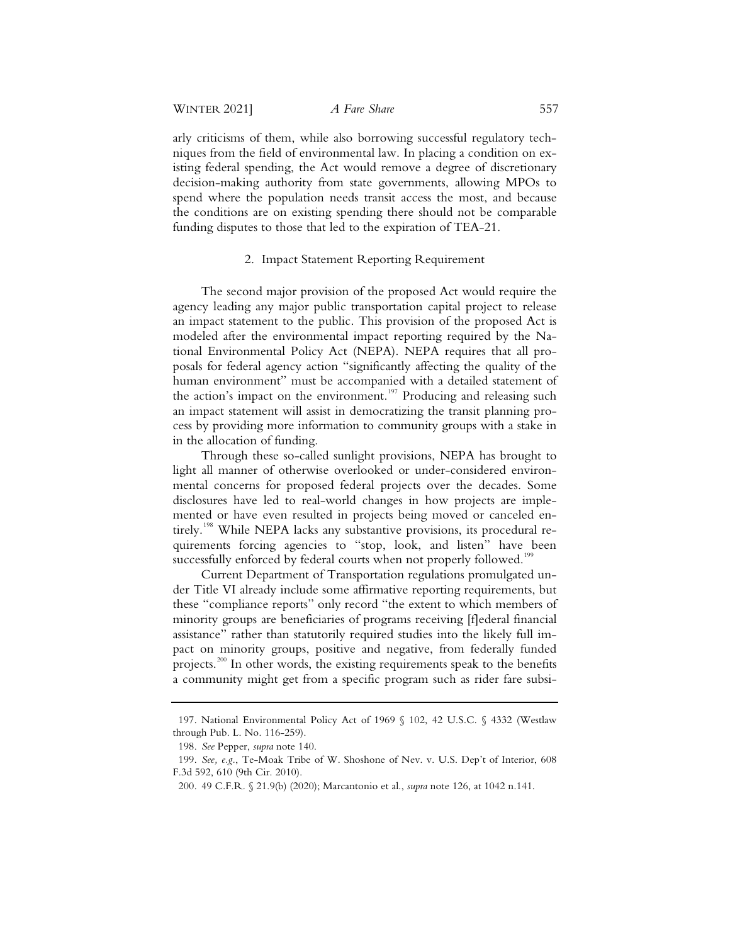arly criticisms of them, while also borrowing successful regulatory techniques from the field of environmental law. In placing a condition on existing federal spending, the Act would remove a degree of discretionary decision-making authority from state governments, allowing MPOs to spend where the population needs transit access the most, and because the conditions are on existing spending there should not be comparable funding disputes to those that led to the expiration of TEA-21.

## 2. Impact Statement Reporting Requirement

The second major provision of the proposed Act would require the agency leading any major public transportation capital project to release an impact statement to the public. This provision of the proposed Act is modeled after the environmental impact reporting required by the National Environmental Policy Act (NEPA). NEPA requires that all proposals for federal agency action "significantly affecting the quality of the human environment" must be accompanied with a detailed statement of the action's impact on the environment.<sup>197</sup> Producing and releasing such an impact statement will assist in democratizing the transit planning process by providing more information to community groups with a stake in in the allocation of funding.

Through these so-called sunlight provisions, NEPA has brought to light all manner of otherwise overlooked or under-considered environmental concerns for proposed federal projects over the decades. Some disclosures have led to real-world changes in how projects are implemented or have even resulted in projects being moved or canceled entirely.<sup>198</sup> While NEPA lacks any substantive provisions, its procedural requirements forcing agencies to "stop, look, and listen" have been successfully enforced by federal courts when not properly followed.<sup>199</sup>

Current Department of Transportation regulations promulgated under Title VI already include some affirmative reporting requirements, but these "compliance reports" only record "the extent to which members of minority groups are beneficiaries of programs receiving [f]ederal financial assistance" rather than statutorily required studies into the likely full impact on minority groups, positive and negative, from federally funded projects.<sup>200</sup> In other words, the existing requirements speak to the benefits a community might get from a specific program such as rider fare subsi-

<sup>197.</sup> National Environmental Policy Act of 1969 § 102, 42 U.S.C. § 4332 (Westlaw through Pub. L. No. 116-259).

<sup>198.</sup> *See* Pepper, *supra* note 140.

<sup>199.</sup> *See, e.g.*, Te-Moak Tribe of W. Shoshone of Nev. v. U.S. Dep't of Interior, 608 F.3d 592, 610 (9th Cir. 2010).

<sup>200. 49</sup> C.F.R. § 21.9(b) (2020); Marcantonio et al., *supra* note 126, at 1042 n.141.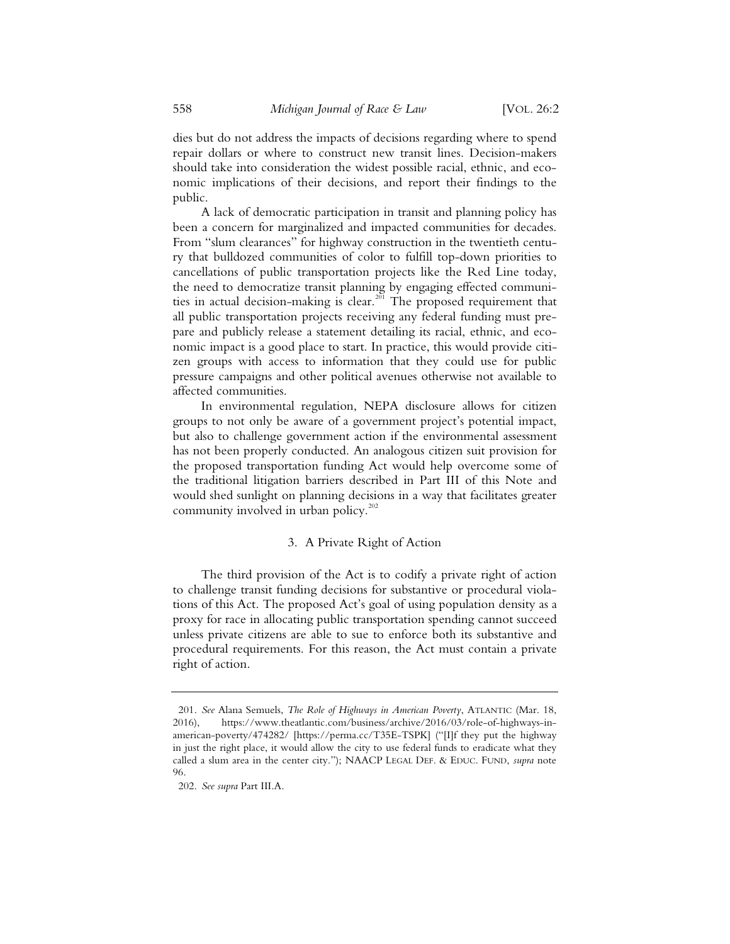dies but do not address the impacts of decisions regarding where to spend repair dollars or where to construct new transit lines. Decision-makers should take into consideration the widest possible racial, ethnic, and economic implications of their decisions, and report their findings to the public.

A lack of democratic participation in transit and planning policy has been a concern for marginalized and impacted communities for decades. From "slum clearances" for highway construction in the twentieth century that bulldozed communities of color to fulfill top-down priorities to cancellations of public transportation projects like the Red Line today, the need to democratize transit planning by engaging effected communities in actual decision-making is clear.<sup>201</sup> The proposed requirement that all public transportation projects receiving any federal funding must prepare and publicly release a statement detailing its racial, ethnic, and economic impact is a good place to start. In practice, this would provide citizen groups with access to information that they could use for public pressure campaigns and other political avenues otherwise not available to affected communities.

In environmental regulation, NEPA disclosure allows for citizen groups to not only be aware of a government project's potential impact, but also to challenge government action if the environmental assessment has not been properly conducted. An analogous citizen suit provision for the proposed transportation funding Act would help overcome some of the traditional litigation barriers described in Part III of this Note and would shed sunlight on planning decisions in a way that facilitates greater community involved in urban policy. $202$ 

# 3. A Private Right of Action

The third provision of the Act is to codify a private right of action to challenge transit funding decisions for substantive or procedural violations of this Act. The proposed Act's goal of using population density as a proxy for race in allocating public transportation spending cannot succeed unless private citizens are able to sue to enforce both its substantive and procedural requirements. For this reason, the Act must contain a private right of action.

<sup>201.</sup> *See* Alana Semuels, *The Role of Highways in American Poverty*, ATLANTIC (Mar. 18, 2016), https://www.theatlantic.com/business/archive/2016/03/role-of-highways-inamerican-poverty/474282/ [https://perma.cc/T35E-TSPK] ("[I]f they put the highway in just the right place, it would allow the city to use federal funds to eradicate what they called a slum area in the center city."); NAACP LEGAL DEF.&EDUC. FUND, *supra* note 96.

<sup>202.</sup> *See supra* Part III.A.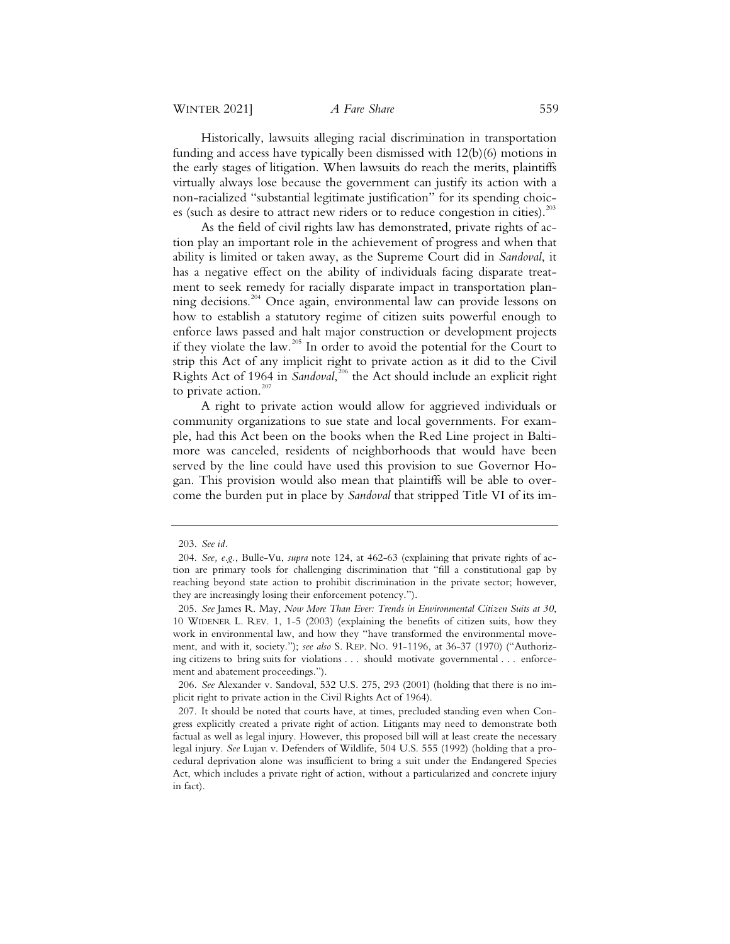Historically, lawsuits alleging racial discrimination in transportation funding and access have typically been dismissed with 12(b)(6) motions in the early stages of litigation. When lawsuits do reach the merits, plaintiffs virtually always lose because the government can justify its action with a non-racialized "substantial legitimate justification" for its spending choices (such as desire to attract new riders or to reduce congestion in cities).<sup>203</sup>

As the field of civil rights law has demonstrated, private rights of action play an important role in the achievement of progress and when that ability is limited or taken away, as the Supreme Court did in *Sandoval*, it has a negative effect on the ability of individuals facing disparate treatment to seek remedy for racially disparate impact in transportation planning decisions.<sup>204</sup> Once again, environmental law can provide lessons on how to establish a statutory regime of citizen suits powerful enough to enforce laws passed and halt major construction or development projects if they violate the law.<sup>205</sup> In order to avoid the potential for the Court to strip this Act of any implicit right to private action as it did to the Civil Rights Act of 1964 in *Sandoval*, 206 the Act should include an explicit right to private action. $207$ 

A right to private action would allow for aggrieved individuals or community organizations to sue state and local governments. For example, had this Act been on the books when the Red Line project in Baltimore was canceled, residents of neighborhoods that would have been served by the line could have used this provision to sue Governor Hogan. This provision would also mean that plaintiffs will be able to overcome the burden put in place by *Sandoval* that stripped Title VI of its im-

 <sup>203.</sup> *See id.*

 <sup>204.</sup> *See, e.g.*, Bulle-Vu, *supra* note 124, at 462-63 (explaining that private rights of action are primary tools for challenging discrimination that "fill a constitutional gap by reaching beyond state action to prohibit discrimination in the private sector; however, they are increasingly losing their enforcement potency.").

 <sup>205.</sup> *See* James R. May, *Now More Than Ever: Trends in Environmental Citizen Suits at 30*, 10 WIDENER L. REV. 1, 1-5 (2003) (explaining the benefits of citizen suits, how they work in environmental law, and how they "have transformed the environmental movement, and with it, society."); *see also* S. REP. NO. 91-1196, at 36-37 (1970) ("Authorizing citizens to bring suits for violations . . . should motivate governmental . . . enforcement and abatement proceedings.").

 <sup>206.</sup> *See* Alexander v. Sandoval, 532 U.S. 275, 293 (2001) (holding that there is no implicit right to private action in the Civil Rights Act of 1964).

 <sup>207.</sup> It should be noted that courts have, at times, precluded standing even when Congress explicitly created a private right of action. Litigants may need to demonstrate both factual as well as legal injury. However, this proposed bill will at least create the necessary legal injury. *See* Lujan v. Defenders of Wildlife, 504 U.S. 555 (1992) (holding that a procedural deprivation alone was insufficient to bring a suit under the Endangered Species Act, which includes a private right of action, without a particularized and concrete injury in fact).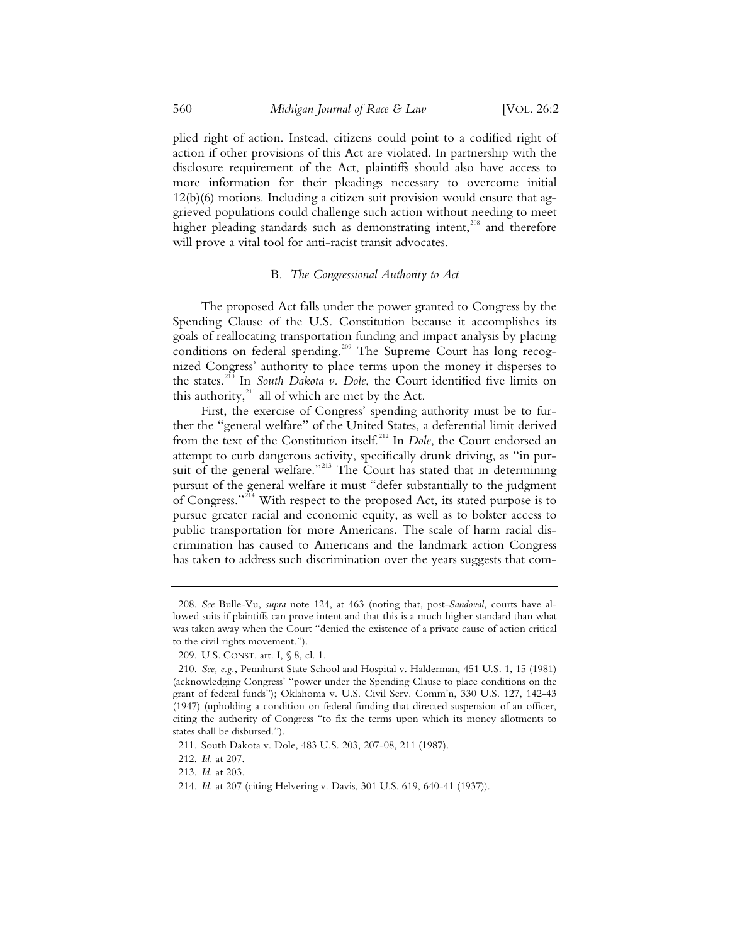plied right of action. Instead, citizens could point to a codified right of action if other provisions of this Act are violated. In partnership with the disclosure requirement of the Act, plaintiffs should also have access to more information for their pleadings necessary to overcome initial 12(b)(6) motions. Including a citizen suit provision would ensure that aggrieved populations could challenge such action without needing to meet higher pleading standards such as demonstrating intent,<sup>208</sup> and therefore will prove a vital tool for anti-racist transit advocates.

## B. *The Congressional Authority to Act*

The proposed Act falls under the power granted to Congress by the Spending Clause of the U.S. Constitution because it accomplishes its goals of reallocating transportation funding and impact analysis by placing conditions on federal spending.<sup>209</sup> The Supreme Court has long recognized Congress' authority to place terms upon the money it disperses to the states.<sup>210</sup> In *South Dakota v. Dole*, the Court identified five limits on this authority, $^{211}$  all of which are met by the Act.

First, the exercise of Congress' spending authority must be to further the "general welfare" of the United States, a deferential limit derived from the text of the Constitution itself.<sup>212</sup> In *Dole*, the Court endorsed an attempt to curb dangerous activity, specifically drunk driving, as "in pursuit of the general welfare."<sup>213</sup> The Court has stated that in determining pursuit of the general welfare it must "defer substantially to the judgment of Congress."<sup>214</sup> With respect to the proposed Act, its stated purpose is to pursue greater racial and economic equity, as well as to bolster access to public transportation for more Americans. The scale of harm racial discrimination has caused to Americans and the landmark action Congress has taken to address such discrimination over the years suggests that com-

 <sup>208.</sup> *See* Bulle-Vu, *supra* note 124, at 463 (noting that, post-*Sandoval*, courts have allowed suits if plaintiffs can prove intent and that this is a much higher standard than what was taken away when the Court "denied the existence of a private cause of action critical to the civil rights movement.").

 <sup>209.</sup> U.S. CONST. art. I, § 8, cl. 1.

 <sup>210.</sup> *See, e.g.*, Pennhurst State School and Hospital v. Halderman, 451 U.S. 1, 15 (1981) (acknowledging Congress' "power under the Spending Clause to place conditions on the grant of federal funds"); Oklahoma v. U.S. Civil Serv. Comm'n, 330 U.S. 127, 142-43 (1947) (upholding a condition on federal funding that directed suspension of an officer, citing the authority of Congress "to fix the terms upon which its money allotments to states shall be disbursed.").

 <sup>211.</sup> South Dakota v. Dole, 483 U.S. 203, 207-08, 211 (1987).

 <sup>212.</sup> *Id.* at 207.

 <sup>213.</sup> *Id.* at 203.

 <sup>214.</sup> *Id.* at 207 (citing Helvering v. Davis, 301 U.S. 619, 640-41 (1937)).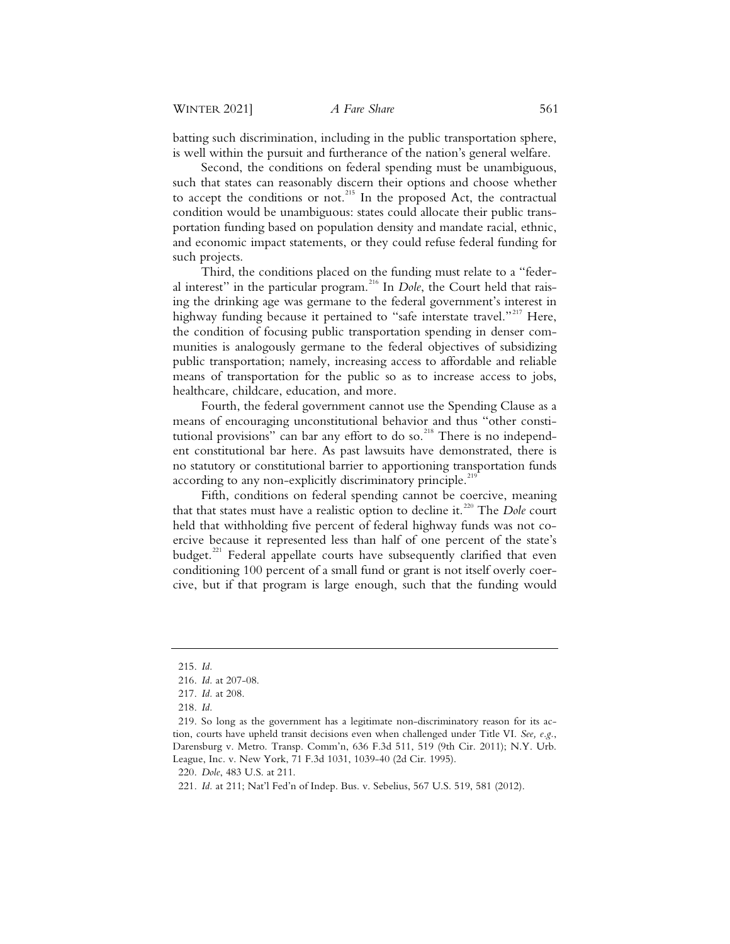batting such discrimination, including in the public transportation sphere, is well within the pursuit and furtherance of the nation's general welfare.

Second, the conditions on federal spending must be unambiguous, such that states can reasonably discern their options and choose whether to accept the conditions or not.<sup>215</sup> In the proposed Act, the contractual condition would be unambiguous: states could allocate their public transportation funding based on population density and mandate racial, ethnic, and economic impact statements, or they could refuse federal funding for such projects.

Third, the conditions placed on the funding must relate to a "federal interest" in the particular program.<sup>216</sup> In *Dole*, the Court held that raising the drinking age was germane to the federal government's interest in highway funding because it pertained to "safe interstate travel."<sup>217</sup> Here, the condition of focusing public transportation spending in denser communities is analogously germane to the federal objectives of subsidizing public transportation; namely, increasing access to affordable and reliable means of transportation for the public so as to increase access to jobs, healthcare, childcare, education, and more.

Fourth, the federal government cannot use the Spending Clause as a means of encouraging unconstitutional behavior and thus "other constitutional provisions" can bar any effort to do so.<sup>218</sup> There is no independent constitutional bar here. As past lawsuits have demonstrated, there is no statutory or constitutional barrier to apportioning transportation funds according to any non-explicitly discriminatory principle.<sup>219</sup>

Fifth, conditions on federal spending cannot be coercive, meaning that that states must have a realistic option to decline it.<sup>220</sup> The *Dole* court held that withholding five percent of federal highway funds was not coercive because it represented less than half of one percent of the state's budget.<sup>221</sup> Federal appellate courts have subsequently clarified that even conditioning 100 percent of a small fund or grant is not itself overly coercive, but if that program is large enough, such that the funding would

220. *Dole*, 483 U.S. at 211.

<sup>215.</sup> *Id.*

<sup>216.</sup> *Id.* at 207-08.

<sup>217.</sup> *Id.* at 208.

<sup>218.</sup> *Id.*

<sup>219.</sup> So long as the government has a legitimate non-discriminatory reason for its action, courts have upheld transit decisions even when challenged under Title VI. *See, e.g.*, Darensburg v. Metro. Transp. Comm'n, 636 F.3d 511, 519 (9th Cir. 2011); N.Y. Urb. League, Inc. v. New York, 71 F.3d 1031, 1039-40 (2d Cir. 1995).

<sup>221.</sup> *Id.* at 211; Nat'l Fed'n of Indep. Bus. v. Sebelius, 567 U.S. 519, 581 (2012).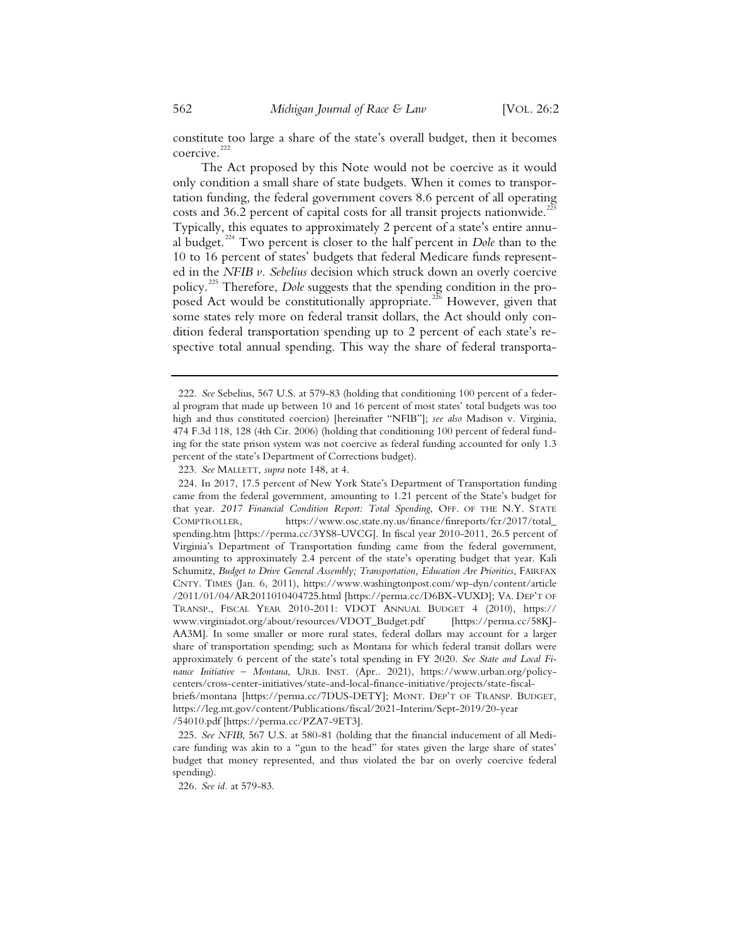constitute too large a share of the state's overall budget, then it becomes coercive.<sup>2</sup>

The Act proposed by this Note would not be coercive as it would only condition a small share of state budgets. When it comes to transportation funding, the federal government covers 8.6 percent of all operating costs and  $36.2$  percent of capital costs for all transit projects nationwide.<sup>223</sup> Typically, this equates to approximately 2 percent of a state's entire annual budget.<sup>224</sup> Two percent is closer to the half percent in *Dole* than to the 10 to 16 percent of states' budgets that federal Medicare funds represented in the *NFIB v. Sebelius* decision which struck down an overly coercive policy.<sup>225</sup> Therefore, *Dole* suggests that the spending condition in the proposed Act would be constitutionally appropriate.<sup>226</sup> However, given that some states rely more on federal transit dollars, the Act should only condition federal transportation spending up to 2 percent of each state's respective total annual spending. This way the share of federal transporta-

223. *See* MALLETT, *supra* note 148, at 4.

<sup>222.</sup> *See* Sebelius, 567 U.S. at 579-83 (holding that conditioning 100 percent of a federal program that made up between 10 and 16 percent of most states' total budgets was too high and thus constituted coercion) [hereinafter "NFIB"]; *see also* Madison v. Virginia, 474 F.3d 118, 128 (4th Cir. 2006) (holding that conditioning 100 percent of federal funding for the state prison system was not coercive as federal funding accounted for only 1.3 percent of the state's Department of Corrections budget).

<sup>224.</sup> In 2017, 17.5 percent of New York State's Department of Transportation funding came from the federal government, amounting to 1.21 percent of the State's budget for that year. *2017 Financial Condition Report: Total Spending*, OFF. OF THE N.Y. STATE COMPTROLLER, https://www.osc.state.ny.us/finance/finreports/fcr/2017/total\_ spending.htm [https://perma.cc/3YS8-UVCG]. In fiscal year 2010-2011, 26.5 percent of Virginia's Department of Transportation funding came from the federal government, amounting to approximately 2.4 percent of the state's operating budget that year. Kali Schumitz, *Budget to Drive General Assembly; Transportation, Education Are Priorities*, FAIRFAX CNTY. TIMES (Jan. 6, 2011), https://www.washingtonpost.com/wp-dyn/content/article /2011/01/04/AR2011010404725.html [https://perma.cc/D6BX-VUXD]; VA. DEP'T OF TRANSP., FISCAL YEAR 2010-2011: VDOT ANNUAL BUDGET 4 (2010), https:// www.virginiadot.org/about/resources/VDOT\_Budget.pdf [https://perma.cc/58KJ-AA3M]. In some smaller or more rural states, federal dollars may account for a larger share of transportation spending; such as Montana for which federal transit dollars were approximately 6 percent of the state's total spending in FY 2020. *See State and Local Finance Initiative – Montana*, URB. INST. (Apr.. 2021), https://www.urban.org/policycenters/cross-center-initiatives/state-and-local-finance-initiative/projects/state-fiscalbriefs/montana [https://perma.cc/7DUS-DETY]; MONT. DEP'T OF TRANSP. BUDGET, https://leg.mt.gov/content/Publications/fiscal/2021-Interim/Sept-2019/20-year /54010.pdf [https://perma.cc/PZA7-9ET3].

<sup>225.</sup> *See NFIB*, 567 U.S. at 580-81 (holding that the financial inducement of all Medicare funding was akin to a "gun to the head" for states given the large share of states' budget that money represented, and thus violated the bar on overly coercive federal spending).

<sup>226.</sup> *See id.* at 579-83.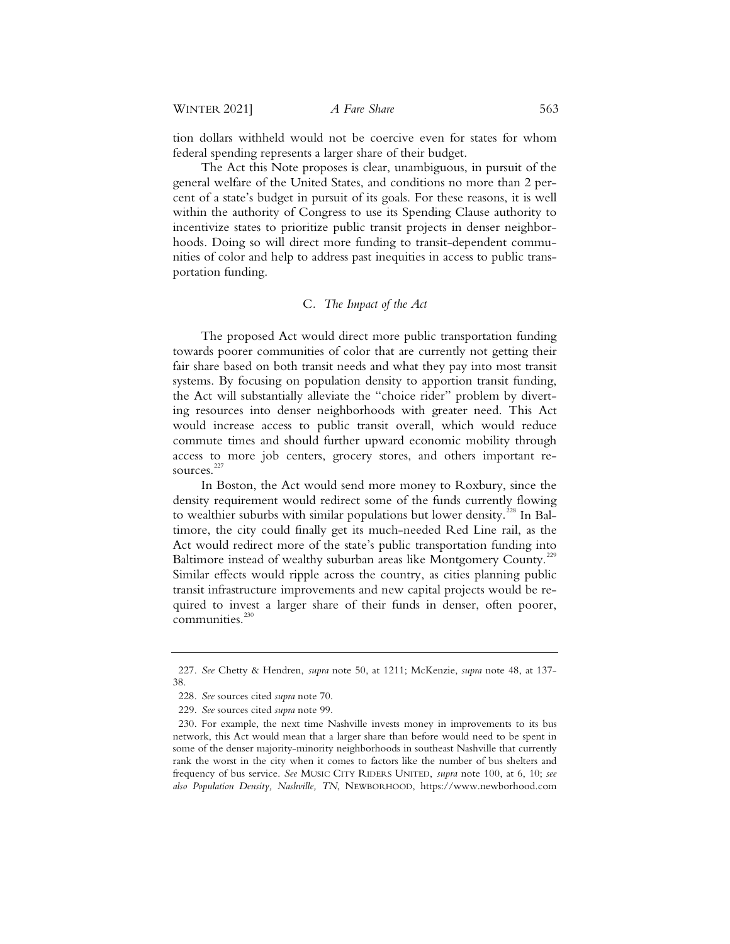tion dollars withheld would not be coercive even for states for whom federal spending represents a larger share of their budget.

The Act this Note proposes is clear, unambiguous, in pursuit of the general welfare of the United States, and conditions no more than 2 percent of a state's budget in pursuit of its goals. For these reasons, it is well within the authority of Congress to use its Spending Clause authority to incentivize states to prioritize public transit projects in denser neighborhoods. Doing so will direct more funding to transit-dependent communities of color and help to address past inequities in access to public transportation funding.

# C*. The Impact of the Act*

The proposed Act would direct more public transportation funding towards poorer communities of color that are currently not getting their fair share based on both transit needs and what they pay into most transit systems. By focusing on population density to apportion transit funding, the Act will substantially alleviate the "choice rider" problem by diverting resources into denser neighborhoods with greater need. This Act would increase access to public transit overall, which would reduce commute times and should further upward economic mobility through access to more job centers, grocery stores, and others important resources.<sup>227</sup>

In Boston, the Act would send more money to Roxbury, since the density requirement would redirect some of the funds currently flowing to wealthier suburbs with similar populations but lower density.<sup>228</sup> In Baltimore, the city could finally get its much-needed Red Line rail, as the Act would redirect more of the state's public transportation funding into Baltimore instead of wealthy suburban areas like Montgomery County.<sup>229</sup> Similar effects would ripple across the country, as cities planning public transit infrastructure improvements and new capital projects would be required to invest a larger share of their funds in denser, often poorer, communities.<sup>230</sup>

<sup>227.</sup> *See* Chetty & Hendren, *supra* note 50, at 1211; McKenzie, *supra* note 48, at 137- 38.

<sup>228.</sup> *See* sources cited *supra* note 70.

<sup>229.</sup> *See* sources cited *supra* note 99.

<sup>230.</sup> For example, the next time Nashville invests money in improvements to its bus network, this Act would mean that a larger share than before would need to be spent in some of the denser majority-minority neighborhoods in southeast Nashville that currently rank the worst in the city when it comes to factors like the number of bus shelters and frequency of bus service. *See* MUSIC CITY RIDERS UNITED, *supra* note 100, at 6, 10; *see also Population Density, Nashville, TN*, NEWBORHOOD, https://www.newborhood.com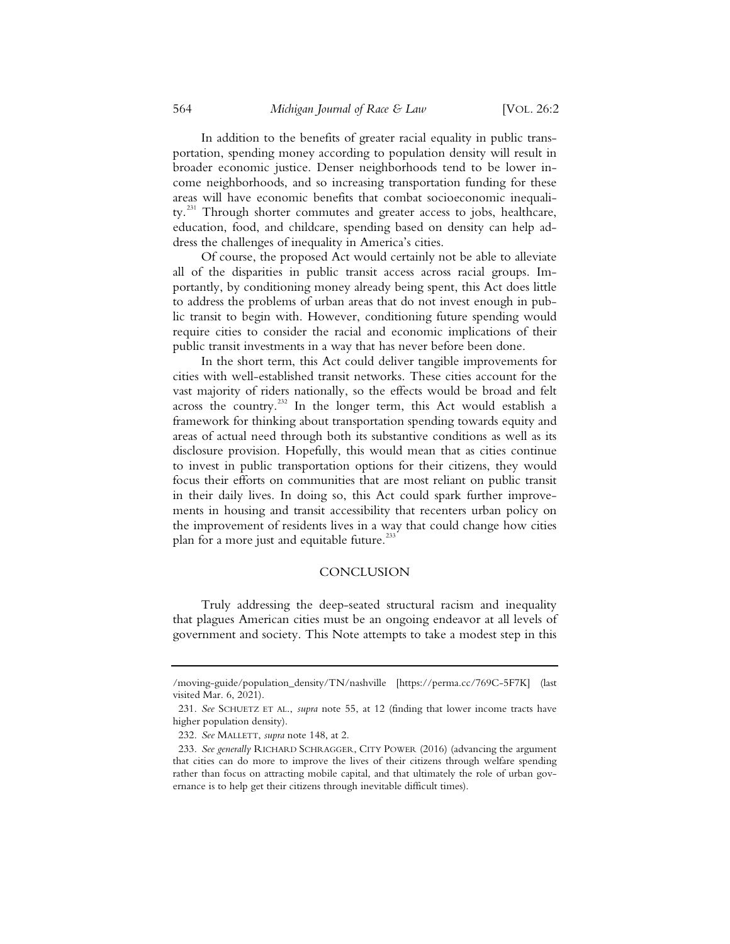In addition to the benefits of greater racial equality in public transportation, spending money according to population density will result in broader economic justice. Denser neighborhoods tend to be lower income neighborhoods, and so increasing transportation funding for these areas will have economic benefits that combat socioeconomic inequality.<sup>231</sup> Through shorter commutes and greater access to jobs, healthcare, education, food, and childcare, spending based on density can help address the challenges of inequality in America's cities.

Of course, the proposed Act would certainly not be able to alleviate all of the disparities in public transit access across racial groups. Importantly, by conditioning money already being spent, this Act does little to address the problems of urban areas that do not invest enough in public transit to begin with. However, conditioning future spending would require cities to consider the racial and economic implications of their public transit investments in a way that has never before been done.

In the short term, this Act could deliver tangible improvements for cities with well-established transit networks. These cities account for the vast majority of riders nationally, so the effects would be broad and felt across the country.<sup>232</sup> In the longer term, this Act would establish a framework for thinking about transportation spending towards equity and areas of actual need through both its substantive conditions as well as its disclosure provision. Hopefully, this would mean that as cities continue to invest in public transportation options for their citizens, they would focus their efforts on communities that are most reliant on public transit in their daily lives. In doing so, this Act could spark further improvements in housing and transit accessibility that recenters urban policy on the improvement of residents lives in a way that could change how cities plan for a more just and equitable future.<sup>233</sup>

#### CONCLUSION

Truly addressing the deep-seated structural racism and inequality that plagues American cities must be an ongoing endeavor at all levels of government and society. This Note attempts to take a modest step in this

<sup>/</sup>moving-guide/population\_density/TN/nashville [https://perma.cc/769C-5F7K] (last visited Mar. 6, 2021).

<sup>231.</sup> *See* SCHUETZ ET AL., *supra* note 55, at 12 (finding that lower income tracts have higher population density).

<sup>232.</sup> *See* MALLETT, *supra* note 148, at 2.

<sup>233.</sup> *See generally* RICHARD SCHRAGGER, CITY POWER (2016) (advancing the argument that cities can do more to improve the lives of their citizens through welfare spending rather than focus on attracting mobile capital, and that ultimately the role of urban governance is to help get their citizens through inevitable difficult times).